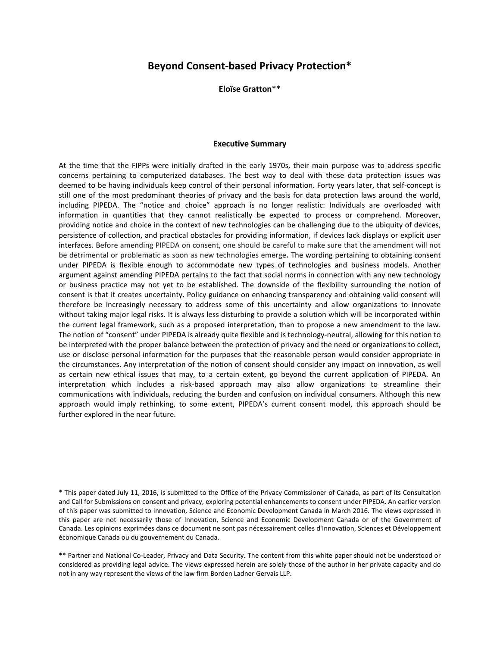# **Beyond Consent-based Privacy Protection\***

**Eloïse Gratton**\*\*

#### **Executive Summary**

At the time that the FIPPs were initially drafted in the early 1970s, their main purpose was to address specific concerns pertaining to computerized databases. The best way to deal with these data protection issues was deemed to be having individuals keep control of their personal information. Forty years later, that self-concept is still one of the most predominant theories of privacy and the basis for data protection laws around the world, including PIPEDA. The "notice and choice" approach is no longer realistic: Individuals are overloaded with information in quantities that they cannot realistically be expected to process or comprehend. Moreover, providing notice and choice in the context of new technologies can be challenging due to the ubiquity of devices, persistence of collection, and practical obstacles for providing information, if devices lack displays or explicit user interfaces. Before amending PIPEDA on consent, one should be careful to make sure that the amendment will not be detrimental or problematic as soon as new technologies emerge**.** The wording pertaining to obtaining consent under PIPEDA is flexible enough to accommodate new types of technologies and business models. Another argument against amending PIPEDA pertains to the fact that social norms in connection with any new technology or business practice may not yet to be established. The downside of the flexibility surrounding the notion of consent is that it creates uncertainty. Policy guidance on enhancing transparency and obtaining valid consent will therefore be increasingly necessary to address some of this uncertainty and allow organizations to innovate without taking major legal risks. It is always less disturbing to provide a solution which will be incorporated within the current legal framework, such as a proposed interpretation, than to propose a new amendment to the law. The notion of "consent" under PIPEDA is already quite flexible and is technology-neutral, allowing for this notion to be interpreted with the proper balance between the protection of privacy and the need or organizations to collect, use or disclose personal information for the purposes that the reasonable person would consider appropriate in the circumstances. Any interpretation of the notion of consent should consider any impact on innovation, as well as certain new ethical issues that may, to a certain extent, go beyond the current application of PIPEDA. An interpretation which includes a risk-based approach may also allow organizations to streamline their communications with individuals, reducing the burden and confusion on individual consumers. Although this new approach would imply rethinking, to some extent, PIPEDA's current consent model, this approach should be further explored in the near future.

\* This paper dated July 11, 2016, is submitted to the Office of the Privacy Commissioner of Canada, as part of its Consultation and Call for Submissions on consent and privacy, exploring potential enhancements to consent under PIPEDA. An earlier version of this paper was submitted to Innovation, Science and Economic Development Canada in March 2016. The views expressed in this paper are not necessarily those of Innovation, Science and Economic Development Canada or of the Government of Canada. Les opinions exprimées dans ce document ne sont pas nécessairement celles d'Innovation, Sciences et Développement économique Canada ou du gouvernement du Canada.

\*\* Partner and National Co-Leader, Privacy and Data Security. The content from this white paper should not be understood or considered as providing legal advice. The views expressed herein are solely those of the author in her private capacity and do not in any way represent the views of the law firm Borden Ladner Gervais LLP.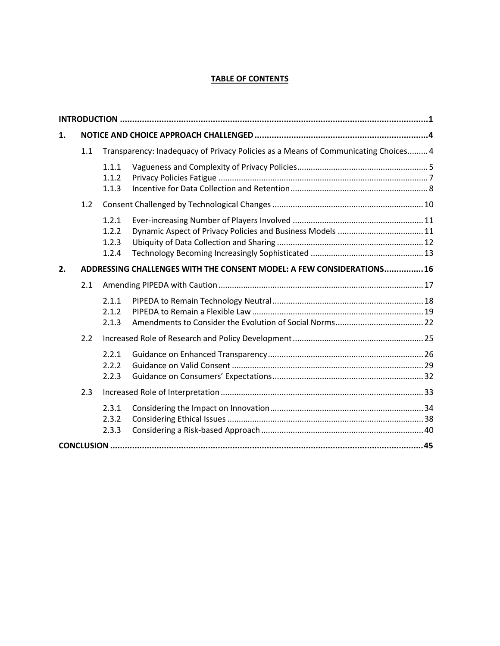# **TABLE OF CONTENTS**

| 1. |                                                                       |                                                                                    |  |  |
|----|-----------------------------------------------------------------------|------------------------------------------------------------------------------------|--|--|
|    | 1.1                                                                   | Transparency: Inadequacy of Privacy Policies as a Means of Communicating Choices 4 |  |  |
|    |                                                                       | 1.1.1<br>1.1.2<br>1.1.3                                                            |  |  |
|    | 1.2                                                                   |                                                                                    |  |  |
|    |                                                                       | 1.2.1<br>1.2.2<br>1.2.3<br>1.2.4                                                   |  |  |
| 2. | ADDRESSING CHALLENGES WITH THE CONSENT MODEL: A FEW CONSIDERATIONS 16 |                                                                                    |  |  |
|    | 2.1                                                                   |                                                                                    |  |  |
|    |                                                                       | 2.1.1<br>2.1.2<br>2.1.3                                                            |  |  |
|    | 2.2                                                                   |                                                                                    |  |  |
|    |                                                                       | 2.2.1<br>2.2.2<br>2.2.3                                                            |  |  |
|    | 2.3                                                                   |                                                                                    |  |  |
|    |                                                                       | 2.3.1<br>2.3.2<br>2.3.3                                                            |  |  |
|    |                                                                       |                                                                                    |  |  |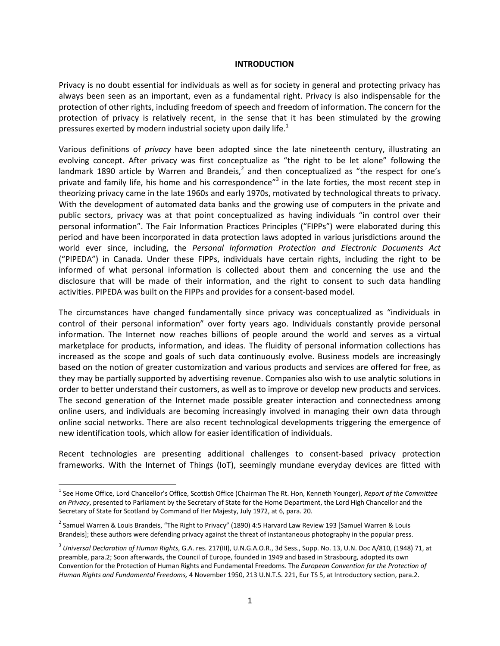#### <span id="page-2-0"></span>**INTRODUCTION**

Privacy is no doubt essential for individuals as well as for society in general and protecting privacy has always been seen as an important, even as a fundamental right. Privacy is also indispensable for the protection of other rights, including freedom of speech and freedom of information. The concern for the protection of privacy is relatively recent, in the sense that it has been stimulated by the growing pressuresexerted by modern industrial society upon daily life[.](#page-2-1) $<sup>1</sup>$ </sup>

Various definitions of *privacy* have been adopted since the late nineteenth century, illustrating an evolving concept. After privacy was first conceptualize as "the right to be let alone" following the landmark 1890 article by Warren and Brandeis,<sup>[2](#page-2-2)</sup> and then conceptualized as "the respect for one's private and family life, his home and his correspondence"<sup>[3](#page-2-3)</sup> in the late forties, the most recent step in theorizing privacy came in the late 1960s and early 1970s, motivated by technological threats to privacy. With the development of automated data banks and the growing use of computers in the private and public sectors, privacy was at that point conceptualized as having individuals "in control over their personal information". The Fair Information Practices Principles ("FIPPs") were elaborated during this period and have been incorporated in data protection laws adopted in various jurisdictions around the world ever since, including, the *Personal Information Protection and Electronic Documents Act* ("PIPEDA") in Canada. Under these FIPPs, individuals have certain rights, including the right to be informed of what personal information is collected about them and concerning the use and the disclosure that will be made of their information, and the right to consent to such data handling activities. PIPEDA was built on the FIPPs and provides for a consent-based model.

The circumstances have changed fundamentally since privacy was conceptualized as "individuals in control of their personal information" over forty years ago. Individuals constantly provide personal information. The Internet now reaches billions of people around the world and serves as a virtual marketplace for products, information, and ideas. The fluidity of personal information collections has increased as the scope and goals of such data continuously evolve. Business models are increasingly based on the notion of greater customization and various products and services are offered for free, as they may be partially supported by advertising revenue. Companies also wish to use analytic solutions in order to better understand their customers, as well as to improve or develop new products and services. The second generation of the Internet made possible greater interaction and connectedness among online users, and individuals are becoming increasingly involved in managing their own data through online social networks. There are also recent technological developments triggering the emergence of new identification tools, which allow for easier identification of individuals.

Recent technologies are presenting additional challenges to consent-based privacy protection frameworks. With the Internet of Things (IoT), seemingly mundane everyday devices are fitted with

<span id="page-2-1"></span><sup>1</sup> See Home Office, Lord Chancellor's Office, Scottish Office (Chairman The Rt. Hon, Kenneth Younger), *Report of the Committee on Privacy*, presented to Parliament by the Secretary of State for the Home Department, the Lord High Chancellor and the Secretary of State for Scotland by Command of Her Majesty, July 1972, at 6, para. 20.

<span id="page-2-2"></span><sup>&</sup>lt;sup>2</sup> Samuel Warren & Louis Brandeis, "The Right to Privacy" (1890) 4:5 Harvard Law Review 193 [Samuel Warren & Louis Brandeis]; these authors were defending privacy against the threat of instantaneous photography in the popular press.

<span id="page-2-3"></span><sup>3</sup> *Universal Declaration of Human Rights*, G.A. res. 217(III), U.N.G.A.O.R., 3d Sess., Supp. No. 13, U.N. Doc A/810, (1948) 71, at preamble, para.2; Soon afterwards, the Council of Europe, founded in 1949 and based in Strasbourg, adopted its own Convention for the Protection of Human Rights and Fundamental Freedoms*.* The *European Convention for the Protection of Human Rights and Fundamental Freedoms,* 4 November 1950, 213 U.N.T.S. 221, Eur TS 5, at Introductory section, para.2.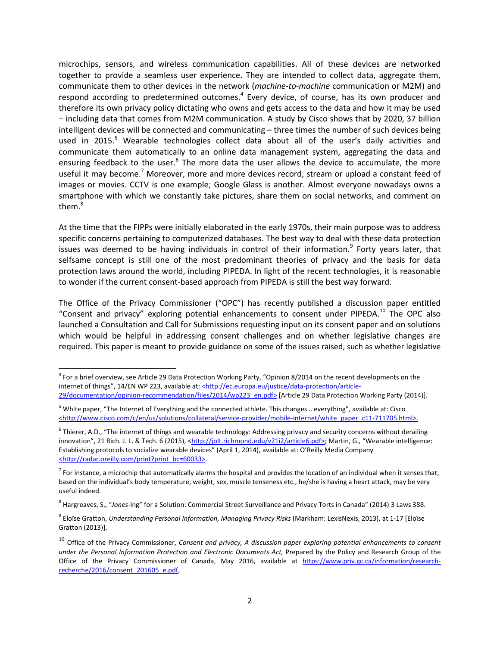microchips, sensors, and wireless communication capabilities. All of these devices are networked together to provide a seamless user experience. They are intended to collect data, aggregate them, communicate them to other devices in the network (*machine-to-machine* communication or M2M) and respond according to predetermined outcomes.<sup>[4](#page-3-0)</sup> Every device, of course, has its own producer and therefore its own privacy policy dictating who owns and gets access to the data and how it may be used – including data that comes from M2M communication. A study by Cisco shows that by 2020, 37 billion intelligent devices will be connected and communicating – three times the number of such devices being used in 201[5](#page-3-1).<sup>5</sup> Wearable technologies collect data about all of the user's daily activities and communicate them automatically to an online data management system, aggregating the data and ensuring feedback to the user.<sup>[6](#page-3-2)</sup> The more data the user allows the device to accumulate, the more useful it may become.<sup>[7](#page-3-3)</sup> Moreover, more and more devices record, stream or upload a constant feed of images or movies. CCTV is one example; Google Glass is another. Almost everyone nowadays owns a smartphone with which we constantly take pictures, share them on social networks, and comment on them.<sup>[8](#page-3-4)</sup>

At the time that the FIPPs were initially elaborated in the early 1970s, their main purpose was to address specific concerns pertaining to computerized databases. The best way to deal with these data protection issues was deemed to be having individuals in control of their information.<sup>[9](#page-3-5)</sup> Forty years later, that selfsame concept is still one of the most predominant theories of privacy and the basis for data protection laws around the world, including PIPEDA. In light of the recent technologies, it is reasonable to wonder if the current consent-based approach from PIPEDA is still the best way forward.

The Office of the Privacy Commissioner ("OPC") has recently published a discussion paper entitled "Consent and privacy" exploring potential enhancements to consent under PIPEDA.<sup>[10](#page-3-6)</sup> The OPC also launched a Consultation and Call for Submissions requesting input on its consent paper and on solutions which would be helpful in addressing consent challenges and on whether legislative changes are required. This paper is meant to provide guidance on some of the issues raised, such as whether legislative

<span id="page-3-0"></span><sup>&</sup>lt;sup>4</sup> For a brief overview, see Article 29 Data Protection Working Party, "Opinion 8/2014 on the recent developments on the internet of things", 14/EN WP 223, available at: <http://ec.europa.eu/justice/data-protection/article-29/documentation/opinion-recommendation/files/2014/wp223\_en.pdf> [Article 29 Data Protection Working Party (2014)].

<span id="page-3-1"></span><sup>5</sup> White paper, "The Internet of Everything and the connected athlete. This changes… everything", available at: Cisco <http://www.cisco.com/c/en/us/solutions/collateral/service-provider/mobile-internet/white\_paper\_c11-711705.html>.

<span id="page-3-2"></span> $^6$  Thierer, A.D., "The internet of things and wearable technology: Addressing privacy and security concerns without derailing innovation", 21 Rich. J. L. & Tech. 6 (2015), <http://jolt.richmond.edu/v21i2/article6.pdf>; Martin, G., "Wearable intelligence: Establishing protocols to socialize wearable devices" (April 1, 2014), available at: O'Reilly Media Company <http://radar.oreilly.com/print?print\_bc=60033>.

<span id="page-3-3"></span> $^7$  For instance, a microchip that automatically alarms the hospital and provides the location of an individual when it senses that, based on the individual's body temperature, weight, sex, muscle tenseness etc., he/she is having a heart attack, may be very useful indeed.

<span id="page-3-4"></span><sup>8</sup> Hargreaves, S., "*Jones*-ing" for a Solution: Commercial Street Surveillance and Privacy Torts in Canada" (2014) 3 Laws 388.

<span id="page-3-5"></span><sup>&</sup>lt;sup>9</sup> Eloïse Gratton, *Understanding Personal Information, Managing Privacy Risks* (Markham: LexisNexis, 2013), at 1-17 [Eloïse Gratton (2013)].

<span id="page-3-6"></span><sup>10</sup> Office of the Privacy Commissioner, *Consent and privacy, A discussion paper exploring potential enhancements to consent under the Personal Information Protection and Electronic Documents Act,* Prepared by the Policy and Research Group of the Office of the Privacy Commissioner of Canada, May 2016, available at https://www.priv.gc.ca/information/researchrecherche/2016/consent\_201605\_e.pdf,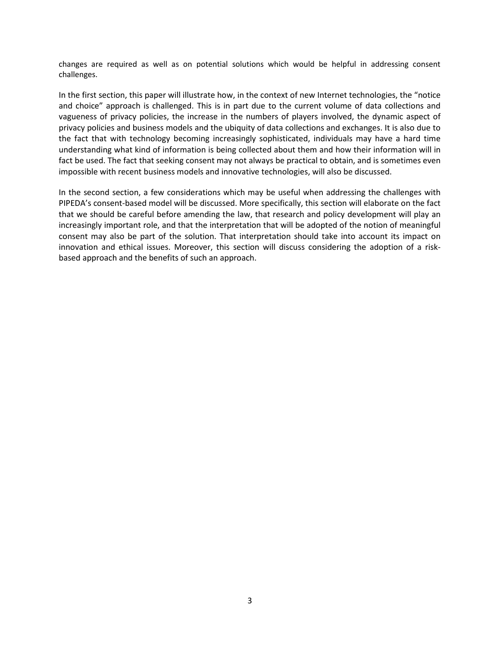changes are required as well as on potential solutions which would be helpful in addressing consent challenges.

In the first section, this paper will illustrate how, in the context of new Internet technologies, the "notice and choice" approach is challenged. This is in part due to the current volume of data collections and vagueness of privacy policies, the increase in the numbers of players involved, the dynamic aspect of privacy policies and business models and the ubiquity of data collections and exchanges. It is also due to the fact that with technology becoming increasingly sophisticated, individuals may have a hard time understanding what kind of information is being collected about them and how their information will in fact be used. The fact that seeking consent may not always be practical to obtain, and is sometimes even impossible with recent business models and innovative technologies, will also be discussed.

In the second section, a few considerations which may be useful when addressing the challenges with PIPEDA's consent-based model will be discussed. More specifically, this section will elaborate on the fact that we should be careful before amending the law, that research and policy development will play an increasingly important role, and that the interpretation that will be adopted of the notion of meaningful consent may also be part of the solution. That interpretation should take into account its impact on innovation and ethical issues. Moreover, this section will discuss considering the adoption of a riskbased approach and the benefits of such an approach.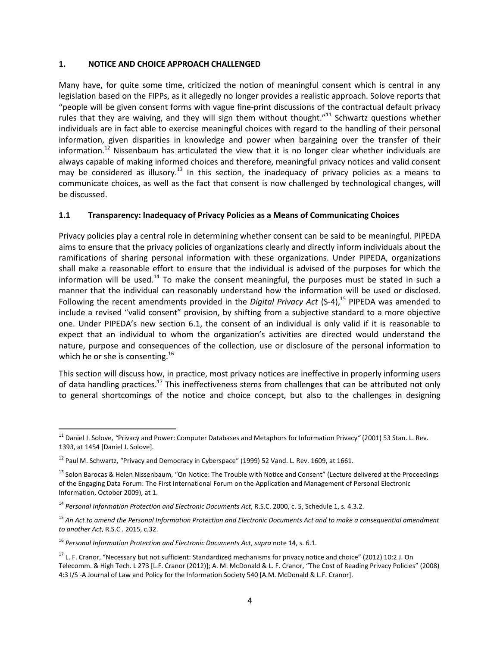#### <span id="page-5-0"></span>**1. NOTICE AND CHOICE APPROACH CHALLENGED**

Many have, for quite some time, criticized the notion of meaningful consent which is central in any legislation based on the FIPPs, as it allegedly no longer provides a realistic approach. Solove reports that "people will be given consent forms with vague fine-print discussions of the contractual default privacy rules that they are waiving, and they will sign them without thought."<sup>[11](#page-5-2)</sup> Schwartz questions whether individuals are in fact able to exercise meaningful choices with regard to the handling of their personal information, given disparities in knowledge and power when bargaining over the transfer of their information.<sup>[12](#page-5-3)</sup> Nissenbaum has articulated the view that it is no longer clear whether individuals are always capable of making informed choices and therefore, meaningful privacy notices and valid consent may be considered as illusory.<sup>[13](#page-5-4)</sup> In this section, the inadequacy of privacy policies as a means to communicate choices, as well as the fact that consent is now challenged by technological changes, will be discussed.

### <span id="page-5-1"></span>**1.1 Transparency: Inadequacy of Privacy Policies as a Means of Communicating Choices**

Privacy policies play a central role in determining whether consent can be said to be meaningful. PIPEDA aims to ensure that the privacy policies of organizations clearly and directly inform individuals about the ramifications of sharing personal information with these organizations. Under PIPEDA, organizations shall make a reasonable effort to ensure that the individual is advised of the purposes for which the information will be used.<sup>[14](#page-5-5)</sup> To make the consent meaningful, the purposes must be stated in such a manner that the individual can reasonably understand how the information will be used or disclosed. Following the recent amendments provided in the *Digital Privacy Act* (S-4),<sup>[15](#page-5-6)</sup> PIPEDA was amended to include a revised "valid consent" provision, by shifting from a subjective standard to a more objective one. Under PIPEDA's new section 6.1, the consent of an individual is only valid if it is reasonable to expect that an individual to whom the organization's activities are directed would understand the nature, purpose and consequences of the collection, use or disclosure of the personal information to which he or she is consenting.<sup>[16](#page-5-7)</sup>

This section will discuss how, in practice, most privacy notices are ineffective in properly informing users of data handling practices.<sup>[17](#page-5-8)</sup> This ineffectiveness stems from challenges that can be attributed not only to general shortcomings of the notice and choice concept, but also to the challenges in designing

<span id="page-5-2"></span><sup>11</sup> Daniel J. Solove, *"*Privacy and Power: Computer Databases and Metaphors for Information Privacy*"* (2001) 53 Stan. L. Rev. 1393, at 1454 [Daniel J. Solove].

<span id="page-5-3"></span> $12$  Paul M. Schwartz, "Privacy and Democracy in Cyberspace" (1999) 52 Vand. L. Rev. 1609, at 1661.

<span id="page-5-4"></span><sup>&</sup>lt;sup>13</sup> Solon Barocas & Helen Nissenbaum, "On Notice: The Trouble with Notice and Consent" (Lecture delivered at the Proceedings of the Engaging Data Forum: The First International Forum on the Application and Management of Personal Electronic Information, October 2009), at 1.

<span id="page-5-5"></span><sup>14</sup> *Personal Information Protection and Electronic Documents Act*, R.S.C. 2000, c. 5, Schedule 1, s. 4.3.2.

<span id="page-5-6"></span><sup>15</sup> *An Act to amend the Personal Information Protection and Electronic Documents Act and to make a consequential amendment to another Act*, R.S.C . 2015, c.32.

<span id="page-5-7"></span><sup>16</sup> *Personal Information Protection and Electronic Documents Act*, *supra* note 14, s. 6.1.

<span id="page-5-8"></span> $17$  L. F. Cranor, "Necessary but not sufficient: Standardized mechanisms for privacy notice and choice" (2012) 10:2 J. On Telecomm. & High Tech. L 273 [L.F. Cranor (2012)]; A. M. McDonald & L. F. Cranor, "The Cost of Reading Privacy Policies" (2008) 4:3 I/S -A Journal of Law and Policy for the Information Society 540 [A.M. McDonald & L.F. Cranor].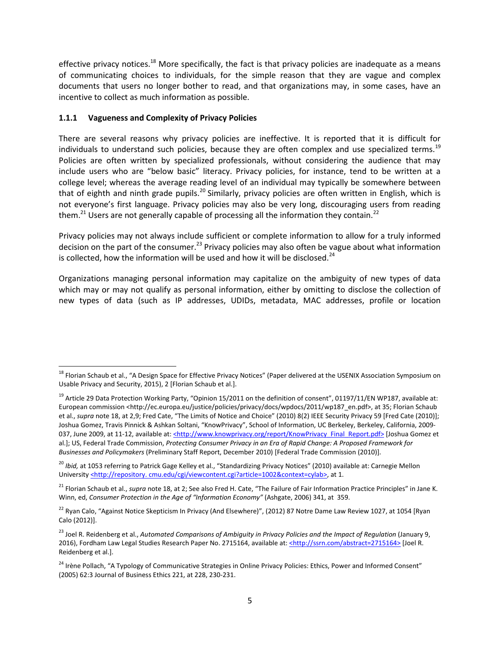effective privacy notices.<sup>[18](#page-6-1)</sup> More specifically, the fact is that privacy policies are inadequate as a means of communicating choices to individuals, for the simple reason that they are vague and complex documents that users no longer bother to read, and that organizations may, in some cases, have an incentive to collect as much information as possible.

## <span id="page-6-0"></span>**1.1.1 Vagueness and Complexity of Privacy Policies**

There are several reasons why privacy policies are ineffective. It is reported that it is difficult for individuals to understand such policies, because they are often complex and use specialized terms.<sup>[19](#page-6-2)</sup> Policies are often written by specialized professionals, without considering the audience that may include users who are "below basic" literacy. Privacy policies, for instance, tend to be written at a college level; whereas the average reading level of an individual may typically be somewhere between that of eighth and ninth grade pupils.<sup>[20](#page-6-3)</sup> Similarly, privacy policies are often written in English, which is not everyone's first language. Privacy policies may also be very long, discouraging users from reading them.<sup>[21](#page-6-4)</sup> Users are not generally capable of processing all the information they contain.<sup>[22](#page-6-5)</sup>

Privacy policies may not always include sufficient or complete information to allow for a truly informed decision on the part of the consumer.<sup>[23](#page-6-6)</sup> Privacy policies may also often be vague about what information is collected, how the information will be used and how it will be disclosed.<sup>[24](#page-6-7)</sup>

Organizations managing personal information may capitalize on the ambiguity of new types of data which may or may not qualify as personal information, either by omitting to disclose the collection of new types of data (such as IP addresses, UDIDs, metadata, MAC addresses, profile or location

<span id="page-6-1"></span><sup>&</sup>lt;sup>18</sup> Florian Schaub et al., "A Design Space for Effective Privacy Notices" (Paper delivered at the USENIX Association Symposium on Usable Privacy and Security, 2015), 2 [Florian Schaub et al.].

<span id="page-6-2"></span><sup>&</sup>lt;sup>19</sup> Article 29 Data Protection Working Party, "Opinion 15/2011 on the definition of consent", 01197/11/EN WP187, available at: European commission <http://ec.europa.eu/justice/policies/privacy/docs/wpdocs/2011/wp187\_en.pdf>, at 35; Florian Schaub et al., *supra* note 18, at 2,9; Fred Cate, "The Limits of Notice and Choice" (2010) 8(2) IEEE Security Privacy 59 [Fred Cate (2010)]; Joshua Gomez, Travis Pinnick & Ashkan Soltani, "KnowPrivacy", School of Information, UC Berkeley, Berkeley, California, 2009- 037, June 2009, at 11-12, available at: <http://www.knowprivacy.org/report/KnowPrivacy\_Final\_Report.pdf> [Joshua Gomez et al.]; US, Federal Trade Commission, *Protecting Consumer Privacy in an Era of Rapid Change: A Proposed Framework for Businesses and Policymakers* (Preliminary Staff Report, December 2010) [Federal Trade Commission (2010)].

<span id="page-6-3"></span><sup>&</sup>lt;sup>20</sup> *Ibid*, at 1053 referring to Patrick Gage Kelley et al., "Standardizing Privacy Notices" (2010) available at: Carnegie Mellon University <http://repository.cmu.edu/cgi/viewcontent.cgi?article=1002&context=cylab>, at 1.

<span id="page-6-4"></span><sup>&</sup>lt;sup>21</sup> Florian Schaub et al., *supra* note 18, at 2; See also Fred H. Cate, "The Failure of Fair Information Practice Principles" in Jane K. Winn, ed, *Consumer Protection in the Age of "Information Economy"* (Ashgate, 2006) 341, at 359.

<span id="page-6-5"></span><sup>&</sup>lt;sup>22</sup> Ryan Calo, "Against Notice Skepticism In Privacy (And Elsewhere)", (2012) 87 Notre Dame Law Review 1027, at 1054 [Ryan Calo (2012)].

<span id="page-6-6"></span><sup>&</sup>lt;sup>23</sup> Joel R. Reidenberg et al., *Automated Comparisons of Ambiguity in Privacy Policies and the Impact of Regulation (January 9,* 2016), Fordham Law Legal Studies Research Paper No. 2715164, available at: <http://ssrn.com/abstract=2715164> [Joel R. Reidenberg et al.].

<span id="page-6-7"></span><sup>&</sup>lt;sup>24</sup> Irène Pollach, "A Typology of Communicative Strategies in Online Privacy Policies: Ethics, Power and Informed Consent" (2005) 62:3 Journal of Business Ethics 221, at 228, 230-231.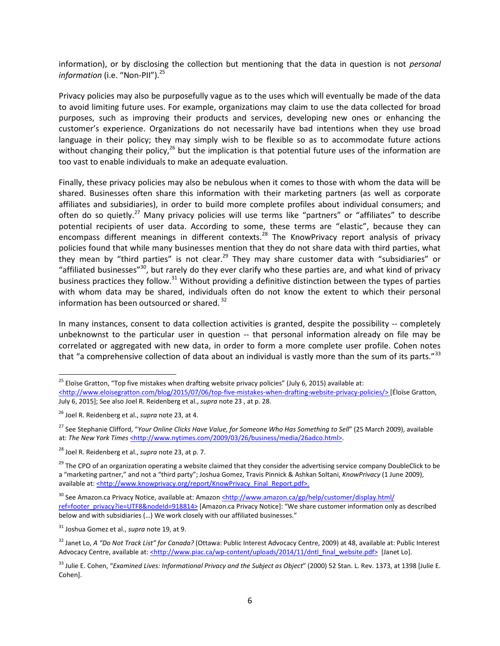information), or by disclosing the collection but mentioning that the data in question is not *personal information* (i.e. "Non-PII").<sup>[25](#page-7-0)</sup>

Privacy policies may also be purposefully vague as to the uses which will eventually be made of the data to avoid limiting future uses. For example, organizations may claim to use the data collected for broad purposes, such as improving their products and services, developing new ones or enhancing the customer's experience. Organizations do not necessarily have bad intentions when they use broad language in their policy; they may simply wish to be flexible so as to accommodate future actions without changing their policy,<sup>[26](#page-7-1)</sup> but the implication is that potential future uses of the information are too vast to enable individuals to make an adequate evaluation.

Finally, these privacy policies may also be nebulous when it comes to those with whom the data will be shared. Businesses often share this information with their marketing partners (as well as corporate affiliates and subsidiaries), in order to build more complete profiles about individual consumers; and often do so quietly.<sup>[27](#page-7-2)</sup> Many privacy policies will use terms like "partners" or "affiliates" to describe potential recipients of user data. According to some, these terms are "elastic", because they can encompass different meanings in different contexts.<sup>[28](#page-7-3)</sup> The KnowPrivacy report analysis of privacy policies found that while many businesses mention that they do not share data with third parties, what they mean by "third parties" is not clear.<sup>[29](#page-7-4)</sup> They may share customer data with "subsidiaries" or ["](#page-7-5)affiliated businesses"<sup>30</sup>, but rarely do they ever clarify who these parties are, and what kind of privacy business practices they follow.<sup>[31](#page-7-6)</sup> Without providing a definitive distinction between the types of parties with whom data may be shared, individuals often do not know the extent to which their personal information has been outsourced or shared.<sup>[32](#page-7-7)</sup>

In many instances, consent to data collection activities is granted, despite the possibility -- completely unbeknownst to the particular user in question -- that personal information already on file may be correlated or aggregated with new data, in order to form a more complete user profile. Cohen notes that "a comprehensive collection of data about an individual is vastly more than the sum of its parts."<sup>[33](#page-7-8)</sup>

<span id="page-7-0"></span><sup>&</sup>lt;sup>25</sup> Eloïse Gratton, "Top five mistakes when drafting website privacy policies" (July 6, 2015) available at: <http://www.eloisegratton.com/blog/2015/07/06/top-five-mistakes-when-drafting-website-privacy-policies/> [Éloïse Gratton,

July 6, 2015]; See also Joel R. Reidenberg et al., *supra* note 23 , at p. 28.

<span id="page-7-1"></span><sup>26</sup> Joel R. Reidenberg et al., *supra* note 23, at 4.

<span id="page-7-2"></span><sup>27</sup> See Stephanie Clifford, "*Your Online Clicks Have Value, for Someone Who Has Something to Sell*" (25 March 2009), available at: The New York Times <http://www.nytimes.com/2009/03/26/business/media/26adco.html>.

<span id="page-7-3"></span><sup>28</sup> Joel R. Reidenberg et al., *supra* note 23, at p. 7.

<span id="page-7-4"></span><sup>&</sup>lt;sup>29</sup> The CPO of an organization operating a website claimed that they consider the advertising service company DoubleClick to be a "marketing partner," and not a "third party"; Joshua Gomez, Travis Pinnick & Ashkan Soltani, *KnowPrivacy* (1 June 2009), available at: <http://www.knowprivacy.org/report/KnowPrivacy\_Final\_Report.pdf>.

<span id="page-7-5"></span><sup>&</sup>lt;sup>30</sup> See Amazon.ca Privacy Notice, available at: Amazon <http://www.amazon.ca/gp/help/customer/display.html/ ref=footer\_privacy?ie=UTF8&nodeId=918814> [Amazon.ca Privacy Notice]: "We share customer information only as described below and with subsidiaries (…) We work closely with our affiliated businesses."

<span id="page-7-6"></span><sup>31</sup> Joshua Gomez et al., *supra* note 19, at 9.

<span id="page-7-7"></span><sup>32</sup> Janet Lo, *A "Do Not Track List" for Canada?* (Ottawa: Public Interest Advocacy Centre, 2009) at 48, available at: Public Interest Advocacy Centre, available at: <http://www.piac.ca/wp-content/uploads/2014/11/dntl\_final\_website.pdf> [Janet Lo].

<span id="page-7-8"></span><sup>&</sup>lt;sup>33</sup> Julie E. Cohen, "Examined Lives: Informational Privacy and the Subject as Object" (2000) 52 Stan. L. Rev. 1373, at 1398 [Julie E. Cohen].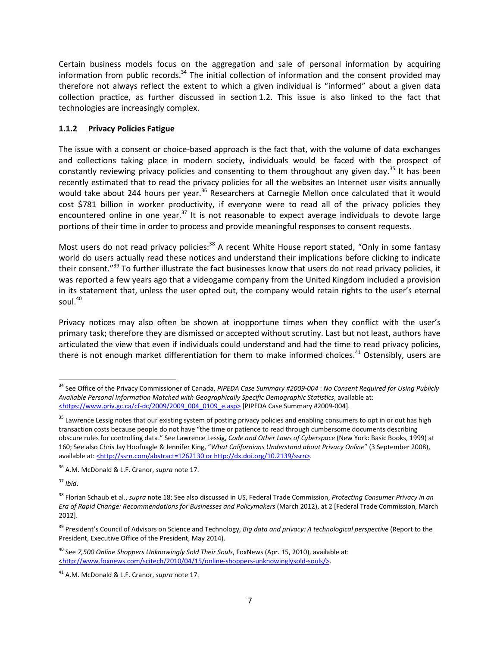Certain business models focus on the aggregation and sale of personal information by acquiring information from public records. $34$  The initial collection of information and the consent provided may therefore not always reflect the extent to which a given individual is "informed" about a given data collection practice, as further discussed in section [1.2](#page-11-0). This issue is also linked to the fact that technologies are increasingly complex.

## <span id="page-8-0"></span>**1.1.2 Privacy Policies Fatigue**

The issue with a consent or choice-based approach is the fact that, with the volume of data exchanges and collections taking place in modern society, individuals would be faced with the prospect of constantly reviewing privacy policies and consenting to them throughout any given day.<sup>[35](#page-8-2)</sup> It has been recently estimated that to read the privacy policies for all the websites an Internet user visits annually would take about 244 hours per year.<sup>[36](#page-8-3)</sup> Researchers at Carnegie Mellon once calculated that it would cost \$781 billion in worker productivity, if everyone were to read all of the privacy policies they encountered online in one year. $37$  It is not reasonable to expect average individuals to devote large portions of their time in order to process and provide meaningful responses to consent requests.

Most users do not read privacy policies:<sup>[38](#page-8-5)</sup> A recent White House report stated, "Only in some fantasy world do users actually read these notices and understand their implications before clicking to indicate their consent."[39](#page-8-6) To further illustrate the fact businesses know that users do not read privacy policies, it was reported a few years ago that a videogame company from the United Kingdom included a provision in its statement that, unless the user opted out, the company would retain rights to the user's eternal soul.<sup>[40](#page-8-7)</sup>

Privacy notices may also often be shown at inopportune times when they conflict with the user's primary task; therefore they are dismissed or accepted without scrutiny. Last but not least, authors have articulated the view that even if individuals could understand and had the time to read privacy policies, there is not enough market differentiation for them to make informed choices.<sup>[41](#page-8-8)</sup> Ostensibly, users are

<span id="page-8-4"></span><sup>37</sup> *Ibid*.

<span id="page-8-1"></span><sup>34</sup> See Office of the Privacy Commissioner of Canada, *PIPEDA Case Summary #2009-004* : *No Consent Required for Using Publicly Available Personal Information Matched with Geographically Specific Demographic Statistics*, available at: <https://www.priv.gc.ca/cf-dc/2009/2009\_004\_0109\_e.asp> [PIPEDA Case Summary #2009-004].

<span id="page-8-2"></span><sup>&</sup>lt;sup>35</sup> Lawrence Lessig notes that our existing system of posting privacy policies and enabling consumers to opt in or out has high transaction costs because people do not have "the time or patience to read through cumbersome documents describing obscure rules for controlling data." See Lawrence Lessig, *Code and Other Laws of Cyberspace* (New York: Basic Books, 1999) at 160; See also Chris Jay Hoofnagle & Jennifer King, "*What Californians Understand about Privacy Online*" (3 September 2008), available at: <http://ssrn.com/abstract=1262130 or http://dx.doi.org/10.2139/ssrn>.

<span id="page-8-3"></span><sup>36</sup> A.M. McDonald & L.F. Cranor, *supra* note 17.

<span id="page-8-5"></span><sup>38</sup> Florian Schaub et al., *supra* note 18; See also discussed in US, Federal Trade Commission, *Protecting Consumer Privacy in an Era of Rapid Change: Recommendations for Businesses and Policymakers* (March 2012), at 2 [Federal Trade Commission, March 2012].

<span id="page-8-6"></span><sup>39</sup> President's Council of Advisors on Science and Technology, *Big data and privacy: A technological perspective* (Report to the President, Executive Office of the President, May 2014).

<span id="page-8-7"></span><sup>40</sup> See *7,500 Online Shoppers Unknowingly Sold Their Souls*, FoxNews (Apr. 15, 2010), available at: <http://www.foxnews.com/scitech/2010/04/15/online-shoppers-unknowinglysold-souls/>.

<span id="page-8-8"></span><sup>41</sup> A.M. McDonald & L.F. Cranor, *supra* note 17.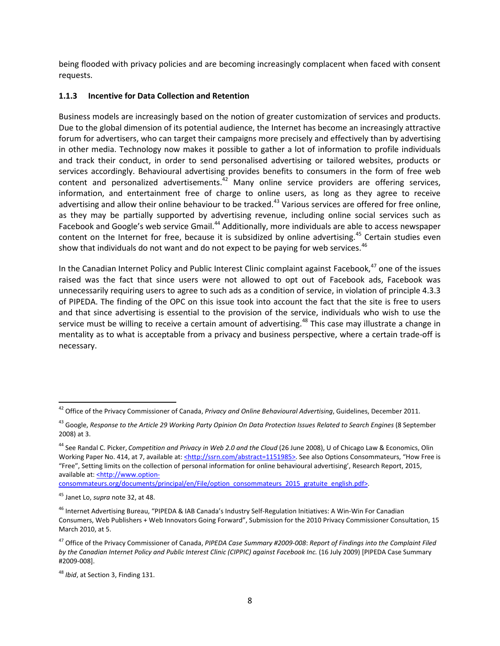being flooded with privacy policies and are becoming increasingly complacent when faced with consent requests.

## <span id="page-9-0"></span>**1.1.3 Incentive for Data Collection and Retention**

Business models are increasingly based on the notion of greater customization of services and products. Due to the global dimension of its potential audience, the Internet has become an increasingly attractive forum for advertisers, who can target their campaigns more precisely and effectively than by advertising in other media. Technology now makes it possible to gather a lot of information to profile individuals and track their conduct, in order to send personalised advertising or tailored websites, products or services accordingly. Behavioural advertising provides benefits to consumers in the form of free web content and personalized advertisements.<sup>[42](#page-9-1)</sup> Many online service providers are offering services, information, and entertainment free of charge to online users, as long as they agree to receive advertising and allow their online behaviour to be tracked.<sup>[43](#page-9-2)</sup> Various services are offered for free online, as they may be partially supported by advertising revenue, including online social services such as Facebook and Google's web service Gmail.<sup>[44](#page-9-3)</sup> Additionally, more individuals are able to access newspaper content on the Internet for free, because it is subsidized by online advertising.<sup>[45](#page-9-4)</sup> Certain studies even show that individuals do not want and do not expect to be paying for web services. $46$ 

In the Canadian Internet Policy and Public Interest Clinic complaint against Facebook, $47$  one of the issues raised was the fact that since users were not allowed to opt out of Facebook ads, Facebook was unnecessarily requiring users to agree to such ads as a condition of service, in violation of principle 4.3.3 of PIPEDA. The finding of the OPC on this issue took into account the fact that the site is free to users and that since advertising is essential to the provision of the service, individuals who wish to use the service must be willing to receive a certain amount of advertising.<sup>[48](#page-9-7)</sup> This case may illustrate a change in mentality as to what is acceptable from a privacy and business perspective, where a certain trade-off is necessary.

consommateurs.org/documents/principal/en/File/option\_consommateurs\_2015\_gratuite\_english.pdf>.

<span id="page-9-1"></span><sup>42</sup> Office of the Privacy Commissioner of Canada, *Privacy and Online Behavioural Advertising*, Guidelines, December 2011.

<span id="page-9-2"></span><sup>43</sup> Google, *Response to the Article 29 Working Party Opinion On Data Protection Issues Related to Search Engines* (8 September 2008) at 3.

<span id="page-9-3"></span><sup>44</sup> See Randal C. Picker, *Competition and Privacy in Web 2.0 and the Cloud* (26 June 2008), U of Chicago Law & Economics, Olin Working Paper No. 414, at 7, available at: <http://ssrn.com/abstract=1151985>. See also Options Consommateurs, "How Free is "Free", Setting limits on the collection of personal information for online behavioural advertising', Research Report, 2015, available at: <http://www.option-

<span id="page-9-4"></span><sup>45</sup> Janet Lo, *supra* note 32, at 48.

<span id="page-9-5"></span><sup>&</sup>lt;sup>46</sup> Internet Advertising Bureau, "PIPEDA & IAB Canada's Industry Self-Regulation Initiatives: A Win-Win For Canadian Consumers, Web Publishers + Web Innovators Going Forward", Submission for the 2010 Privacy Commissioner Consultation, 15 March 2010, at 5.

<span id="page-9-6"></span><sup>47</sup> Office of the Privacy Commissioner of Canada, *PIPEDA Case Summary #2009-008*: *Report of Findings into the Complaint Filed by the Canadian Internet Policy and Public Interest Clinic (CIPPIC) against Facebook Inc.* (16 July 2009) [PIPEDA Case Summary #2009-008].

<span id="page-9-7"></span><sup>48</sup> *Ibid*, at Section 3, Finding 131.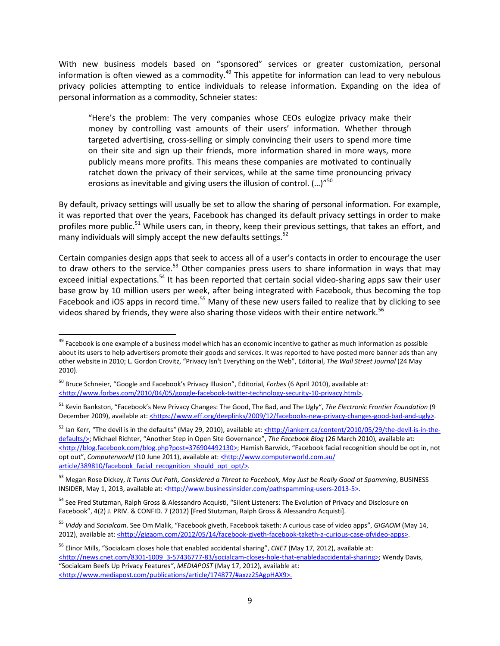With new business models based on "sponsored" services or greater customization, personal information is often viewed as a commodity.<sup>[49](#page-10-0)</sup> This appetite for information can lead to very nebulous privacy policies attempting to entice individuals to release information. Expanding on the idea of personal information as a commodity, Schneier states:

"Here's the problem: The very companies whose CEOs eulogize privacy make their money by controlling vast amounts of their users' information. Whether through targeted advertising, cross-selling or simply convincing their users to spend more time on their site and sign up their friends, more information shared in more ways, more publicly means more profits. This means these companies are motivated to continually ratchet down the privacy of their services, while at the same time pronouncing privacy erosions as inevitable and giving users the illusion of control. (...)"<sup>[50](#page-10-1)</sup>

By default, privacy settings will usually be set to allow the sharing of personal information. For example, it was reported that over the years, Facebook has changed its default privacy settings in order to make profiles more public.<sup>[51](#page-10-2)</sup> While users can, in theory, keep their previous settings, that takes an effort, and many individuals will simply accept the new defaults settings.<sup>[52](#page-10-3)</sup>

Certain companies design apps that seek to access all of a user's contacts in order to encourage the user to draw others to the service.<sup>[53](#page-10-4)</sup> Other companies press users to share information in ways that may exceed initial expectations.<sup>[54](#page-10-5)</sup> It has been reported that certain social video-sharing apps saw their user base grow by 10 million users per week, after being integrated with Facebook, thus becoming the top Facebook and iOS apps in record time.<sup>[55](#page-10-6)</sup> Many of these new users failed to realize that by clicking to see videos shared by friends, they were also sharing those videos with their entire network.<sup>[56](#page-10-7)</sup>

<span id="page-10-3"></span><sup>52</sup> Ian Kerr, "The devil is in the defaults*"* (May 29, 2010), available at: <http://iankerr.ca/content/2010/05/29/the-devil-is-in-thedefaults/>; Michael Richter, "Another Step in Open Site Governance", *The Facebook Blog* (26 March 2010), available at: <http://blog.facebook.com/blog.php?post=376904492130>; Hamish Barwick, "Facebook facial recognition should be opt in, not opt out", *Computerworld* (10 June 2011), available at: <http://www.computerworld.com.au/ article/389810/facebook facial recognition should opt opt/>.

<span id="page-10-4"></span><sup>53</sup> Megan Rose Dickey, *It Turns Out Path, Considered a Threat to Facebook, May Just be Really Good at Spamming*, BUSINESS INSIDER, May 1, 2013, available at: <http://www.businessinsider.com/pathspamming-users-2013-5>.

<span id="page-10-0"></span><sup>&</sup>lt;sup>49</sup> Facebook is one example of a business model which has an economic incentive to gather as much information as possible about its users to help advertisers promote their goods and services. It was reported to have posted more banner ads than any other website in 2010; L. Gordon Crovitz, "Privacy Isn't Everything on the Web", Editorial, *The Wall Street Journal* (24 May 2010).

<span id="page-10-1"></span><sup>50</sup> Bruce Schneier, "Google and Facebook's Privacy Illusion", Editorial, *Forbes* (6 April 2010), available at: <http://www.forbes.com/2010/04/05/google-facebook-twitter-technology-security-10-privacy.html>.

<span id="page-10-2"></span><sup>51</sup> Kevin Bankston, "Facebook's New Privacy Changes: The Good, The Bad, and The Ugly", *The Electronic Frontier Foundation* (9 December 2009), available at: <https://www.eff.org/deeplinks/2009/12/facebooks-new-privacy-changes-good-bad-and-ugly>.

<span id="page-10-5"></span><sup>&</sup>lt;sup>54</sup> See Fred Stutzman, Ralph Gross & Alessandro Acquisti, "Silent Listeners: The Evolution of Privacy and Disclosure on Facebook", 4(2) J. PRIV. & CONFID. 7 (2012) [Fred Stutzman, Ralph Gross & Alessandro Acquisti].

<span id="page-10-6"></span><sup>55</sup> *Viddy* and *Socialcam*. See Om Malik, "Facebook giveth, Facebook taketh: A curious case of video apps", *GIGAOM* (May 14, 2012), available at: <http://gigaom.com/2012/05/14/facebook-giveth-facebook-taketh-a-curious-case-ofvideo-apps>.

<span id="page-10-7"></span><sup>56</sup> Elinor Mills, "Socialcam closes hole that enabled accidental sharing", *CNET* (May 17, 2012), available at: <http://news.cnet.com/8301-1009\_3-57436777-83/socialcam-closes-hole-that-enabledaccidental-sharing>; Wendy Davis, "Socialcam Beefs Up Privacy Features*"*, *MEDIAPOST* (May 17, 2012), available at: <http://www.mediapost.com/publications/article/174877/#axzz2SAgpHAX9>.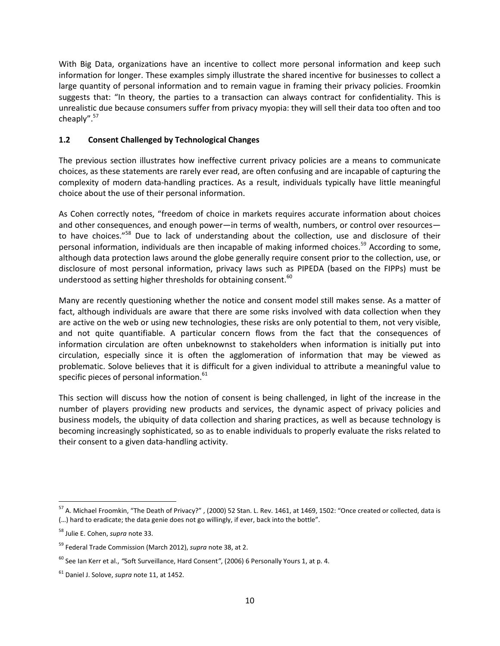With Big Data, organizations have an incentive to collect more personal information and keep such information for longer. These examples simply illustrate the shared incentive for businesses to collect a large quantity of personal information and to remain vague in framing their privacy policies. Froomkin suggests that: "In theory, the parties to a transaction can always contract for confidentiality. This is unrealistic due because consumers suffer from privacy myopia: they will sell their data too often and too cheaply".[57](#page-11-1)

## <span id="page-11-0"></span>**1.2 Consent Challenged by Technological Changes**

The previous section illustrates how ineffective current privacy policies are a means to communicate choices, as these statements are rarely ever read, are often confusing and are incapable of capturing the complexity of modern data-handling practices. As a result, individuals typically have little meaningful choice about the use of their personal information.

As Cohen correctly notes, "freedom of choice in markets requires accurate information about choices and other consequences, and enough power—in terms of wealth, numbers, or control over resources— to have choices."<sup>[58](#page-11-2)</sup> Due to lack of understanding about the collection, use and disclosure of their personal information, individuals are then incapable of making informed choices.<sup>[59](#page-11-3)</sup> According to some, although data protection laws around the globe generally require consent prior to the collection, use, or disclosure of most personal information, privacy laws such as PIPEDA (based on the FIPPs) must be understood as setting higher thresholds for obtaining consent.<sup>[60](#page-11-4)</sup>

Many are recently questioning whether the notice and consent model still makes sense. As a matter of fact, although individuals are aware that there are some risks involved with data collection when they are active on the web or using new technologies, these risks are only potential to them, not very visible, and not quite quantifiable. A particular concern flows from the fact that the consequences of information circulation are often unbeknownst to stakeholders when information is initially put into circulation, especially since it is often the agglomeration of information that may be viewed as problematic. Solove believes that it is difficult for a given individual to attribute a meaningful value to specific pieces of personal information.<sup>[61](#page-11-5)</sup>

This section will discuss how the notion of consent is being challenged, in light of the increase in the number of players providing new products and services, the dynamic aspect of privacy policies and business models, the ubiquity of data collection and sharing practices, as well as because technology is becoming increasingly sophisticated, so as to enable individuals to properly evaluate the risks related to their consent to a given data-handling activity.

<span id="page-11-1"></span><sup>57</sup> A. Michael Froomkin, "The Death of Privacy?" , (2000) 52 Stan. L. Rev. 1461, at 1469, 1502: "Once created or collected, data is (…) hard to eradicate; the data genie does not go willingly, if ever, back into the bottle".

<span id="page-11-2"></span><sup>58</sup> Julie E. Cohen, *supra* note 33.

<span id="page-11-3"></span><sup>59</sup> Federal Trade Commission (March 2012), *supra* note 38, at 2.

<span id="page-11-4"></span><sup>60</sup> See Ian Kerr et al., *"*Soft Surveillance, Hard Consent*"*, (2006) 6 Personally Yours 1, at p. 4.

<span id="page-11-5"></span><sup>61</sup> Daniel J. Solove, *supra* note 11, at 1452.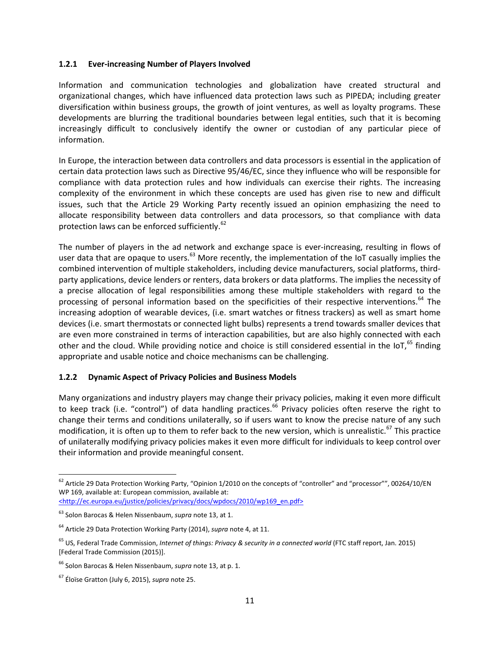#### <span id="page-12-0"></span>**1.2.1 Ever-increasing Number of Players Involved**

Information and communication technologies and globalization have created structural and organizational changes, which have influenced data protection laws such as PIPEDA; including greater diversification within business groups, the growth of joint ventures, as well as loyalty programs. These developments are blurring the traditional boundaries between legal entities, such that it is becoming increasingly difficult to conclusively identify the owner or custodian of any particular piece of information.

In Europe, the interaction between data controllers and data processors is essential in the application of certain data protection laws such as Directive 95/46/EC, since they influence who will be responsible for compliance with data protection rules and how individuals can exercise their rights. The increasing complexity of the environment in which these concepts are used has given rise to new and difficult issues, such that the Article 29 Working Party recently issued an opinion emphasizing the need to allocate responsibility between data controllers and data processors, so that compliance with data protection laws can be enforced sufficiently.<sup>[62](#page-12-2)</sup>

The number of players in the ad network and exchange space is ever-increasing, resulting in flows of user data that are opaque to users.<sup>[63](#page-12-3)</sup> More recently, the implementation of the IoT casually implies the combined intervention of multiple stakeholders, including device manufacturers, social platforms, thirdparty applications, device lenders or renters, data brokers or data platforms. The implies the necessity of a precise allocation of legal responsibilities among these multiple stakeholders with regard to the processing of personal information based on the specificities of their respective interventions.<sup>[64](#page-12-4)</sup> The increasing adoption of wearable devices, (i.e. smart watches or fitness trackers) as well as smart home devices (i.e. smart thermostats or connected light bulbs) represents a trend towards smaller devices that are even more constrained in terms of interaction capabilities, but are also highly connected with each other and the cloud. While providing notice and choice is still considered essential in the IoT,<sup>[65](#page-12-5)</sup> finding appropriate and usable notice and choice mechanisms can be challenging.

### <span id="page-12-1"></span>**1.2.2 Dynamic Aspect of Privacy Policies and Business Models**

Many organizations and industry players may change their privacy policies, making it even more difficult to keep track (i.e. "control") of data handling practices.<sup>[66](#page-12-6)</sup> Privacy policies often reserve the right to change their terms and conditions unilaterally, so if users want to know the precise nature of any such modification, it is often up to them to refer back to the new version, which is unrealistic.<sup>[67](#page-12-7)</sup> This practice of unilaterally modifying privacy policies makes it even more difficult for individuals to keep control over their information and provide meaningful consent.

<span id="page-12-2"></span><sup>&</sup>lt;sup>62</sup> Article 29 Data Protection Working Party, "Opinion 1/2010 on the concepts of "controller" and "processor"", 00264/10/EN WP 169, available at: European commission, available at: <http://ec.europa.eu/justice/policies/privacy/docs/wpdocs/2010/wp169\_en.pdf>

<span id="page-12-3"></span><sup>63</sup> Solon Barocas & Helen Nissenbaum, *supra* note 13, at 1.

<span id="page-12-4"></span><sup>64</sup> Article 29 Data Protection Working Party (2014), *supra* note 4, at 11.

<span id="page-12-5"></span><sup>65</sup> US, Federal Trade Commission, *Internet of things: Privacy & security in a connected world* (FTC staff report, Jan. 2015) [Federal Trade Commission (2015)].

<span id="page-12-6"></span><sup>66</sup> Solon Barocas & Helen Nissenbaum, *supra* note 13, at p. 1.

<span id="page-12-7"></span><sup>67</sup> Éloïse Gratton (July 6, 2015), *supra* note 25.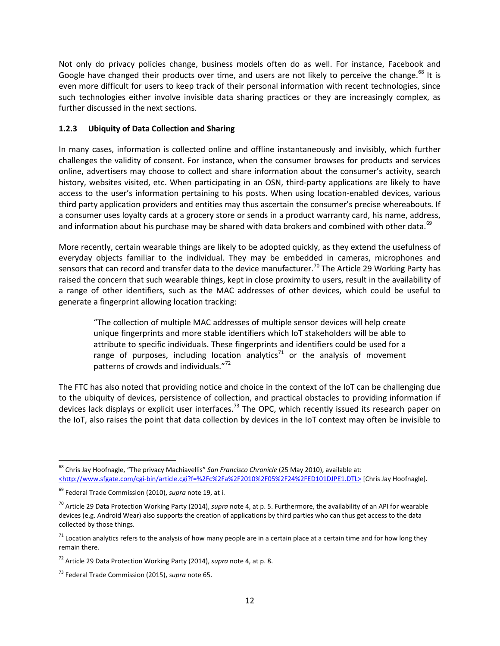Not only do privacy policies change, business models often do as well. For instance, Facebook and Google have changed their products over time, and users are not likely to perceive the change.<sup>[68](#page-13-1)</sup> It is even more difficult for users to keep track of their personal information with recent technologies, since such technologies either involve invisible data sharing practices or they are increasingly complex, as further discussed in the next sections.

## <span id="page-13-0"></span>**1.2.3 Ubiquity of Data Collection and Sharing**

In many cases, information is collected online and offline instantaneously and invisibly, which further challenges the validity of consent. For instance, when the consumer browses for products and services online, advertisers may choose to collect and share information about the consumer's activity, search history, websites visited, etc. When participating in an OSN, third-party applications are likely to have access to the user's information pertaining to his posts. When using location-enabled devices, various third party application providers and entities may thus ascertain the consumer's precise whereabouts. If a consumer uses loyalty cards at a grocery store or sends in a product warranty card, his name, address, and information about his purchase may be shared with data brokers and combined with other data.<sup>[69](#page-13-2)</sup>

More recently, certain wearable things are likely to be adopted quickly, as they extend the usefulness of everyday objects familiar to the individual. They may be embedded in cameras, microphones and sensors that can record and transfer data to the device manufacturer.<sup>[70](#page-13-3)</sup> The Article 29 Working Party has raised the concern that such wearable things, kept in close proximity to users, result in the availability of a range of other identifiers, such as the MAC addresses of other devices, which could be useful to generate a fingerprint allowing location tracking:

"The collection of multiple MAC addresses of multiple sensor devices will help create unique fingerprints and more stable identifiers which IoT stakeholders will be able to attribute to specific individuals. These fingerprints and identifiers could be used for a range of purposes, including location analytics<sup>[71](#page-13-4)</sup> or the analysis of movement patterns of crowds and individuals."<sup>[72](#page-13-5)</sup>

The FTC has also noted that providing notice and choice in the context of the IoT can be challenging due to the ubiquity of devices, persistence of collection, and practical obstacles to providing information if devices lack displays or explicit user interfaces.<sup>[73](#page-13-6)</sup> The OPC, which recently issued its research paper on the IoT, also raises the point that data collection by devices in the IoT context may often be invisible to

<span id="page-13-1"></span><sup>68</sup> Chris Jay Hoofnagle, "The privacy Machiavellis" *San Francisco Chronicle* (25 May 2010), available at: <http://www.sfgate.com/cgi-bin/article.cgi?f=%2Fc%2Fa%2F2010%2F05%2F24%2FED101DJPE1.DTL> [Chris Jay Hoofnagle].

<span id="page-13-2"></span><sup>69</sup> Federal Trade Commission (2010), *supra* note 19, at i.

<span id="page-13-3"></span><sup>70</sup> Article 29 Data Protection Working Party (2014), *supra* note 4, at p. 5. Furthermore, the availability of an API for wearable devices (e.g. Android Wear) also supports the creation of applications by third parties who can thus get access to the data collected by those things.

<span id="page-13-4"></span> $71$  Location analytics refers to the analysis of how many people are in a certain place at a certain time and for how long they remain there.

<span id="page-13-5"></span><sup>72</sup> Article 29 Data Protection Working Party (2014), *supra* note 4, at p. 8.

<span id="page-13-6"></span><sup>73</sup> Federal Trade Commission (2015), *supra* note 65.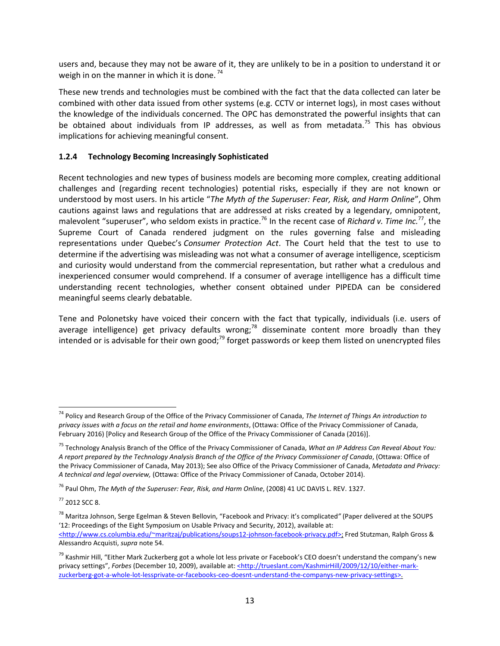users and, because they may not be aware of it, they are unlikely to be in a position to understand it or weigh in on the manner in which it is done.<sup>[74](#page-14-1)</sup>

These new trends and technologies must be combined with the fact that the data collected can later be combined with other data issued from other systems (e.g. CCTV or internet logs), in most cases without the knowledge of the individuals concerned. The OPC has demonstrated the powerful insights that can be obtained about individuals from IP addresses, as well as from metadata.<sup>[75](#page-14-2)</sup> This has obvious implications for achieving meaningful consent.

## <span id="page-14-0"></span>**1.2.4 Technology Becoming Increasingly Sophisticated**

Recent technologies and new types of business models are becoming more complex, creating additional challenges and (regarding recent technologies) potential risks, especially if they are not known or understood by most users. In his article "*The Myth of the Superuser: Fear, Risk, and Harm Online*", Ohm cautions against laws and regulations that are addressed at risks created by a legendary, omnipotent, malevolent "superuser", who seldom exists in practice.<sup>[76](#page-14-3)</sup>In the recent case of *Richard v. Time Inc.*<sup>77</sup>, the Supreme Court of Canada rendered judgment on the rules governing false and misleading representations under Quebec's *Consumer Protection Act*. The Court held that the test to use to determine if the advertising was misleading was not what a consumer of average intelligence, scepticism and curiosity would understand from the commercial representation, but rather what a credulous and inexperienced consumer would comprehend. If a consumer of average intelligence has a difficult time understanding recent technologies, whether consent obtained under PIPEDA can be considered meaningful seems clearly debatable.

Tene and Polonetsky have voiced their concern with the fact that typically, individuals (i.e. users of average intelligence) get privacy defaults wrong;<sup>[78](#page-14-5)</sup> disseminate content more broadly than they intended or is advisable for their own good; $^{79}$  $^{79}$  $^{79}$  forget passwords or keep them listed on unencrypted files

<span id="page-14-1"></span><sup>74</sup> Policy and Research Group of the Office of the Privacy Commissioner of Canada, *The Internet of Things An introduction to privacy issues with a focus on the retail and home environments*, (Ottawa: Office of the Privacy Commissioner of Canada, February 2016) [Policy and Research Group of the Office of the Privacy Commissioner of Canada (2016)].

<span id="page-14-2"></span><sup>75</sup> Technology Analysis Branch of the Office of the Privacy Commissioner of Canada, *What an IP Address Can Reveal About You: A report prepared by the Technology Analysis Branch of the Office of the Privacy Commissioner of Canada*, (Ottawa: Office of the Privacy Commissioner of Canada, May 2013); See also Office of the Privacy Commissioner of Canada, *Metadata and Privacy: A technical and legal overview,* (Ottawa: Office of the Privacy Commissioner of Canada, October 2014).

<span id="page-14-3"></span><sup>76</sup> Paul Ohm, *The Myth of the Superuser: Fear, Risk, and Harm Online*, (2008) 41 UC DAVIS L. REV. 1327.

<span id="page-14-4"></span> $77$  2012 SCC 8.

<span id="page-14-5"></span><sup>78</sup> Maritza Johnson, Serge Egelman & Steven Bellovin, "Facebook and Privacy: it's complicated*"* (Paper delivered at the SOUPS '12: Proceedings of the Eight Symposium on Usable Privacy and Security, 2012), available at: <http://www.cs.columbia.edu/~maritzaj/publications/soups12-johnson-facebook-privacy.pdf>; Fred Stutzman, Ralph Gross & Alessandro Acquisti, *supra* note 54.

<span id="page-14-6"></span><sup>&</sup>lt;sup>79</sup> Kashmir Hill, "Either Mark Zuckerberg got a whole lot less private or Facebook's CEO doesn't understand the company's new privacy settings", Forbes (December 10, 2009), available at: <http://trueslant.com/KashmirHill/2009/12/10/either-markzuckerberg-got-a-whole-lot-lessprivate-or-facebooks-ceo-doesnt-understand-the-companys-new-privacy-settings>.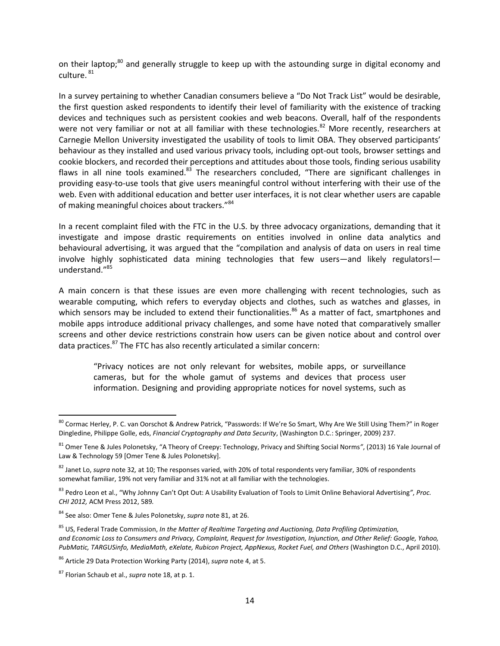on their laptop:<sup>[80](#page-15-0)</sup> and generally struggle to keep up with the astounding surge in digital economy and culture. [81](#page-15-1)

In a survey pertaining to whether Canadian consumers believe a "Do Not Track List" would be desirable, the first question asked respondents to identify their level of familiarity with the existence of tracking devices and techniques such as persistent cookies and web beacons. Overall, half of the respondents were not very familiar or not at all familiar with these technologies.<sup>[82](#page-15-2)</sup> More recently, researchers at Carnegie Mellon University investigated the usability of tools to limit OBA. They observed participants' behaviour as they installed and used various privacy tools, including opt-out tools, browser settings and cookie blockers, and recorded their perceptions and attitudes about those tools, finding serious usability flaws in all nine tools examined.<sup>[83](#page-15-3)</sup> The researchers concluded, "There are significant challenges in providing easy-to-use tools that give users meaningful control without interfering with their use of the web. Even with additional education and better user interfaces, it is not clear whether users are capable of making meaningful choices about trackers."<sup>[84](#page-15-4)</sup>

In a recent complaint filed with the FTC in the U.S. by three advocacy organizations, demanding that it investigate and impose drastic requirements on entities involved in online data analytics and behavioural advertising, it was argued that the "compilation and analysis of data on users in real time involve highly sophisticated data mining technologies that few users—and likely regulators! understand."[85](#page-15-5)

A main concern is that these issues are even more challenging with recent technologies, such as wearable computing, which refers to everyday objects and clothes, such as watches and glasses, in which sensors may be included to extend their functionalities.<sup>[86](#page-15-6)</sup> As a matter of fact, smartphones and mobile apps introduce additional privacy challenges, and some have noted that comparatively smaller screens and other device restrictions constrain how users can be given notice about and control over data practices.<sup>[87](#page-15-7)</sup> The FTC has also recently articulated a similar concern:

"Privacy notices are not only relevant for websites, mobile apps, or surveillance cameras, but for the whole gamut of systems and devices that process user information. Designing and providing appropriate notices for novel systems, such as

<span id="page-15-0"></span><sup>&</sup>lt;sup>80</sup> Cormac Herley, P. C. van Oorschot & Andrew Patrick, "Passwords: If We're So Smart, Why Are We Still Using Them?" in Roger Dingledine, Philippe Golle, eds, *Financial Cryptography and Data Security*, (Washington D.C.: Springer, 2009) 237.

<span id="page-15-1"></span><sup>81</sup> Omer Tene & Jules Polonetsky, "A Theory of Creepy: Technology, Privacy and Shifting Social Norms*"*, (2013) 16 Yale Journal of Law & Technology 59 [Omer Tene & Jules Polonetsky].

<span id="page-15-2"></span><sup>82</sup> Janet Lo, *supra* note 32*,* at 10; The responses varied, with 20% of total respondents very familiar, 30% of respondents somewhat familiar, 19% not very familiar and 31% not at all familiar with the technologies.

<span id="page-15-3"></span><sup>83</sup> Pedro Leon et al., "Why Johnny Can't Opt Out: A Usability Evaluation of Tools to Limit Online Behavioral Advertising*"*, *Proc. CHI 2012,* ACM Press 2012, 589*.*

<span id="page-15-4"></span><sup>84</sup> See also: Omer Tene & Jules Polonetsky, *supra* note 81, at 26.

<span id="page-15-5"></span><sup>85</sup> US, Federal Trade Commission, *In the Matter of Realtime Targeting and Auctioning, Data Profiling Optimization, and Economic Loss to Consumers and Privacy, Complaint, Request for Investigation, Injunction, and Other Relief: Google, Yahoo, PubMatic, TARGUSinfo, MediaMath, eXelate, Rubicon Project, AppNexus, Rocket Fuel, and Others* (Washington D.C., April 2010).

<span id="page-15-6"></span><sup>86</sup> Article 29 Data Protection Working Party (2014), *supra* note 4, at 5.

<span id="page-15-7"></span><sup>87</sup> Florian Schaub et al., *supra* note 18, at p. 1.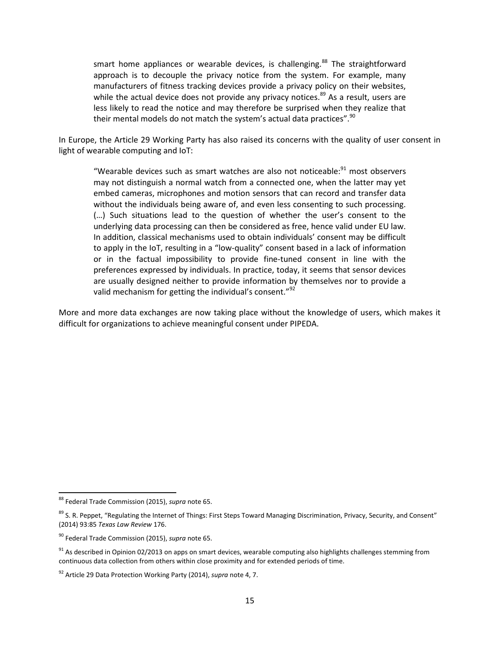smart home appliances or wearable devices, is challenging.<sup>[88](#page-16-0)</sup> The straightforward approach is to decouple the privacy notice from the system. For example, many manufacturers of fitness tracking devices provide a privacy policy on their websites, while the actual device does not provide any privacy notices.<sup>[89](#page-16-1)</sup> As a result, users are less likely to read the notice and may therefore be surprised when they realize that their mental models do not match the system's actual data practices".  $90$ 

In Europe, the Article 29 Working Party has also raised its concerns with the quality of user consent in light of wearable computing and IoT:

"Wearable devices such as smart watches are also not noticeable: $91$  most observers may not distinguish a normal watch from a connected one, when the latter may yet embed cameras, microphones and motion sensors that can record and transfer data without the individuals being aware of, and even less consenting to such processing. (…) Such situations lead to the question of whether the user's consent to the underlying data processing can then be considered as free, hence valid under EU law. In addition, classical mechanisms used to obtain individuals' consent may be difficult to apply in the IoT, resulting in a "low-quality" consent based in a lack of information or in the factual impossibility to provide fine-tuned consent in line with the preferences expressed by individuals. In practice, today, it seems that sensor devices are usually designed neither to provide information by themselves nor to provide a valid mechanism for getting the individual's consent."<sup>[92](#page-16-4)</sup>

More and more data exchanges are now taking place without the knowledge of users, which makes it difficult for organizations to achieve meaningful consent under PIPEDA.

<span id="page-16-0"></span><sup>88</sup> Federal Trade Commission (2015), *supra* note 65.

<span id="page-16-1"></span><sup>&</sup>lt;sup>89</sup> S. R. Peppet, "Regulating the Internet of Things: First Steps Toward Managing Discrimination, Privacy, Security, and Consent" (2014) 93:85 *Texas Law Review* 176.

<span id="page-16-2"></span><sup>90</sup> Federal Trade Commission (2015), *supra* note 65.

<span id="page-16-3"></span> $91$  As described in Opinion 02/2013 on apps on smart devices, wearable computing also highlights challenges stemming from continuous data collection from others within close proximity and for extended periods of time.

<span id="page-16-4"></span><sup>92</sup> Article 29 Data Protection Working Party (2014), *supra* note 4, 7.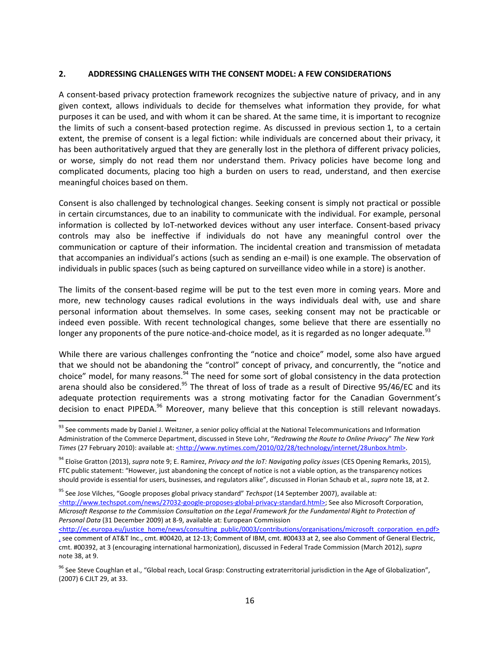#### <span id="page-17-0"></span>**2. ADDRESSING CHALLENGES WITH THE CONSENT MODEL: A FEW CONSIDERATIONS**

A consent-based privacy protection framework recognizes the subjective nature of privacy, and in any given context, allows individuals to decide for themselves what information they provide, for what purposes it can be used, and with whom it can be shared. At the same time, it is important to recognize the limits of such a consent-based protection regime. As discussed in previous section [1](#page-5-0), to a certain extent, the premise of consent is a legal fiction: while individuals are concerned about their privacy, it has been authoritatively argued that they are generally lost in the plethora of different privacy policies, or worse, simply do not read them nor understand them. Privacy policies have become long and complicated documents, placing too high a burden on users to read, understand, and then exercise meaningful choices based on them.

Consent is also challenged by technological changes. Seeking consent is simply not practical or possible in certain circumstances, due to an inability to communicate with the individual. For example, personal information is collected by IoT-networked devices without any user interface. Consent-based privacy controls may also be ineffective if individuals do not have any meaningful control over the communication or capture of their information. The incidental creation and transmission of metadata that accompanies an individual's actions (such as sending an e-mail) is one example. The observation of individuals in public spaces (such as being captured on surveillance video while in a store) is another.

The limits of the consent-based regime will be put to the test even more in coming years. More and more, new technology causes radical evolutions in the ways individuals deal with, use and share personal information about themselves. In some cases, seeking consent may not be practicable or indeed even possible. With recent technological changes, some believe that there are essentially no longer any proponents of the pure notice-and-choice model, as it is regarded as no longer adequate.<sup>[93](#page-17-1)</sup>

While there are various challenges confronting the "notice and choice" model, some also have argued that we should not be abandoning the "control" concept of privacy, and concurrently, the "notice and choice" model, for many reasons.<sup>[94](#page-17-2)</sup> The need for some sort of global consistency in the data protection arena should also be considered.<sup>[95](#page-17-3)</sup> The threat of loss of trade as a result of Directive 95/46/EC and its adequate protection requirements was a strong motivating factor for the Canadian Government's decision to enact PIPEDA.<sup>[96](#page-17-4)</sup> Moreover, many believe that this conception is still relevant nowadays.

<span id="page-17-3"></span><sup>95</sup> See Jose Vilches, "Google proposes global privacy standard" *Techspot* (14 September 2007), available at: <http://www.techspot.com/news/27032-google-proposes-global-privacy-standard.html>; See also Microsoft Corporation, *Microsoft Response to the Commission Consultation on the Legal Framework for the Fundamental Right to Protection of Personal Data* (31 December 2009) at 8-9, available at: European Commission

<span id="page-17-1"></span><sup>&</sup>lt;sup>93</sup> See comments made by Daniel J. Weitzner, a senior policy official at the National Telecommunications and Information Administration of the Commerce Department, discussed in Steve Lohr, "*Redrawing the Route to Online Privacy*" *The New York Times* (27 February 2010): available at: <http://www.nytimes.com/2010/02/28/technology/internet/28unbox.html>.

<span id="page-17-2"></span><sup>94</sup> Eloïse Gratton (2013), *supra* note 9; E. Ramirez, *Privacy and the IoT: Navigating policy issues* (CES Opening Remarks, 2015), FTC public statement: "However, just abandoning the concept of notice is not a viable option, as the transparency notices should provide is essential for users, businesses, and regulators alike", discussed in Florian Schaub et al., *supra* note 18, at 2.

<sup>&</sup>lt;http://ec.europa.eu/justice\_home/news/consulting\_public/0003/contributions/organisations/microsoft\_corporation\_en.pdf> , see comment of AT&T Inc., cmt. #00420, at 12-13; Comment of IBM, cmt. #00433 at 2, see also Comment of General Electric, cmt. #00392, at 3 (encouraging international harmonization), discussed in Federal Trade Commission (March 2012), *supra* note 38, at 9.

<span id="page-17-4"></span><sup>&</sup>lt;sup>96</sup> See Steve Coughlan et al., "Global reach, Local Grasp: Constructing extraterritorial jurisdiction in the Age of Globalization", (2007) 6 CJLT 29, at 33.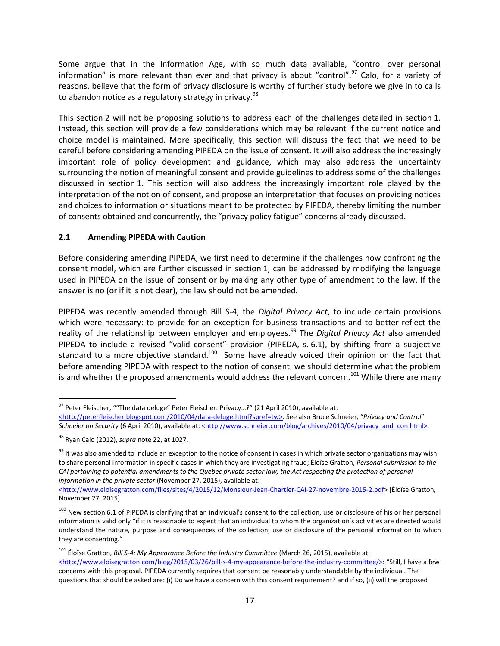Some argue that in the Information Age, with so much data available, "control over personal information" is more relevant than ever and that privacy is about "control".<sup>[97](#page-18-1)</sup> Calo, for a variety of reasons, believe that the form of privacy disclosure is worthy of further study before we give in to calls to abandon notice as a regulatory strategy in privacy.<sup>[98](#page-18-2)</sup>

This section 2 will not be proposing solutions to address each of the challenges detailed in section 1. Instead,this [se](#page-17-0)ction will provide a few considerations which may be relevant if the current noticea[nd](#page-5-0) choice model is maintained. More specifically, this section will discuss the fact that we need to be careful before considering amending PIPEDA on the issue of consent. It will also address the increasingly important role of policy development and guidance, which may also address the uncertainty surrounding the notion of meaningful consent and provide guidelines to address some of the challenges discussed in section [1](#page-5-0). This section will also address the increasingly important role played by the interpretation of the notion of consent, and propose an interpretation that focuses on providing notices and choices to information or situations meant to be protected by PIPEDA, thereby limiting the number of consents obtained and concurrently, the "privacy policy fatigue" concerns already discussed.

## <span id="page-18-0"></span>**2.1 Amending PIPEDA with Caution**

Before considering amending PIPEDA, we first need to determine if the challenges now confronting the consent model, which are further discussed in section [1](#page-5-0), can be addressed by modifying the language used in PIPEDA on the issue of consent or by making any other type of amendment to the law. If the answer is no (or if it is not clear), the law should not be amended.

PIPEDA was recently amended through Bill S-4, the *Digital Privacy Act*, to include certain provisions which were necessary: to provide for an exception for business transactions and to better reflect the reality of the relationship between employer and employees.<sup>[99](#page-18-3)</sup> The *Digital Privacy Act* also amended PIPEDA to include a revised "valid consent" provision (PIPEDA, s. 6.1), by shifting from a subjective standard to a more objective standard.<sup>[100](#page-18-4)</sup> Some have already voiced their opinion on the fact that before amending PIPEDA with respect to the notion of consent, we should determine what the problem is and whether the proposed amendments would address the relevant concern.<sup>[101](#page-18-5)</sup> While there are many

<span id="page-18-1"></span><sup>97</sup> Peter Fleischer, ""The data deluge" Peter Fleischer: Privacy...?" (21 April 2010), available at:

<sup>&</sup>lt;http://peterfleischer.blogspot.com/2010/04/data-deluge.html?spref=tw>. See also Bruce Schneier, "Privacy and Control" Schneier on Security (6 April 2010), available at: <**http://www.schneier.com/blog/archives/2010/04/privacy\_and\_con.html>.** 

<span id="page-18-2"></span><sup>98</sup> Ryan Calo (2012), *supra* note 22, at 1027.

<span id="page-18-3"></span><sup>&</sup>lt;sup>99</sup> It was also amended to include an exception to the notice of consent in cases in which private sector organizations may wish to share personal information in specific cases in which they are investigating fraud; Éloïse Gratton, *Personal submission to the CAI pertaining to potential amendments to the Quebec private sector law, the Act respecting the protection of personal information in the private sector* (November 27, 2015), available at:

<sup>&</sup>lt;http://www.eloisegratton.com/files/sites/4/2015/12/Monsieur-Jean-Chartier-CAI-27-novembre-2015-2.pdf> [Éloïse Gratton, November 27, 2015].

<span id="page-18-4"></span><sup>&</sup>lt;sup>100</sup> New section 6.1 of PIPEDA is clarifying that an individual's consent to the collection, use or disclosure of his or her personal information is valid only "if it is reasonable to expect that an individual to whom the organization's activities are directed would understand the nature, purpose and consequences of the collection, use or disclosure of the personal information to which they are consenting."

<span id="page-18-5"></span><sup>101</sup> Éloïse Gratton, *Bill S-4: My Appearance Before the Industry Committee* (March 26, 2015), available at: <http://www.eloisegratton.com/blog/2015/03/26/bill-s-4-my-appearance-before-the-industry-committee/>: "Still, I have a few concerns with this proposal. PIPEDA currently requires that consent be reasonably understandable by the individual. The questions that should be asked are: (i) Do we have a concern with this consent requirement? and if so, (ii) will the proposed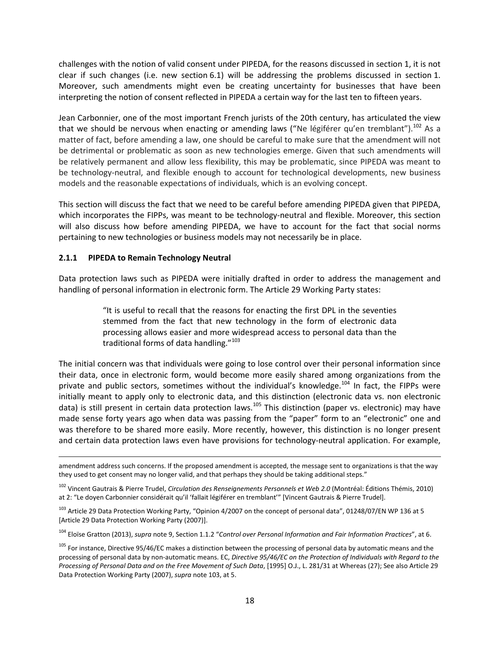challenges with the notion of valid consent under PIPEDA, for the reasons discussed in section [1](#page-5-0), it is not clear if such changes (i.e. new section 6.1) will be addressing the problems discussed in section [1.](#page-5-0) Moreover, such amendments might even be creating uncertainty for businesses that have been interpreting the notion of consent reflected in PIPEDA a certain way for the last ten to fifteen years.

Jean Carbonnier, one of the most important French jurists of the 20th century, has articulated the view that we should be nervous when enacting or amending laws ("Ne légiférer qu'en tremblant").<sup>[102](#page-19-1)</sup> As a matter of fact, before amending a law, one should be careful to make sure that the amendment will not be detrimental or problematic as soon as new technologies emerge. Given that such amendments will be relatively permanent and allow less flexibility, this may be problematic, since PIPEDA was meant to be technology-neutral, and flexible enough to account for technological developments, new business models and the reasonable expectations of individuals, which is an evolving concept.

This section will discuss the fact that we need to be careful before amending PIPEDA given that PIPEDA, which incorporates the FIPPs, was meant to be technology-neutral and flexible. Moreover, this section will also discuss how before amending PIPEDA, we have to account for the fact that social norms pertaining to new technologies or business models may not necessarily be in place.

## <span id="page-19-0"></span>**2.1.1 PIPEDA to Remain Technology Neutral**

Data protection laws such as PIPEDA were initially drafted in order to address the management and handling of personal information in electronic form. The Article 29 Working Party states:

> "It is useful to recall that the reasons for enacting the first DPL in the seventies stemmed from the fact that new technology in the form of electronic data processing allows easier and more widespread access to personal data than the traditional forms of data handling."<sup>[103](#page-19-2)</sup>

The initial concern was that individuals were going to lose control over their personal information since their data, once in electronic form, would become more easily shared among organizations from the private and public sectors, sometimes without the individual's knowledge.<sup>[104](#page-19-3)</sup> In fact, the FIPPs were initially meant to apply only to electronic data, and this distinction (electronic data vs. non electronic data) is still present in certain data protection laws.<sup>[105](#page-19-4)</sup> This distinction (paper vs. electronic) may have made sense forty years ago when data was passing from the "paper" form to an "electronic" one and was therefore to be shared more easily. More recently, however, this distinction is no longer present and certain data protection laws even have provisions for technology-neutral application. For example,

<span id="page-19-3"></span><sup>104</sup> Eloïse Gratton (2013), *supra* note 9, Section 1.1.2 "*Control over Personal Information and Fair Information Practices*", at 6.

amendment address such concerns. If the proposed amendment is accepted, the message sent to organizations is that the way they used to get consent may no longer valid, and that perhaps they should be taking additional steps."

<span id="page-19-1"></span><sup>102</sup> Vincent Gautrais & Pierre Trudel, *Circulation des Renseignements Personnels et Web 2.0* (Montréal: Éditions Thémis, 2010) at 2: "Le doyen Carbonnier considérait qu'il 'fallait légiférer en tremblant'" [Vincent Gautrais & Pierre Trudel].

<span id="page-19-2"></span><sup>&</sup>lt;sup>103</sup> Article 29 Data Protection Working Party, "Opinion 4/2007 on the concept of personal data", 01248/07/EN WP 136 at 5 [Article 29 Data Protection Working Party (2007)].

<span id="page-19-4"></span><sup>&</sup>lt;sup>105</sup> For instance, Directive 95/46/EC makes a distinction between the processing of personal data by automatic means and the processing of personal data by non-automatic means. EC, *Directive 95/46/EC on the Protection of Individuals with Regard to the Processing of Personal Data and on the Free Movement of Such Data*, [1995] O.J., L. 281/31 at Whereas (27); See also Article 29 Data Protection Working Party (2007), *supra* note 103, at 5.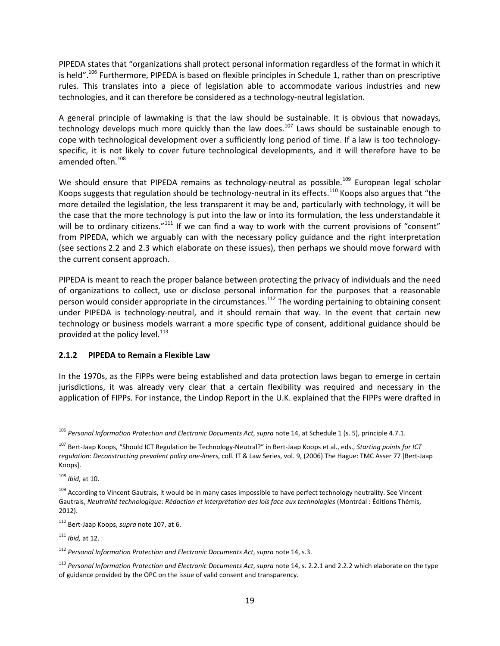PIPEDA states that "organizations shall protect personal information regardless of the format in which it is held".<sup>[106](#page-20-1)</sup> Furthermore, PIPEDA is based on flexible principles in Schedule 1, rather than on prescriptive rules. This translates into a piece of legislation able to accommodate various industries and new technologies, and it can therefore be considered as a technology-neutral legislation.

A general principle of lawmaking is that the law should be sustainable. It is obvious that nowadays, technology develops much more quickly than the law does.<sup>[107](#page-20-2)</sup> Laws should be sustainable enough to cope with technological development over a sufficiently long period of time. If a law is too technologyspecific, it is not likely to cover future technological developments, and it will therefore have to be amended often.<sup>[108](#page-20-3)</sup>

We should ensure that PIPEDA remains as technology-neutral as possible.<sup>[109](#page-20-4)</sup> European legal scholar Koops suggests that regulation should be technology-neutral in its effects.<sup>[110](#page-20-5)</sup> Koops also argues that "the more detailed the legislation, the less transparent it may be and, particularly with technology, it will be the case that the more technology is put into the law or into its formulation, the less understandable it will be to ordinary citizens."<sup>[111](#page-20-6)</sup> If we can find a way to work with the current provisions of "consent" from PIPEDA, which we arguably can with the necessary policy guidance and the right interpretation (see sections [2.2](#page-26-0) and [2.3](#page-34-0) which elaborate on these issues), then perhaps we should move forward with the current consent approach.

PIPEDA is meant to reach the proper balance between protecting the privacy of individuals and the need of organizations to collect, use or disclose personal information for the purposes that a reasonable person would consider appropriate in the circumstances.<sup>[112](#page-20-7)</sup> The wording pertaining to obtaining consent under PIPEDA is technology-neutral, and it should remain that way. In the event that certain new technology or business models warrant a more specific type of consent, additional guidance should be provided at the policy level.<sup>[113](#page-20-8)</sup>

### <span id="page-20-0"></span>**2.1.2 PIPEDA to Remain a Flexible Law**

In the 1970s, as the FIPPs were being established and data protection laws began to emerge in certain jurisdictions, it was already very clear that a certain flexibility was required and necessary in the application of FIPPs. For instance, the Lindop Report in the U.K. explained that the FIPPs were drafted in

<span id="page-20-3"></span><sup>108</sup> *Ibid*, at 10.

<span id="page-20-6"></span><sup>111</sup> *Ibid,* at 12.

<span id="page-20-1"></span><sup>106</sup> *Personal Information Protection and Electronic Documents Act*, *supra* note 14, at Schedule 1 (s. 5), principle 4.7.1.

<span id="page-20-2"></span><sup>107</sup> Bert-Jaap Koops, "Should ICT Regulation be Technology-Neutral?" in Bert-Jaap Koops et al., eds., *Starting points for ICT regulation: Deconstructing prevalent policy one-liners*, coll. IT & Law Series, vol. 9, (2006) The Hague: TMC Asser 77 [Bert-Jaap Koops].

<span id="page-20-4"></span><sup>&</sup>lt;sup>109</sup> According to Vincent Gautrais, it would be in many cases impossible to have perfect technology neutrality. See Vincent Gautrais, *Neutralité technologique: Rédaction et interprétation des lois face aux technologies* (Montréal : Éditions Thémis, 2012).

<span id="page-20-5"></span><sup>110</sup> Bert-Jaap Koops, *supra* note 107, at 6.

<span id="page-20-7"></span><sup>112</sup> *Personal Information Protection and Electronic Documents Act*, *supra* note 14, s.3.

<span id="page-20-8"></span><sup>113</sup> *Personal Information Protection and Electronic Documents Act*, *supra* note 14, s. 2.2.1 and 2.2.2 which elaborate on the type of guidance provided by the OPC on the issue of valid consent and transparency.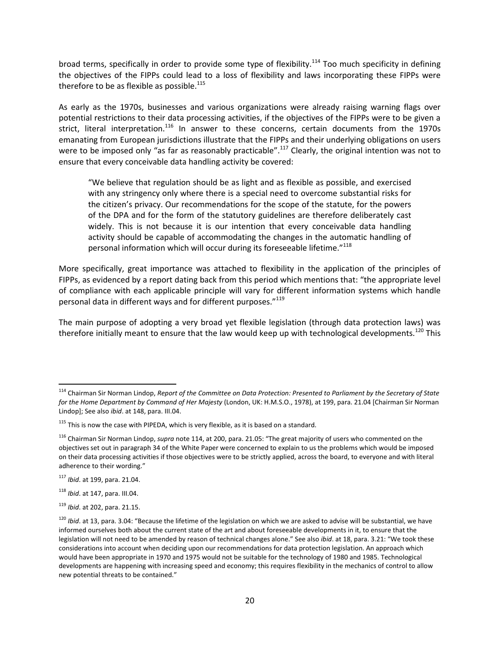broad terms, specifically in order to provide some type of flexibility.<sup>[114](#page-21-0)</sup> Too much specificity in defining the objectives of the FIPPs could lead to a loss of flexibility and laws incorporating these FIPPs were therefore to be as flexible as possible.<sup>[115](#page-21-1)</sup>

As early as the 1970s, businesses and various organizations were already raising warning flags over potential restrictions to their data processing activities, if the objectives of the FIPPs were to be given a strict, literal interpretation.<sup>[116](#page-21-2)</sup> In answer to these concerns, certain documents from the 1970s emanating from European jurisdictions illustrate that the FIPPs and their underlying obligations on users were to be imposed only "as far as reasonably practicable".<sup>[117](#page-21-3)</sup> Clearly, the original intention was not to ensure that every conceivable data handling activity be covered:

"We believe that regulation should be as light and as flexible as possible, and exercised with any stringency only where there is a special need to overcome substantial risks for the citizen's privacy. Our recommendations for the scope of the statute, for the powers of the DPA and for the form of the statutory guidelines are therefore deliberately cast widely. This is not because it is our intention that every conceivable data handling activity should be capable of accommodating the changes in the automatic handling of personal information which will occur during its foreseeable lifetime."<sup>[118](#page-21-4)</sup>

More specifically, great importance was attached to flexibility in the application of the principles of FIPPs, as evidenced by a report dating back from this period which mentions that: "the appropriate level of compliance with each applicable principle will vary for different information systems which handle personal data in different ways and for different purposes."<sup>[119](#page-21-5)</sup>

The main purpose of adopting a very broad yet flexible legislation (through data protection laws) was therefore initially meant to ensure that the law would keep up with technological developments.<sup>[120](#page-21-6)</sup> This

<span id="page-21-0"></span><sup>114</sup> Chairman Sir Norman Lindop, *Report of the Committee on Data Protection: Presented to Parliament by the Secretary of State for the Home Department by Command of Her Majesty* (London, UK: H.M.S.O., 1978), at 199, para. 21.04 [Chairman Sir Norman Lindop]; See also *ibid*. at 148, para. III.04.

<span id="page-21-1"></span> $115$  This is now the case with PIPEDA, which is very flexible, as it is based on a standard.

<span id="page-21-2"></span><sup>116</sup> Chairman Sir Norman Lindop, *supra* note 114, at 200, para. 21.05: "The great majority of users who commented on the objectives set out in paragraph 34 of the White Paper were concerned to explain to us the problems which would be imposed on their data processing activities if those objectives were to be strictly applied, across the board, to everyone and with literal adherence to their wording."

<span id="page-21-3"></span><sup>117</sup> *Ibid*. at 199, para. 21.04.

<span id="page-21-4"></span><sup>118</sup> *Ibid*. at 147, para. III.04.

<span id="page-21-5"></span><sup>119</sup> *Ibid*. at 202, para. 21.15.

<span id="page-21-6"></span><sup>&</sup>lt;sup>120</sup> *Ibid*. at 13, para. 3.04: "Because the lifetime of the legislation on which we are asked to advise will be substantial, we have informed ourselves both about the current state of the art and about foreseeable developments in it, to ensure that the legislation will not need to be amended by reason of technical changes alone." See also *ibid*. at 18, para. 3.21: "We took these considerations into account when deciding upon our recommendations for data protection legislation. An approach which would have been appropriate in 1970 and 1975 would not be suitable for the technology of 1980 and 1985. Technological developments are happening with increasing speed and economy; this requires flexibility in the mechanics of control to allow new potential threats to be contained."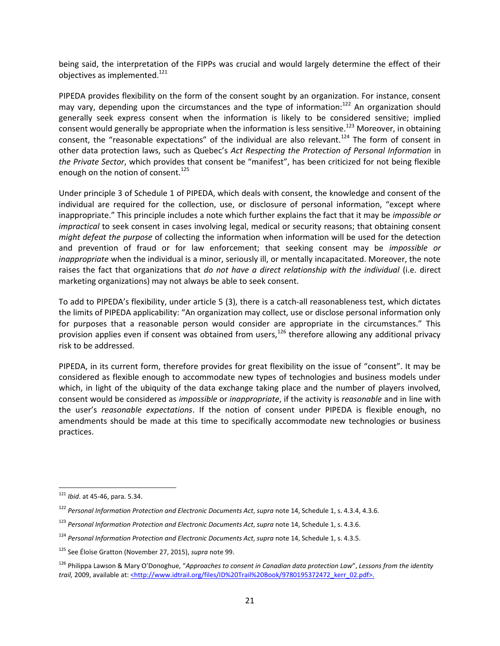being said, the interpretation of the FIPPs was crucial and would largely determine the effect of their objectives as implemented.<sup>[121](#page-22-0)</sup>

PIPEDA provides flexibility on the form of the consent sought by an organization. For instance, consent may vary, depending upon the circumstances and the type of information: $122$  An organization should generally seek express consent when the information is likely to be considered sensitive; implied consent would generally be appropriate when the information is less sensitive.<sup>[123](#page-22-2)</sup> Moreover, in obtaining consent, the "reasonable expectations" of the individual are also relevant.<sup>[124](#page-22-3)</sup> The form of consent in other data protection laws, such as Quebec's *Act Respecting the Protection of Personal Information* in *the Private Sector*, which provides that consent be "manifest", has been criticized for not being flexible enough on the notion of consent.<sup>[125](#page-22-4)</sup>

Under principle 3 of Schedule 1 of PIPEDA, which deals with consent, the knowledge and consent of the individual are required for the collection, use, or disclosure of personal information, "except where inappropriate." This principle includes a note which further explains the fact that it may be *impossible or impractical* to seek consent in cases involving legal, medical or security reasons; that obtaining consent *might defeat the purpose* of collecting the information when information will be used for the detection and prevention of fraud or for law enforcement; that seeking consent may be *impossible or inappropriate* when the individual is a minor, seriously ill, or mentally incapacitated. Moreover, the note raises the fact that organizations that *do not have a direct relationship with the individual* (i.e. direct marketing organizations) may not always be able to seek consent.

To add to PIPEDA's flexibility, under article 5 (3), there is a catch-all reasonableness test, which dictates the limits of PIPEDA applicability: "An organization may collect, use or disclose personal information only for purposes that a reasonable person would consider are appropriate in the circumstances." This provision applies even if consent was obtained from users, $126$  therefore allowing any additional privacy risk to be addressed.

PIPEDA, in its current form, therefore provides for great flexibility on the issue of "consent". It may be considered as flexible enough to accommodate new types of technologies and business models under which, in light of the ubiquity of the data exchange taking place and the number of players involved, consent would be considered as *impossible* or *inappropriate*, if the activity is *reasonable* and in line with the user's *reasonable expectations*. If the notion of consent under PIPEDA is flexible enough, no amendments should be made at this time to specifically accommodate new technologies or business practices.

<span id="page-22-0"></span><sup>121</sup> *Ibid*. at 45-46, para. 5.34.

<span id="page-22-1"></span><sup>122</sup> *Personal Information Protection and Electronic Documents Act*, *supra* note 14, Schedule 1, s. 4.3.4, 4.3.6.

<span id="page-22-2"></span><sup>123</sup> *Personal Information Protection and Electronic Documents Act*, *supra* note 14, Schedule 1, s. 4.3.6.

<span id="page-22-3"></span><sup>124</sup> *Personal Information Protection and Electronic Documents Act*, *supra* note 14, Schedule 1, s. 4.3.5.

<span id="page-22-4"></span><sup>125</sup> See Éloïse Gratton (November 27, 2015), *supra* note 99.

<span id="page-22-5"></span><sup>126</sup> Philippa Lawson & Mary O'Donoghue, "*Approaches to consent in Canadian data protection Law*", *Lessons from the identity trail,* 2009, available at: <*http://www.idtrail.org/files/ID%20Trail%20Book/9780195372472\_kerr\_02.pdf>.*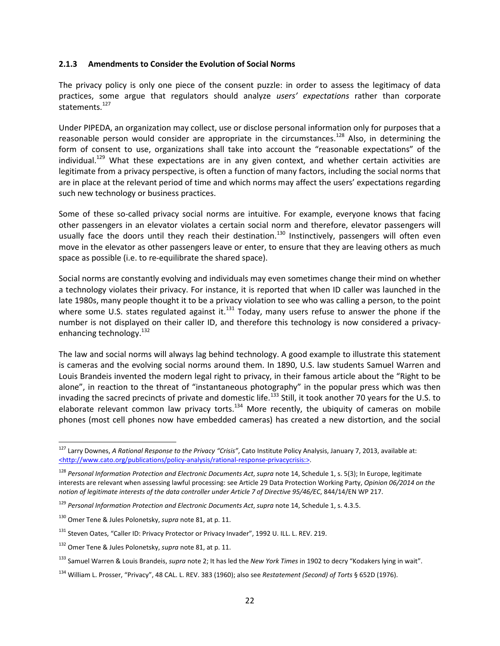#### <span id="page-23-0"></span>**2.1.3 Amendments to Consider the Evolution of Social Norms**

The privacy policy is only one piece of the consent puzzle: in order to assess the legitimacy of data practices, some argue that regulators should analyze *users' expectations* rather than corporate statements.<sup>[127](#page-23-1)</sup>

Under PIPEDA, an organization may collect, use or disclose personal information only for purposes that a reasonable person would consider are appropriate in the circumstances.<sup>[128](#page-23-2)</sup> Also, in determining the form of consent to use, organizations shall take into account the "reasonable expectations" of the individual.<sup>[129](#page-23-3)</sup> What these expectations are in any given context, and whether certain activities are legitimate from a privacy perspective, is often a function of many factors, including the social norms that are in place at the relevant period of time and which norms may affect the users' expectations regarding such new technology or business practices.

Some of these so-called privacy social norms are intuitive. For example, everyone knows that facing other passengers in an elevator violates a certain social norm and therefore, elevator passengers will usually face the doors until they reach their destination.<sup>[130](#page-23-4)</sup> Instinctively, passengers will often even move in the elevator as other passengers leave or enter, to ensure that they are leaving others as much space as possible (i.e. to re-equilibrate the shared space).

Social norms are constantly evolving and individuals may even sometimes change their mind on whether a technology violates their privacy. For instance, it is reported that when ID caller was launched in the late 1980s, many people thought it to be a privacy violation to see who was calling a person, to the point wheresome U.S. states regulated against it.<sup>131</sup> Today, many users refuse to answer the phone if the number is not displayed on their caller ID, and therefore this technology is now considered a privacy-enhancing technology.<sup>[132](#page-23-6)</sup>

The law and social norms will always lag behind technology. A good example to illustrate this statement is cameras and the evolving social norms around them. In 1890, U.S. law students Samuel Warren and Louis Brandeis invented the modern legal right to privacy, in their famous article about the "Right to be alone", in reaction to the threat of "instantaneous photography" in the popular press which was then invading the sacred precincts of private and domestic life.<sup>[133](#page-23-7)</sup> Still, it took another 70 years for the U.S. to elaborate relevant common law privacy torts.<sup>[134](#page-23-8)</sup> More recently, the ubiquity of cameras on mobile phones (most cell phones now have embedded cameras) has created a new distortion, and the social

<span id="page-23-1"></span><sup>127</sup> Larry Downes, *A Rational Response to the Privacy "Crisis"*, Cato Institute Policy Analysis, January 7, 2013, available at: <http://www.cato.org/publications/policy-analysis/rational-response-privacycrisis:>.

<span id="page-23-2"></span><sup>128</sup> *Personal Information Protection and Electronic Documents Act*, *supra* note 14, Schedule 1, s. 5(3); In Europe, legitimate interests are relevant when assessing lawful processing: see Article 29 Data Protection Working Party, *Opinion 06/2014 on the notion of legitimate interests of the data controller under Article 7 of Directive 95/46/EC*, 844/14/EN WP 217.

<span id="page-23-3"></span><sup>129</sup> *Personal Information Protection and Electronic Documents Act*, *supra* note 14, Schedule 1, s. 4.3.5.

<span id="page-23-4"></span><sup>130</sup> Omer Tene & Jules Polonetsky, *supra* note 81, at p. 11.

<span id="page-23-5"></span><sup>&</sup>lt;sup>131</sup> Steven Oates, "Caller ID: Privacy Protector or Privacy Invader", 1992 U. ILL. L. REV. 219.

<span id="page-23-6"></span><sup>132</sup> Omer Tene & Jules Polonetsky, *supra* note 81, at p. 11.

<span id="page-23-7"></span><sup>133</sup> Samuel Warren & Louis Brandeis, *supra* note 2; It has led the *New York Times* in 1902 to decry "Kodakers lying in wait".

<span id="page-23-8"></span><sup>134</sup> William L. Prosser, "Privacy", 48 CAL. L. REV. 383 (1960); also see *Restatement (Second) of Torts* § 652D (1976).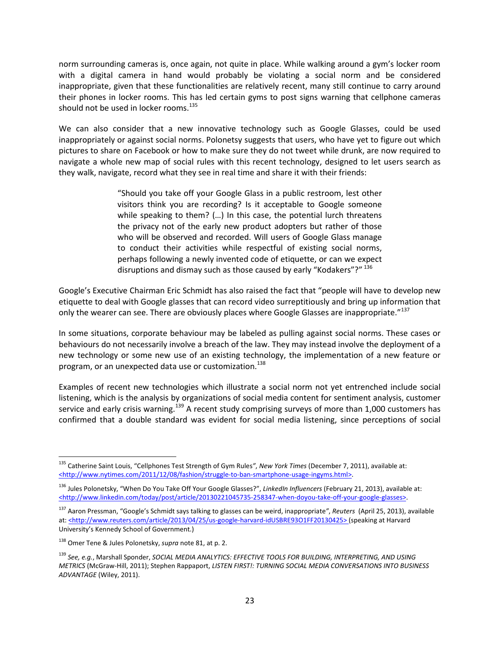norm surrounding cameras is, once again, not quite in place. While walking around a gym's locker room with a digital camera in hand would probably be violating a social norm and be considered inappropriate, given that these functionalities are relatively recent, many still continue to carry around their phones in locker rooms. This has led certain gyms to post signs warning that cellphone cameras should not be used in locker rooms.<sup>[135](#page-24-0)</sup>

We can also consider that a new innovative technology such as Google Glasses, could be used inappropriately or against social norms. Polonetsy suggests that users, who have yet to figure out which pictures to share on Facebook or how to make sure they do not tweet while drunk, are now required to navigate a whole new map of social rules with this recent technology, designed to let users search as they walk, navigate, record what they see in real time and share it with their friends:

> "Should you take off your Google Glass in a public restroom, lest other visitors think you are recording? Is it acceptable to Google someone while speaking to them? (…) In this case, the potential lurch threatens the privacy not of the early new product adopters but rather of those who will be observed and recorded. Will users of Google Glass manage to conduct their activities while respectful of existing social norms, perhaps following a newly invented code of etiquette, or can we expect disruptions and dismay such as those caused by early "Kodakers"?" [136](#page-24-1)

Google's Executive Chairman Eric Schmidt has also raised the fact that "people will have to develop new etiquette to deal with Google glasses that can record video surreptitiously and bring up information that only the wearer can see. There are obviously places where Google Glasses are inappropriate."<sup>[137](#page-24-2)</sup>

In some situations, corporate behaviour may be labeled as pulling against social norms. These cases or behaviours do not necessarily involve a breach of the law. They may instead involve the deployment of a new technology or some new use of an existing technology, the implementation of a new feature or program, or an unexpected data use or customization.<sup>[138](#page-24-3)</sup>

Examples of recent new technologies which illustrate a social norm not yet entrenched include social listening, which is the analysis by organizations of social media content for sentiment analysis, customer service and early crisis warning.<sup>[139](#page-24-4)</sup> A recent study comprising surveys of more than 1,000 customers has confirmed that a double standard was evident for social media listening, since perceptions of social

<span id="page-24-0"></span><sup>135</sup> Catherine Saint Louis, "Cellphones Test Strength of Gym Rules*"*, *New York Times* (December 7, 2011), available at: <http://www.nytimes.com/2011/12/08/fashion/struggle-to-ban-smartphone-usage-ingyms.html>.

<span id="page-24-1"></span><sup>136</sup> Jules Polonetsky, "When Do You Take Off Your Google Glasses?", *LinkedIn Influencers* (February 21, 2013), available at: <http://www.linkedin.com/today/post/article/20130221045735-258347-when-doyou-take-off-your-google-glasses>.

<span id="page-24-2"></span><sup>137</sup> Aaron Pressman, "Google's Schmidt says talking to glasses can be weird, inappropriate*"*, *Reuters* (April 25, 2013), available at: <http://www.reuters.com/article/2013/04/25/us-google-harvard-idUSBRE93O1FF20130425> (speaking at Harvard University's Kennedy School of Government.)

<span id="page-24-3"></span><sup>138</sup> Omer Tene & Jules Polonetsky, *supra* note 81, at p. 2.

<span id="page-24-4"></span><sup>139</sup> *See, e.g.*, Marshall Sponder, *SOCIAL MEDIA ANALYTICS: EFFECTIVE TOOLS FOR BUILDING, INTERPRETING, AND USING METRICS* (McGraw-Hill, 2011); Stephen Rappaport, *LISTEN FIRST!: TURNING SOCIAL MEDIA CONVERSATIONS INTO BUSINESS ADVANTAGE* (Wiley, 2011).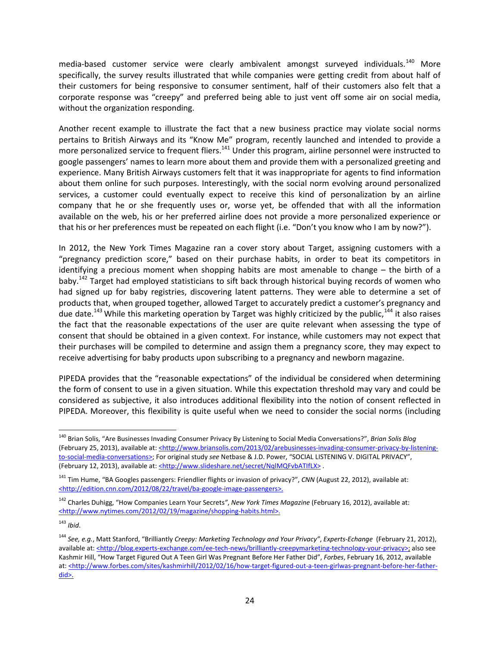media-based customer service were clearly ambivalent amongst surveyed individuals.<sup>[140](#page-25-0)</sup> More specifically, the survey results illustrated that while companies were getting credit from about half of their customers for being responsive to consumer sentiment, half of their customers also felt that a corporate response was "creepy" and preferred being able to just vent off some air on social media, without the organization responding.

Another recent example to illustrate the fact that a new business practice may violate social norms pertains to British Airways and its "Know Me" program, recently launched and intended to provide a more personalized service to frequent fliers.<sup>[141](#page-25-1)</sup> Under this program, airline personnel were instructed to google passengers' names to learn more about them and provide them with a personalized greeting and experience. Many British Airways customers felt that it was inappropriate for agents to find information about them online for such purposes. Interestingly, with the social norm evolving around personalized services, a customer could eventually expect to receive this kind of personalization by an airline company that he or she frequently uses or, worse yet, be offended that with all the information available on the web, his or her preferred airline does not provide a more personalized experience or that his or her preferences must be repeated on each flight (i.e. "Don't you know who I am by now?").

In 2012, the New York Times Magazine ran a cover story about Target, assigning customers with a "pregnancy prediction score," based on their purchase habits, in order to beat its competitors in identifying a precious moment when shopping habits are most amenable to change – the birth of a baby.<sup>[142](#page-25-2)</sup> Target had employed statisticians to sift back through historical buying records of women who had signed up for baby registries, discovering latent patterns. They were able to determine a set of products that, when grouped together, allowed Target to accurately predict a customer's pregnancy and due date.<sup>[143](#page-25-3)</sup> While this marketing operation by Target was highly criticized by the public,<sup>[144](#page-25-4)</sup> it also raises the fact that the reasonable expectations of the user are quite relevant when assessing the type of consent that should be obtained in a given context. For instance, while customers may not expect that their purchases will be compiled to determine and assign them a pregnancy score, they may expect to receive advertising for baby products upon subscribing to a pregnancy and newborn magazine.

PIPEDA provides that the "reasonable expectations" of the individual be considered when determining the form of consent to use in a given situation. While this expectation threshold may vary and could be considered as subjective, it also introduces additional flexibility into the notion of consent reflected in PIPEDA. Moreover, this flexibility is quite useful when we need to consider the social norms (including

<span id="page-25-0"></span><sup>140</sup> Brian Solis, "Are Businesses Invading Consumer Privacy By Listening to Social Media Conversations?", *Brian Solis Blog* (February 25, 2013), available at: <http://www.briansolis.com/2013/02/arebusinesses-invading-consumer-privacy-by-listeningto-social-media-conversations>; For original study *see* Netbase & J.D. Power, "SOCIAL LISTENING V. DIGITAL PRIVACY", (February 12, 2013), available at: <http://www.slideshare.net/secret/NqlMQFvbATIfLX>.

<span id="page-25-1"></span><sup>141</sup> Tim Hume, "BA Googles passengers: Friendlier flights or invasion of privacy?", *CNN* (August 22, 2012), available at: <http://edition.cnn.com/2012/08/22/travel/ba-google-image-passengers>.

<span id="page-25-2"></span><sup>142</sup> Charles Duhigg, "How Companies Learn Your Secrets*"*, *New York Times Magazine* (February 16, 2012), available at: <http://www.nytimes.com/2012/02/19/magazine/shopping-habits.html>.

<span id="page-25-3"></span><sup>143</sup> *Ibid*.

<span id="page-25-4"></span><sup>144</sup> *See, e.g.*, Matt Stanford, "Brilliantly *Creepy: Marketing Technology and Your Privacy"*, *Experts-Echange* (February 21, 2012), available at: <http://blog.experts-exchange.com/ee-tech-news/brilliantly-creepymarketing-technology-your-privacy>; also see Kashmir Hill, "How Target Figured Out A Teen Girl Was Pregnant Before Her Father Did", *Forbes*, February 16, 2012, available at: <http://www.forbes.com/sites/kashmirhill/2012/02/16/how-target-figured-out-a-teen-girlwas-pregnant-before-her-fatherdid>.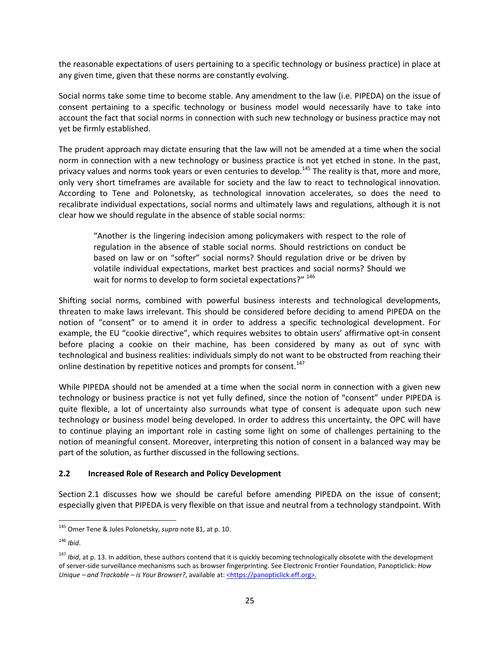the reasonable expectations of users pertaining to a specific technology or business practice) in place at any given time, given that these norms are constantly evolving.

Social norms take some time to become stable. Any amendment to the law (i.e. PIPEDA) on the issue of consent pertaining to a specific technology or business model would necessarily have to take into account the fact that social norms in connection with such new technology or business practice may not yet be firmly established.

The prudent approach may dictate ensuring that the law will not be amended at a time when the social norm in connection with a new technology or business practice is not yet etched in stone. In the past, privacy values and norms took years or even centuries to develop.<sup>[145](#page-26-1)</sup> The reality is that, more and more, only very short timeframes are available for society and the law to react to technological innovation. According to Tene and Polonetsky, as technological innovation accelerates, so does the need to recalibrate individual expectations, social norms and ultimately laws and regulations, although it is not clear how we should regulate in the absence of stable social norms:

"Another is the lingering indecision among policymakers with respect to the role of regulation in the absence of stable social norms. Should restrictions on conduct be based on law or on "softer" social norms? Should regulation drive or be driven by volatile individual expectations, market best practices and social norms? Should we wait for norms to develop to form societal expectations?" [146](#page-26-2)

Shifting social norms, combined with powerful business interests and technological developments, threaten to make laws irrelevant. This should be considered before deciding to amend PIPEDA on the notion of "consent" or to amend it in order to address a specific technological development. For example, the EU "cookie directive", which requires websites to obtain users' affirmative opt-in consent before placing a cookie on their machine, has been considered by many as out of sync with technological and business realities: individuals simply do not want to be obstructed from reaching their online destination by repetitive notices and prompts for consent.<sup>[147](#page-26-3)</sup>

While PIPEDA should not be amended at a time when the social norm in connection with a given new technology or business practice is not yet fully defined, since the notion of "consent" under PIPEDA is quite flexible, a lot of uncertainty also surrounds what type of consent is adequate upon such new technology or business model being developed. In order to address this uncertainty, the OPC will have to continue playing an important role in casting some light on some of challenges pertaining to the notion of meaningful consent. Moreover, interpreting this notion of consent in a balanced way may be part of the solution, as further discussed in the following sections.

### <span id="page-26-0"></span>**2.2 Increased Role of Research and Policy Development**

Section [2.1](#page-18-0) discusses how we should be careful before amending PIPEDA on the issue of consent; especially given that PIPEDA is very flexible on that issue and neutral from a technology standpoint. With

<span id="page-26-1"></span><sup>145</sup> Omer Tene & Jules Polonetsky, *supra* note 81, at p. 10.

<span id="page-26-2"></span><sup>146</sup> *Ibid*.

<span id="page-26-3"></span><sup>&</sup>lt;sup>147</sup> *Ibid*, at p. 13. In addition, these authors contend that it is quickly becoming technologically obsolete with the development of server-side surveillance mechanisms such as browser fingerprinting. See Electronic Frontier Foundation, Panopticlick: *How Unique – and Trackable – is Your Browser?*, available at: <*https://panopticlick.eff.org>.*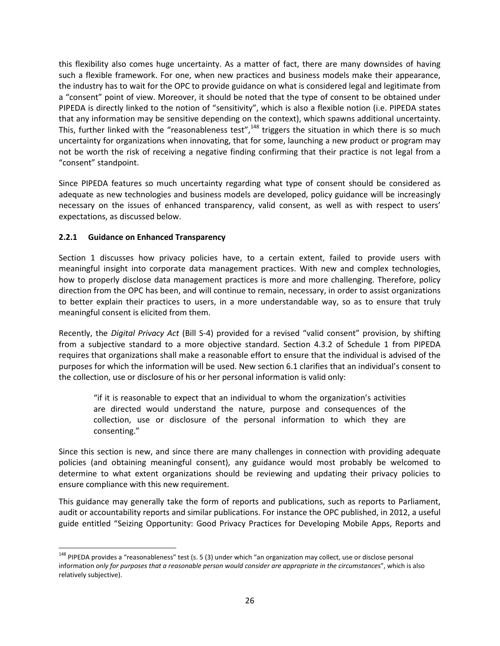this flexibility also comes huge uncertainty. As a matter of fact, there are many downsides of having such a flexible framework. For one, when new practices and business models make their appearance, the industry has to wait for the OPC to provide guidance on what is considered legal and legitimate from a "consent" point of view. Moreover, it should be noted that the type of consent to be obtained under PIPEDA is directly linked to the notion of "sensitivity", which is also a flexible notion (i.e. PIPEDA states that any information may be sensitive depending on the context), which spawns additional uncertainty. This, further linked with the "reasonableness test",<sup>[148](#page-27-1)</sup> triggers the situation in which there is so much uncertainty for organizations when innovating, that for some, launching a new product or program may not be worth the risk of receiving a negative finding confirming that their practice is not legal from a "consent" standpoint.

Since PIPEDA features so much uncertainty regarding what type of consent should be considered as adequate as new technologies and business models are developed, policy guidance will be increasingly necessary on the issues of enhanced transparency, valid consent, as well as with respect to users' expectations, as discussed below.

## <span id="page-27-0"></span>**2.2.1 Guidance on Enhanced Transparency**

Section [1](#page-5-0) discusses how privacy policies have, to a certain extent, failed to provide users with meaningful insight into corporate data management practices. With new and complex technologies, how to properly disclose data management practices is more and more challenging. Therefore, policy direction from the OPC has been, and will continue to remain, necessary, in order to assist organizations to better explain their practices to users, in a more understandable way, so as to ensure that truly meaningful consent is elicited from them.

Recently, the *Digital Privacy Act* (Bill S-4) provided for a revised "valid consent" provision, by shifting from a subjective standard to a more objective standard. Section 4.3.2 of Schedule 1 from PIPEDA requires that organizations shall make a reasonable effort to ensure that the individual is advised of the purposes for which the information will be used. New section 6.1 clarifies that an individual's consent to the collection, use or disclosure of his or her personal information is valid only:

"if it is reasonable to expect that an individual to whom the organization's activities are directed would understand the nature, purpose and consequences of the collection, use or disclosure of the personal information to which they are consenting."

Since this section is new, and since there are many challenges in connection with providing adequate policies (and obtaining meaningful consent), any guidance would most probably be welcomed to determine to what extent organizations should be reviewing and updating their privacy policies to ensure compliance with this new requirement.

This guidance may generally take the form of reports and publications, such as reports to Parliament, audit or accountability reports and similar publications. For instance the OPC published, in 2012, a useful guide entitled "Seizing Opportunity: Good Privacy Practices for Developing Mobile Apps, Reports and

<span id="page-27-1"></span> $148$  PIPEDA provides a "reasonableness" test (s. 5 (3) under which "an organization may collect, use or disclose personal information *only for purposes that a reasonable person would consider are appropriate in the circumstance*s", which is also relatively subjective).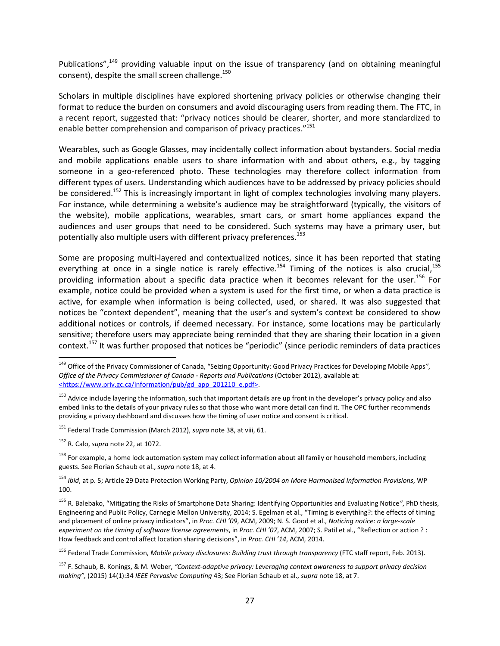Publications",<sup>[149](#page-28-0)</sup> providing valuable input on the issue of transparency (and on obtaining meaningful consent), despite the small screen challenge.<sup>[150](#page-28-1)</sup>

Scholars in multiple disciplines have explored shortening privacy policies or otherwise changing their format to reduce the burden on consumers and avoid discouraging users from reading them. The FTC, in a recent report, suggested that: "privacy notices should be clearer, shorter, and more standardized to enable better comprehension and comparison of privacy practices."<sup>[151](#page-28-2)</sup>

Wearables, such as Google Glasses, may incidentally collect information about bystanders. Social media and mobile applications enable users to share information with and about others, e.g., by tagging someone in a geo-referenced photo. These technologies may therefore collect information from different types of users. Understanding which audiences have to be addressed by privacy policies should be considered.<sup>[152](#page-28-3)</sup> This is increasingly important in light of complex technologies involving many players. For instance, while determining a website's audience may be straightforward (typically, the visitors of the website), mobile applications, wearables, smart cars, or smart home appliances expand the audiences and user groups that need to be considered. Such systems may have a primary user, but potentially also multiple users with different privacy preferences.<sup>[153](#page-28-4)</sup>

Some are proposing multi-layered and contextualized notices, since it has been reported that stating everything at once in a single notice is rarely effective.<sup>[154](#page-28-5)</sup> Timing of the notices is also crucial,<sup>[155](#page-28-6)</sup> providing information about a specific data practice when it becomes relevant for the user.<sup>[156](#page-28-7)</sup> For example, notice could be provided when a system is used for the first time, or when a data practice is active, for example when information is being collected, used, or shared. It was also suggested that notices be "context dependent", meaning that the user's and system's context be considered to show additional notices or controls, if deemed necessary. For instance, some locations may be particularly sensitive; therefore users may appreciate being reminded that they are sharing their location in a given context.[157](#page-28-8) It was further proposed that notices be "periodic" (since periodic reminders of data practices

<span id="page-28-2"></span><sup>151</sup> Federal Trade Commission (March 2012), *supra* note 38, at viii, 61.

<span id="page-28-0"></span><sup>149</sup> Office of the Privacy Commissioner of Canada, "Seizing Opportunity: Good Privacy Practices for Developing Mobile Apps*"*, *Office of the Privacy Commissioner of Canada - Reports and Publications* (October 2012), available at: <https://www.priv.gc.ca/information/pub/gd\_app\_201210\_e.pdf>.

<span id="page-28-1"></span><sup>&</sup>lt;sup>150</sup> Advice include layering the information, such that important details are up front in the developer's privacy policy and also embed links to the details of your privacy rules so that those who want more detail can find it. The OPC further recommends providing a privacy dashboard and discusses how the timing of user notice and consent is critical.

<span id="page-28-3"></span><sup>152</sup> R. Calo, *supra* note 22, at 1072.

<span id="page-28-4"></span><sup>&</sup>lt;sup>153</sup> For example, a home lock automation system may collect information about all family or household members, including guests. See Florian Schaub et al., *supra* note 18, at 4.

<span id="page-28-5"></span><sup>154</sup> *Ibid*, at p. 5; Article 29 Data Protection Working Party, *Opinion 10/2004 on More Harmonised Information Provisions*, WP 100.

<span id="page-28-6"></span><sup>155</sup> R. Balebako, "Mitigating the Risks of Smartphone Data Sharing: Identifying Opportunities and Evaluating Notice*"*, PhD thesis, Engineering and Public Policy, Carnegie Mellon University, 2014; S. Egelman et al., "Timing is everything?: the effects of timing and placement of online privacy indicators", in *Proc. CHI '09*, ACM, 2009; N. S. Good et al., *Noticing notice: a large-scale experiment on the timing of software license agreements*, in *Proc. CHI '07*, ACM, 2007; S. Patil et al., "Reflection or action ? : How feedback and control affect location sharing decisions", in *Proc. CHI '14*, ACM, 2014.

<span id="page-28-7"></span><sup>156</sup> Federal Trade Commission, *Mobile privacy disclosures: Building trust through transparency* (FTC staff report, Feb. 2013).

<span id="page-28-8"></span><sup>157</sup> F. Schaub, B. Konings, & M. Weber, *"Context-adaptive privacy: Leveraging context awareness to support privacy decision making",* (2015) 14(1):34 *IEEE Pervasive Computing* 43; See Florian Schaub et al., *supra* note 18, at 7.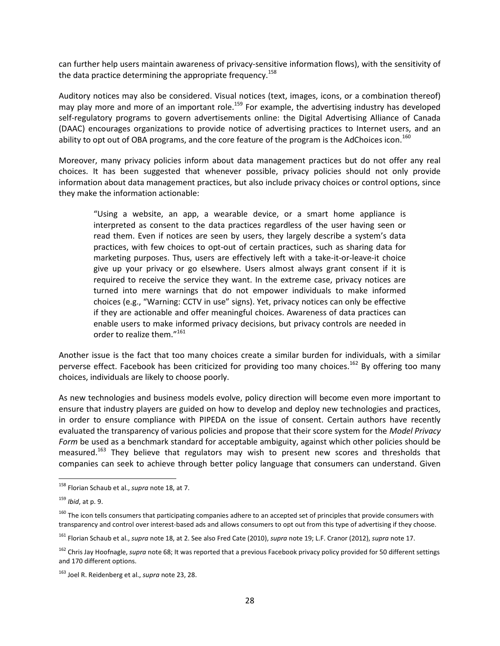can further help users maintain awareness of privacy-sensitive information flows), with the sensitivity of the data practice determining the appropriate frequency.<sup>[158](#page-29-0)</sup>

Auditory notices may also be considered. Visual notices (text, images, icons, or a combination thereof) may play more and more of an important role.<sup>1[59](#page-29-1)</sup> For example, the advertising industry has developed self-regulatory programs to govern advertisements online: the Digital Advertising Alliance of Canada (DAAC) encourages organizations to provide notice of advertising practices to Internet users, and an ability to opt out of OBA programs, and the core feature of the program is the AdChoices icon.<sup>[160](#page-29-2)</sup>

Moreover, many privacy policies inform about data management practices but do not offer any real choices. It has been suggested that whenever possible, privacy policies should not only provide information about data management practices, but also include privacy choices or control options, since they make the information actionable:

"Using a website, an app, a wearable device, or a smart home appliance is interpreted as consent to the data practices regardless of the user having seen or read them. Even if notices are seen by users, they largely describe a system's data practices, with few choices to opt-out of certain practices, such as sharing data for marketing purposes. Thus, users are effectively left with a take-it-or-leave-it choice give up your privacy or go elsewhere. Users almost always grant consent if it is required to receive the service they want. In the extreme case, privacy notices are turned into mere warnings that do not empower individuals to make informed choices (e.g., "Warning: CCTV in use" signs). Yet, privacy notices can only be effective if they are actionable and offer meaningful choices. Awareness of data practices can enable users to make informed privacy decisions, but privacy controls are needed in order to realize them."[161](#page-29-3)

Another issue is the fact that too many choices create a similar burden for individuals, with a similar perverse effect. Facebook has been criticized for providing too many choices.<sup>[162](#page-29-4)</sup> By offering too many choices, individuals are likely to choose poorly.

As new technologies and business models evolve, policy direction will become even more important to ensure that industry players are guided on how to develop and deploy new technologies and practices, in order to ensure compliance with PIPEDA on the issue of consent. Certain authors have recently evaluated the transparency of various policies and propose that their score system for the *Model Privacy Form* be used as a benchmark standard for acceptable ambiguity, against which other policies should be measured.<sup>[163](#page-29-5)</sup> They believe that regulators may wish to present new scores and thresholds that companies can seek to achieve through better policy language that consumers can understand. Given

<span id="page-29-0"></span><sup>158</sup> Florian Schaub et al., *supra* note 18, at 7.

<span id="page-29-1"></span><sup>159</sup> *Ibid*, at p. 9.

<span id="page-29-2"></span><sup>&</sup>lt;sup>160</sup> The icon tells consumers that participating companies adhere to an accepted set of principles that provide consumers with transparency and control over interest-based ads and allows consumers to opt out from this type of advertising if they choose.

<span id="page-29-3"></span><sup>161</sup> Florian Schaub et al., *supra* note 18, at 2. See also Fred Cate (2010), *supra* note 19; L.F. Cranor (2012), *supra* note 17.

<span id="page-29-4"></span><sup>&</sup>lt;sup>162</sup> Chris Jay Hoofnagle, *supra* note 68; It was reported that a previous Facebook privacy policy provided for 50 different settings and 170 different options.

<span id="page-29-5"></span><sup>163</sup> Joel R. Reidenberg et al., *supra* note 23, 28.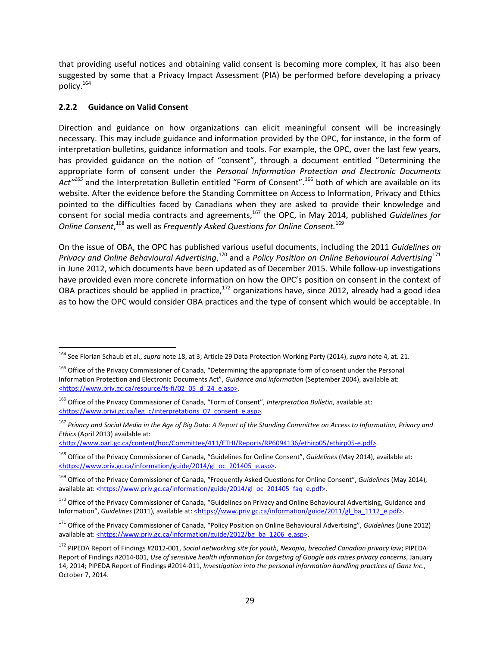that providing useful notices and obtaining valid consent is becoming more complex, it has also been suggested by some that a Privacy Impact Assessment (PIA) be performed before developing a privacy policy.[164](#page-30-1)

## <span id="page-30-0"></span>**2.2.2 Guidance on Valid Consent**

Direction and guidance on how organizations can elicit meaningful consent will be increasingly necessary. This may include guidance and information provided by the OPC, for instance, in the form of interpretation bulletins, guidance information and tools. For example, the OPC, over the last few years, has provided guidance on the notion of "consent", through a document entitled "Determining the appropriate form of consent under the *Personal Information Protection and Electronic Documents Act"[165](#page-30-2)* and the Interpretation Bulletin entitled "Form of Consent".[166](#page-30-3) both of which are available on its website. After the evidence before the Standing Committee on Access to Information, Privacy and Ethics pointed to the difficulties faced by Canadians when they are asked to provide their knowledge and consent for social media contracts and agreements,[167](#page-30-4) the OPC, in May 2014, published *Guidelines for Online Consent*, [168](#page-30-5) as well as *Frequently Asked Questions for Online Consent.*[169](#page-30-6)

On the issue of OBA, the OPC has published various useful documents, including the 2011 *Guidelines on* Privacy and Online Behavioural Advertising,<sup>[170](#page-30-7)</sup> and a Policy Position on Online Behavioural Advertising<sup>[171](#page-30-8)</sup> in June 2012, which documents have been updated as of December 2015. While follow-up investigations have provided even more concrete information on how the OPC's position on consent in the context of OBA practices should be applied in practice, $172$  organizations have, since 2012, already had a good idea as to how the OPC would consider OBA practices and the type of consent which would be acceptable. In

<http://www.parl.gc.ca/content/hoc/Committee/411/ETHI/Reports/RP6094136/ethirp05/ethirp05-e.pdf>.

<span id="page-30-1"></span><sup>164</sup> See Florian Schaub et al., *supra* note 18, at 3; Article 29 Data Protection Working Party (2014), *supra* note 4, at. 21.

<span id="page-30-2"></span><sup>&</sup>lt;sup>165</sup> Office of the Privacy Commissioner of Canada, "Determining the appropriate form of consent under the Personal Information Protection and Electronic Documents Act", *Guidance and Information* (September 2004), available at: <https://www.priv.gc.ca/resource/fs-fi/02\_05\_d\_24\_e.asp>.

<span id="page-30-3"></span><sup>166</sup> Office of the Privacy Commissioner of Canada, "Form of Consent", *Interpretation Bulletin*, available at: <https://www.privi.gc.ca/leg\_c/interpretations\_07\_consent\_e.asp>.

<span id="page-30-4"></span><sup>167</sup> *Privacy and Social Media in the Age of Big Data: A Report of the Standing Committee on Access to Information, Privacy and Ethics* (April 2013) available at:

<span id="page-30-5"></span><sup>168</sup> Office of the Privacy Commissioner of Canada, "Guidelines for Online Consent", *Guidelines* (May 2014), available at: <https://www.priv.gc.ca/information/guide/2014/gl\_oc\_201405\_e.asp>.

<span id="page-30-6"></span><sup>169</sup> Office of the Privacy Commissioner of Canada, "Frequently Asked Questions for Online Consent", *Guidelines* (May 2014), available at: <https://www.priv.gc.ca/information/guide/2014/gl\_oc\_201405\_faq\_e.pdf>.

<span id="page-30-7"></span><sup>&</sup>lt;sup>170</sup> Office of the Privacy Commissioner of Canada, "Guidelines on Privacy and Online Behavioural Advertising, Guidance and Information", *Guidelines* (2011), available at: <https://www.priv.gc.ca/information/guide/2011/gl\_ba\_1112\_e.pdf>.

<span id="page-30-8"></span><sup>171</sup> Office of the Privacy Commissioner of Canada, "Policy Position on Online Behavioural Advertising", *Guidelines* (June 2012) available at: <https://www.priv.gc.ca/information/guide/2012/bg\_ba\_1206\_e.asp>.

<span id="page-30-9"></span><sup>172</sup> PIPEDA Report of Findings #2012-001, *Social networking site for youth, Nexopia, breached Canadian privacy law*; PIPEDA Report of Findings #2014-001, *Use of sensitive health information for targeting of Google ads raises privacy concerns*, January 14, 2014; PIPEDA Report of Findings #2014-011, *Investigation into the personal information handling practices of Ganz Inc*., October 7, 2014.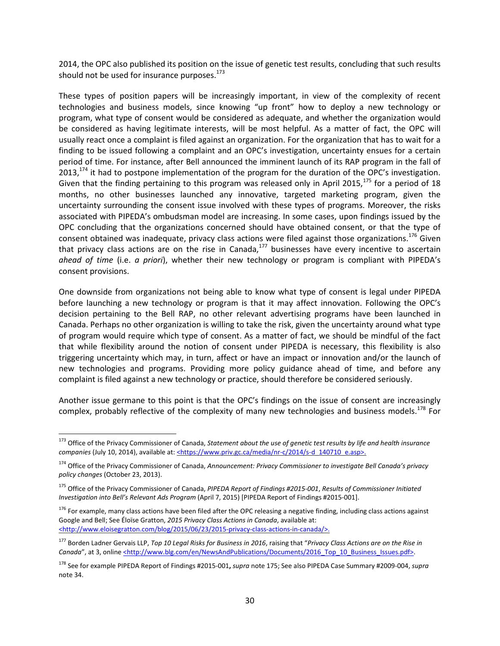2014, the OPC also published its position on the issue of genetic test results, concluding that such results should not be used for insurance purposes.<sup>[173](#page-31-0)</sup>

These types of position papers will be increasingly important, in view of the complexity of recent technologies and business models, since knowing "up front" how to deploy a new technology or program, what type of consent would be considered as adequate, and whether the organization would be considered as having legitimate interests, will be most helpful. As a matter of fact, the OPC will usually react once a complaint is filed against an organization. For the organization that has to wait for a finding to be issued following a complaint and an OPC's investigation, uncertainty ensues for a certain period of time. For instance, after Bell announced the imminent launch of its RAP program in the fall of  $2013<sup>174</sup>$  $2013<sup>174</sup>$  $2013<sup>174</sup>$  it had to postpone implementation of the program for the duration of the OPC's investigation. Given that the finding pertaining to this program was released only in April 2015, $^{175}$  $^{175}$  $^{175}$  for a period of 18 months, no other businesses launched any innovative, targeted marketing program, given the uncertainty surrounding the consent issue involved with these types of programs. Moreover, the risks associated with PIPEDA's ombudsman model are increasing. In some cases, upon findings issued by the OPC concluding that the organizations concerned should have obtained consent, or that the type of consent obtained was inadequate, privacy class actions were filed against those organizations.<sup>[176](#page-31-3)</sup> Given that privacy class actions are on the rise in Canada, $^{177}$  $^{177}$  $^{177}$  businesses have every incentive to ascertain *ahead of time* (i.e. *a priori*), whether their new technology or program is compliant with PIPEDA's consent provisions.

One downside from organizations not being able to know what type of consent is legal under PIPEDA before launching a new technology or program is that it may affect innovation. Following the OPC's decision pertaining to the Bell RAP, no other relevant advertising programs have been launched in Canada. Perhaps no other organization is willing to take the risk, given the uncertainty around what type of program would require which type of consent. As a matter of fact, we should be mindful of the fact that while flexibility around the notion of consent under PIPEDA is necessary, this flexibility is also triggering uncertainty which may, in turn, affect or have an impact or innovation and/or the launch of new technologies and programs. Providing more policy guidance ahead of time, and before any complaint is filed against a new technology or practice, should therefore be considered seriously.

Another issue germane to this point is that the OPC's findings on the issue of consent are increasingly complex, probably reflective of the complexity of many new technologies and business models.<sup>[178](#page-31-5)</sup> For

<span id="page-31-0"></span><sup>173</sup> Office of the Privacy Commissioner of Canada, *Statement about the use of genetic test results by life and health insurance* companies (July 10, 2014), available at: <https://www.priv.gc.ca/media/nr-c/2014/s-d\_140710\_e.asp>.

<span id="page-31-1"></span><sup>174</sup> Office of the Privacy Commissioner of Canada, *Announcement: Privacy Commissioner to investigate Bell Canada's privacy policy changes* (October 23, 2013).

<span id="page-31-2"></span><sup>175</sup> Office of the Privacy Commissioner of Canada, *PIPEDA Report of Findings #2015-001*, *Results of Commissioner Initiated Investigation into Bell's Relevant Ads Program* (April 7, 2015) [PIPEDA Report of Findings #2015-001].

<span id="page-31-3"></span><sup>&</sup>lt;sup>176</sup> For example, many class actions have been filed after the OPC releasing a negative finding, including class actions against Google and Bell; See Éloïse Gratton, *2015 Privacy Class Actions in Canada*, available at: <http://www.eloisegratton.com/blog/2015/06/23/2015-privacy-class-actions-in-canada/>.

<span id="page-31-4"></span><sup>177</sup> Borden Ladner Gervais LLP, *Top 10 Legal Risks for Business in 2016*, raising that "*Privacy Class Actions are on the Rise in* Canada", at 3, online <u><http://www.blg.com/en/NewsAndPublications/Documents/2016\_Top\_10\_Business\_Issues.pdf></u>.

<span id="page-31-5"></span><sup>178</sup> See for example PIPEDA Report of Findings #2015-001**,** *supra* note 175; See also PIPEDA Case Summary #2009-004, *supra* note 34.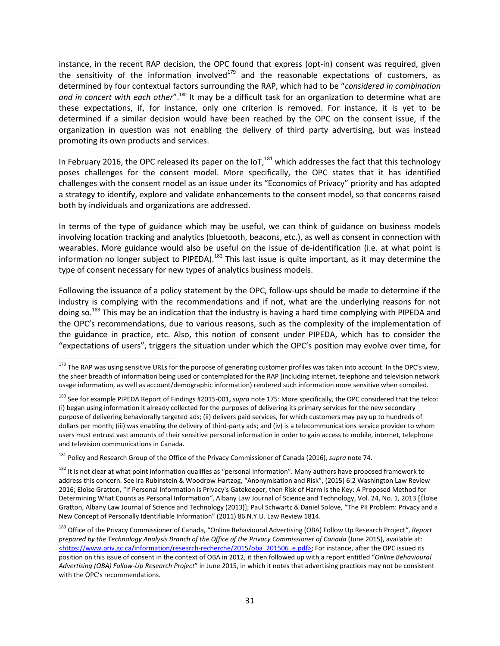instance, in the recent RAP decision, the OPC found that express (opt-in) consent was required, given the sensitivity of the information involved $179$  and the reasonable expectations of customers, as determined by four contextual factors surrounding the RAP, which had to be "*considered in combination* and in concert with each other".<sup>[180](#page-32-1)</sup> It may be a difficult task for an organization to determine what are these expectations, if, for instance, only one criterion is removed. For instance, it is yet to be determined if a similar decision would have been reached by the OPC on the consent issue, if the organization in question was not enabling the delivery of third party advertising, but was instead promoting its own products and services.

In February 2016, the OPC released its paper on the IoT, $^{181}$  $^{181}$  $^{181}$  which addresses the fact that this technology poses challenges for the consent model. More specifically, the OPC states that it has identified challenges with the consent model as an issue under its "Economics of Privacy" priority and has adopted a strategy to identify, explore and validate enhancements to the consent model, so that concerns raised both by individuals and organizations are addressed.

In terms of the type of guidance which may be useful, we can think of guidance on business models involving location tracking and analytics (bluetooth, beacons, etc.), as well as consent in connection with wearables. More guidance would also be useful on the issue of de-identification (i.e. at what point is information no longer subject to PIPEDA).<sup>[182](#page-32-3)</sup> This last issue is quite important, as it may determine the type of consent necessary for new types of analytics business models.

Following the issuance of a policy statement by the OPC, follow-ups should be made to determine if the industry is complying with the recommendations and if not, what are the underlying reasons for not doing so.<sup>[183](#page-32-4)</sup> This may be an indication that the industry is having a hard time complying with PIPEDA and the OPC's recommendations, due to various reasons, such as the complexity of the implementation of the guidance in practice, etc. Also, this notion of consent under PIPEDA, which has to consider the "expectations of users", triggers the situation under which the OPC's position may evolve over time, for

<span id="page-32-2"></span><sup>181</sup> Policy and Research Group of the Office of the Privacy Commissioner of Canada (2016), *supra* note 74.

<span id="page-32-0"></span><sup>&</sup>lt;sup>179</sup> The RAP was using sensitive URLs for the purpose of generating customer profiles was taken into account. In the OPC's view, the sheer breadth of information being used or contemplated for the RAP (including internet, telephone and television network usage information, as well as account/demographic information) rendered such information more sensitive when compiled.

<span id="page-32-1"></span><sup>180</sup> See for example PIPEDA Report of Findings #2015-001**,** *supra* note 175: More specifically, the OPC considered that the telco: (i) began using information it already collected for the purposes of delivering its primary services for the new secondary purpose of delivering behaviorally targeted ads; (ii) delivers paid services, for which customers may pay up to hundreds of dollars per month; (iii) was enabling the delivery of third-party ads; and (iv) is a telecommunications service provider to whom users must entrust vast amounts of their sensitive personal information in order to gain access to mobile, internet, telephone and television communications in Canada.

<span id="page-32-3"></span><sup>&</sup>lt;sup>182</sup> It is not clear at what point information qualifies as "personal information". Many authors have proposed framework to address this concern. See Ira Rubinstein & Woodrow Hartzog, "Anonymisation and Risk", (2015) 6:2 Washington Law Review 2016; Eloïse Gratton, "If Personal Information is Privacy's Gatekeeper, then Risk of Harm is the Key: A Proposed Method for Determining What Counts as Personal Information*"*, Albany Law Journal of Science and Technology, Vol. 24, No. 1, 2013 [Éloïse Gratton, Albany Law Journal of Science and Technology (2013)]; Paul Schwartz & Daniel Solove, "The PII Problem: Privacy and a New Concept of Personally Identifiable Information" (2011) 86 N.Y.U. Law Review 1814.

<span id="page-32-4"></span><sup>183</sup> Office of the Privacy Commissioner of Canada, "Online Behavioural Advertising (OBA) Follow Up Research Project*"*, *Report prepared by the Technology Analysis Branch of the Office of the Privacy Commissioner of Canada* (June 2015), available at: <https://www.priv.gc.ca/information/research-recherche/2015/oba\_201506\_e.pdf>; For instance, after the OPC issued its position on this issue of consent in the context of OBA in 2012, it then followed up with a report entitled "*Online Behavioural Advertising (OBA) Follow-Up Research Project*" in June 2015, in which it notes that advertising practices may not be consistent with the OPC's recommendations.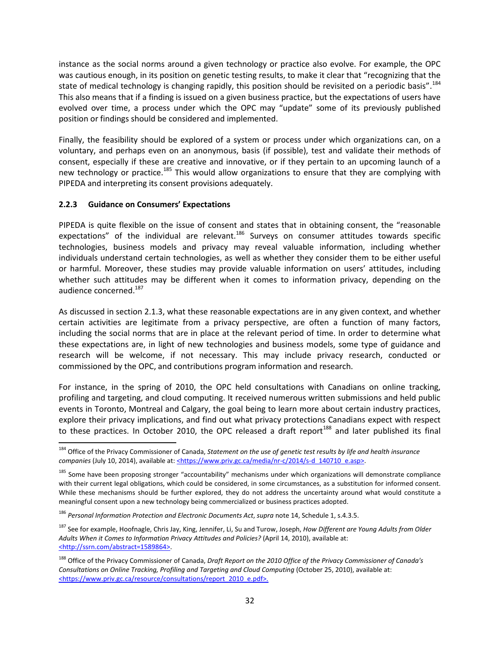instance as the social norms around a given technology or practice also evolve. For example, the OPC was cautious enough, in its position on genetic testing results, to make it clear that "recognizing that the state of medical technology is changing rapidly, this position should be revisited on a periodic basis".<sup>[184](#page-33-1)</sup> This also means that if a finding is issued on a given business practice, but the expectations of users have evolved over time, a process under which the OPC may "update" some of its previously published position or findings should be considered and implemented.

Finally, the feasibility should be explored of a system or process under which organizations can, on a voluntary, and perhaps even on an anonymous, basis (if possible), test and validate their methods of consent, especially if these are creative and innovative, or if they pertain to an upcoming launch of a new technology or practice.<sup>[185](#page-33-2)</sup> This would allow organizations to ensure that they are complying with PIPEDA and interpreting its consent provisions adequately.

## <span id="page-33-0"></span>**2.2.3 Guidance on Consumers' Expectations**

PIPEDA is quite flexible on the issue of consent and states that in obtaining consent, the "reasonable expectations" of the individual are relevant.<sup>[186](#page-33-3)</sup> Surveys on consumer attitudes towards specific technologies, business models and privacy may reveal valuable information, including whether individuals understand certain technologies, as well as whether they consider them to be either useful or harmful. Moreover, these studies may provide valuable information on users' attitudes, including whether such attitudes may be different when it comes to information privacy, depending on the audience concerned.<sup>[187](#page-33-4)</sup>

As discussed in section [2.1.3](#page-23-0), what these reasonable expectations are in any given context, and whether certain activities are legitimate from a privacy perspective, are often a function of many factors, including the social norms that are in place at the relevant period of time. In order to determine what these expectations are, in light of new technologies and business models, some type of guidance and research will be welcome, if not necessary. This may include privacy research, conducted or commissioned by the OPC, and contributions program information and research.

For instance, in the spring of 2010, the OPC held consultations with Canadians on online tracking, profiling and targeting, and cloud computing. It received numerous written submissions and held public events in Toronto, Montreal and Calgary, the goal being to learn more about certain industry practices, explore their privacy implications, and find out what privacy protections Canadians expect with respect to these practices. In October 2010, the OPC released a draft report<sup>[188](#page-33-5)</sup> and later published its final

<span id="page-33-1"></span><sup>184</sup> Office of the Privacy Commissioner of Canada, *Statement on the use of genetic test results by life and health insurance companies* (July 10, 2014), available at: <https://www.priv.gc.ca/media/nr-c/2014/s-d\_140710\_e.asp>.

<span id="page-33-2"></span><sup>&</sup>lt;sup>185</sup> Some have been proposing stronger "accountability" mechanisms under which organizations will demonstrate compliance with their current legal obligations, which could be considered, in some circumstances, as a substitution for informed consent. While these mechanisms should be further explored, they do not address the uncertainty around what would constitute a meaningful consent upon a new technology being commercialized or business practices adopted.

<span id="page-33-3"></span><sup>186</sup> *Personal Information Protection and Electronic Documents Act*, *supra* note 14, Schedule 1, s.4.3.5.

<span id="page-33-4"></span><sup>187</sup> See for example, Hoofnagle, Chris Jay, King, Jennifer, Li, Su and Turow, Joseph, *How Different are Young Adults from Older Adults When it Comes to Information Privacy Attitudes and Policies?* (April 14, 2010), available at: <http://ssrn.com/abstract=1589864>.

<span id="page-33-5"></span><sup>188</sup> Office of the Privacy Commissioner of Canada, *Draft Report on the 2010 Office of the Privacy Commissioner of Canada's Consultations on Online Tracking, Profiling and Targeting and Cloud Computing* (October 25, 2010), available at: <https://www.priv.gc.ca/resource/consultations/report\_2010\_e.pdf>.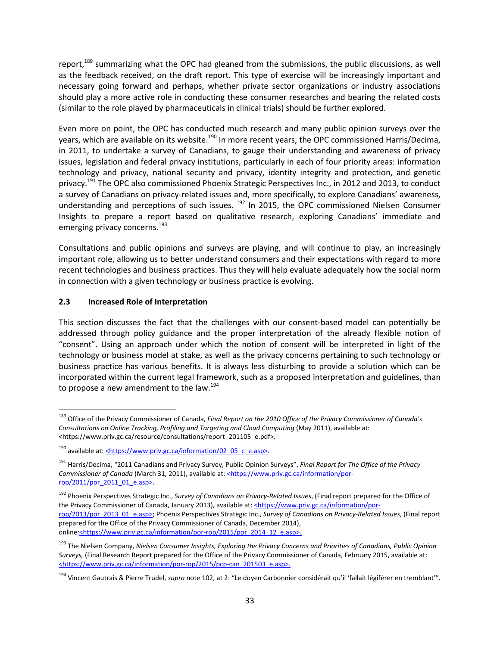report, $189$  summarizing what the OPC had gleaned from the submissions, the public discussions, as well as the feedback received, on the draft report. This type of exercise will be increasingly important and necessary going forward and perhaps, whether private sector organizations or industry associations should play a more active role in conducting these consumer researches and bearing the related costs (similar to the role played by pharmaceuticals in clinical trials) should be further explored.

Even more on point, the OPC has conducted much research and many public opinion surveys over the years, which are available on its website.<sup>[190](#page-34-2)</sup> In more recent years, the OPC commissioned Harris/Decima, in 2011, to undertake a survey of Canadians, to gauge their understanding and awareness of privacy issues, legislation and federal privacy institutions, particularly in each of four priority areas: information technology and privacy, national security and privacy, identity integrity and protection, and genetic privacy.<sup>[191](#page-34-3)</sup> The OPC also commissioned Phoenix Strategic Perspectives Inc., in 2012 and 2013, to conduct a survey of Canadians on privacy-related issues and, more specifically, to explore Canadians' awareness, understanding and perceptions of such issues. <sup>[192](#page-34-4)</sup> In 2015, the OPC commissioned Nielsen Consumer Insights to prepare a report based on qualitative research, exploring Canadians' immediate and emerging privacy concerns.<sup>[193](#page-34-5)</sup>

Consultations and public opinions and surveys are playing, and will continue to play, an increasingly important role, allowing us to better understand consumers and their expectations with regard to more recent technologies and business practices. Thus they will help evaluate adequately how the social norm in connection with a given technology or business practice is evolving.

## <span id="page-34-0"></span>**2.3 Increased Role of Interpretation**

This section discusses the fact that the challenges with our consent-based model can potentially be addressed through policy guidance and the proper interpretation of the already flexible notion of "consent". Using an approach under which the notion of consent will be interpreted in light of the technology or business model at stake, as well as the privacy concerns pertaining to such technology or business practice has various benefits. It is always less disturbing to provide a solution which can be incorporated within the current legal framework, such as a proposed interpretation and guidelines, than to propose a new amendment to the law. $^{194}$  $^{194}$  $^{194}$ 

<span id="page-34-1"></span><sup>189</sup> Office of the Privacy Commissioner of Canada, *Final Report on the 2010 Office of the Privacy Commissioner of Canada's Consultations on Online Tracking, Profiling and Targeting and Cloud Computing* (May 2011), available at: <https://www.priv.gc.ca/resource/consultations/report\_201105\_e.pdf>.

<span id="page-34-2"></span> $190$  available at: <https://www.priv.gc.ca/information/02\_05\_c\_e.asp>.

<span id="page-34-3"></span><sup>191</sup> Harris/Decima, "2011 Canadians and Privacy Survey, Public Opinion Surveys", *Final Report for The Office of the Privacy Commissioner of Canada* (March 31, 2011), available at: <https://www.priv.gc.ca/information/porrop/2011/por\_2011\_01\_e.asp>.

<span id="page-34-4"></span><sup>192</sup> Phoenix Perspectives Strategic Inc., *Survey of Canadians on Privacy-Related Issues*, (Final report prepared for the Office of the Privacy Commissioner of Canada, January 2013), available at: <https://www.priv.gc.ca/information/porrop/2013/por\_2013\_01\_e.asp>; Phoenix Perspectives Strategic Inc., *Survey of Canadians on Privacy-Related Issues*, (Final report prepared for the Office of the Privacy Commissioner of Canada, December 2014), online:<https://www.priv.gc.ca/information/por-rop/2015/por\_2014\_12\_e.asp>.

<span id="page-34-5"></span><sup>193</sup> The Nielsen Company, *Nielsen Consumer Insights, Exploring the Privacy Concerns and Priorities of Canadians, Public Opinion Surveys,* (Final Research Report prepared for the Office of the Privacy Commissioner of Canada, February 2015, available at: <https://www.priv.gc.ca/information/por-rop/2015/pcp-can\_201503\_e.asp>.

<span id="page-34-6"></span><sup>194</sup> Vincent Gautrais & Pierre Trudel, *supra* note 102, at 2: "Le doyen Carbonnier considérait qu'il 'fallait légiférer en tremblant'".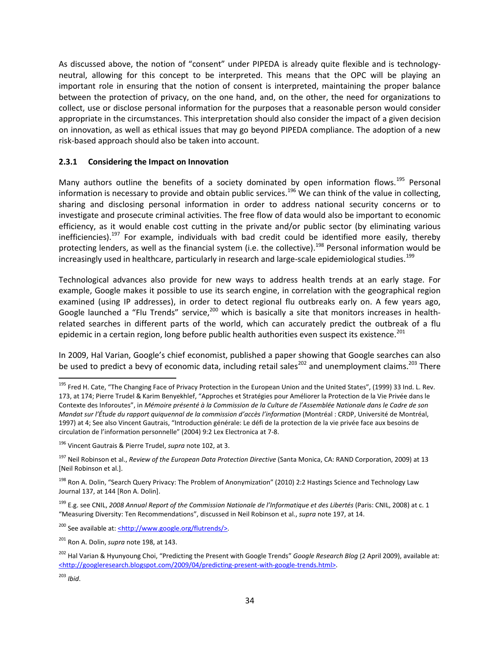As discussed above, the notion of "consent" under PIPEDA is already quite flexible and is technologyneutral, allowing for this concept to be interpreted. This means that the OPC will be playing an important role in ensuring that the notion of consent is interpreted, maintaining the proper balance between the protection of privacy, on the one hand, and, on the other, the need for organizations to collect, use or disclose personal information for the purposes that a reasonable person would consider appropriate in the circumstances. This interpretation should also consider the impact of a given decision on innovation, as well as ethical issues that may go beyond PIPEDA compliance. The adoption of a new risk-based approach should also be taken into account.

### <span id="page-35-0"></span>**2.3.1 Considering the Impact on Innovation**

Many authors outline the benefits of a society dominated by open information flows.<sup>[195](#page-35-1)</sup> Personal information is necessary to provide and obtain public services.<sup>[196](#page-35-2)</sup> We can think of the value in collecting, sharing and disclosing personal information in order to address national security concerns or to investigate and prosecute criminal activities. The free flow of data would also be important to economic efficiency, as it would enable cost cutting in the private and/or public sector (by eliminating various inefficiencies).<sup>[197](#page-35-3)</sup> For example, individuals with bad credit could be identified more easily, thereby protecting lenders, as well as the financial system (i.e. the collective).<sup>[198](#page-35-4)</sup> Personal information would be increasingly used in healthcare, particularly in research and large-scale epidemiological studies.<sup>[199](#page-35-5)</sup>

Technological advances also provide for new ways to address health trends at an early stage. For example, Google makes it possible to use its search engine, in correlation with the geographical region examined (using IP addresses), in order to detect regional flu outbreaks early on. A few years ago, Google launched a "Flu Trends" service,<sup>[200](#page-35-6)</sup> which is basically a site that monitors increases in healthrelated searches in different parts of the world, which can accurately predict the outbreak of a flu epidemic in a certain region, long before public health authorities even suspect its existence.<sup>[201](#page-35-7)</sup>

In 2009, Hal Varian, Google's chief economist, published a paper showing that Google searches can also be used to predict a bevy of economic data, including retail sales<sup>[202](#page-35-8)</sup> and unemployment claims.<sup>[203](#page-35-9)</sup> There

<span id="page-35-1"></span><sup>&</sup>lt;sup>195</sup> Fred H. Cate, "The Changing Face of Privacy Protection in the European Union and the United States", (1999) 33 Ind. L. Rev. 173, at 174; Pierre Trudel & Karim Benyekhlef, "Approches et Stratégies pour Améliorer la Protection de la Vie Privée dans le Contexte des Inforoutes", in *Mémoire présenté à la Commission de la Culture de l'Assemblée Nationale dans le Cadre de son Mandat sur l'Étude du rapport quiquennal de la commission d'accès l'information* (Montréal : CRDP, Université de Montréal, 1997) at 4; See also Vincent Gautrais, "Introduction générale: Le défi de la protection de la vie privée face aux besoins de circulation de l'information personnelle" (2004) 9:2 Lex Electronica at 7-8.

<span id="page-35-2"></span><sup>196</sup> Vincent Gautrais & Pierre Trudel, *supra* note 102, at 3.

<span id="page-35-3"></span><sup>197</sup> Neil Robinson et al., *Review of the European Data Protection Directive* (Santa Monica, CA: RAND Corporation, 2009) at 13 [Neil Robinson et al.].

<span id="page-35-4"></span><sup>&</sup>lt;sup>198</sup> Ron A. Dolin, "Search Query Privacy: The Problem of Anonymization" (2010) 2:2 Hastings Science and Technology Law Journal 137, at 144 [Ron A. Dolin].

<span id="page-35-5"></span><sup>199</sup> E.g. see CNIL, *2008 Annual Report of the Commission Nationale de l'Informatique et des Libertés* (Paris: CNIL, 2008) at c. 1 "Measuring Diversity: Ten Recommendations", discussed in Neil Robinson et al., *supra* note 197, at 14.

<span id="page-35-6"></span><sup>&</sup>lt;sup>200</sup> See available at: <http://www.google.org/flutrends/>.

<span id="page-35-7"></span><sup>201</sup> Ron A. Dolin, *supra* note 198, at 143.

<span id="page-35-8"></span><sup>202</sup> Hal Varian & Hyunyoung Choi, "Predicting the Present with Google Trends" *Google Research Blog* (2 April 2009), available at: <http://googleresearch.blogspot.com/2009/04/predicting-present-with-google-trends.html>.

<span id="page-35-9"></span><sup>203</sup> *Ibid*.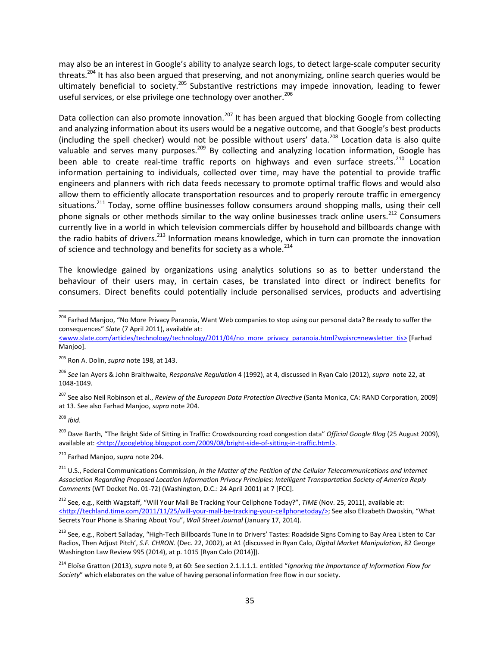may also be an interest in Google's ability to analyze search logs, to detect large-scale computer security threats.<sup>[204](#page-36-0)</sup> It has also been argued that preserving, and not anonymizing, online search queries would be ultimately beneficial to society.<sup>[205](#page-36-1)</sup> Substantive restrictions may impede innovation, leading to fewer useful services, or else privilege one technology over another.<sup>[206](#page-36-2)</sup>

Data collection can also promote innovation.<sup>[207](#page-36-3)</sup> It has been argued that blocking Google from collecting and analyzing information about its users would be a negative outcome, and that Google's best products (including the spell checker) would not be possible without users' data.<sup>[208](#page-36-4)</sup> Location data is also quite valuable and serves many purposes.<sup>[209](#page-36-5)</sup> By collecting and analyzing location information, Google has been able to create real-time traffic reports on highways and even surface streets.<sup>[210](#page-36-6)</sup> Location information pertaining to individuals, collected over time, may have the potential to provide traffic engineers and planners with rich data feeds necessary to promote optimal traffic flows and would also allow them to efficiently allocate transportation resources and to properly reroute traffic in emergency situations.[211](#page-36-7) Today, some offline businesses follow consumers around shopping malls, using their cell phone signals or other methods similar to the way online businesses track online users.<sup>[212](#page-36-8)</sup> Consumers currently live in a world in which television commercials differ by household and billboards change with the radio habits of drivers.<sup>[213](#page-36-9)</sup> Information means knowledge, which in turn can promote the innovation of science and technology and benefits for society as a whole. $^{214}$  $^{214}$  $^{214}$ 

The knowledge gained by organizations using analytics solutions so as to better understand the behaviour of their users may, in certain cases, be translated into direct or indirect benefits for consumers. Direct benefits could potentially include personalised services, products and advertising

<span id="page-36-3"></span><sup>207</sup> See also Neil Robinson et al., *Review of the European Data Protection Directive* (Santa Monica, CA: RAND Corporation, 2009) at 13. See also Farhad Manjoo, *supra* note 204.

<span id="page-36-4"></span><sup>208</sup> *Ibid*.

<span id="page-36-5"></span><sup>209</sup> Dave Barth, "The Bright Side of Sitting in Traffic: Crowdsourcing road congestion data" *Official Google Blog* (25 August 2009), available at: <http://googleblog.blogspot.com/2009/08/bright-side-of-sitting-in-traffic.html>.

<span id="page-36-6"></span><sup>210</sup> Farhad Manjoo, *supra* note 204.

<span id="page-36-0"></span><sup>&</sup>lt;sup>204</sup> Farhad Manjoo, "No More Privacy Paranoia, Want Web companies to stop using our personal data? Be ready to suffer the consequences" *Slate* (7 April 2011), available at:

<sup>&</sup>lt;www.slate.com/articles/technology/technology/2011/04/no\_more\_privacy\_paranoia.html?wpisrc=newsletter\_tis> [Farhad Manjoo].

<span id="page-36-1"></span><sup>205</sup> Ron A. Dolin, *supra* note 198, at 143.

<span id="page-36-2"></span><sup>206</sup> *See* Ian Ayers & John Braithwaite, *Responsive Regulation* 4 (1992), at 4, discussed in Ryan Calo (2012), *supra* note 22, at 1048-1049.

<span id="page-36-7"></span><sup>211</sup> U.S., Federal Communications Commission, *In the Matter of the Petition of the Cellular Telecommunications and Internet Association Regarding Proposed Location Information Privacy Principles: Intelligent Transportation Society of America Reply Comments* (WT Docket No. 01-72) (Washington, D.C.: 24 April 2001) at 7 [FCC].

<span id="page-36-8"></span><sup>212</sup> See, e.g., Keith Wagstaff, "Will Your Mall Be Tracking Your Cellphone Today?", *TIME* (Nov. 25, 2011), available at: <http://techland.time.com/2011/11/25/will-your-mall-be-tracking-your-cellphonetoday/>; See also Elizabeth Dwoskin, "What Secrets Your Phone is Sharing About You", *Wall Street Journal* (January 17, 2014).

<span id="page-36-9"></span><sup>&</sup>lt;sup>213</sup> See, e.g., Robert Salladay, "High-Tech Billboards Tune In to Drivers' Tastes: Roadside Signs Coming to Bay Area Listen to Car Radios, Then Adjust Pitch', *S.F. CHRON.* (Dec. 22, 2002), at A1 (discussed in Ryan Calo, *Digital Market Manipulation*, 82 George Washington Law Review 995 (2014), at p. 1015 [Ryan Calo (2014)]).

<span id="page-36-10"></span><sup>214</sup> Eloïse Gratton (2013), *supra* note 9, at 60: See section 2.1.1.1.1. entitled "*Ignoring the Importance of Information Flow for Society*" which elaborates on the value of having personal information free flow in our society.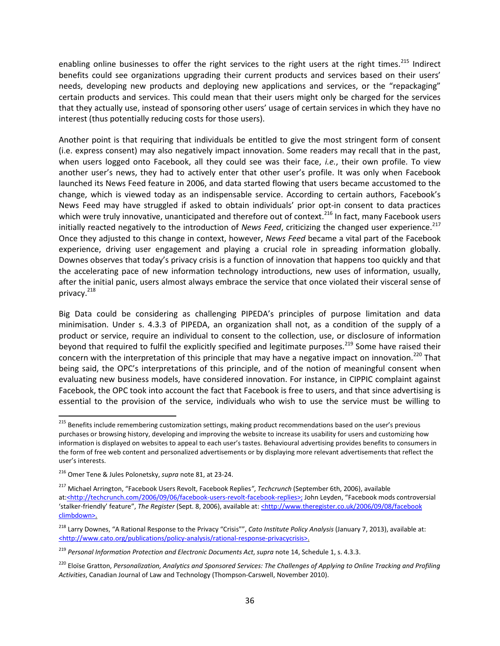enabling online businesses to offer the right services to the right users at the right times.<sup>[215](#page-37-0)</sup> Indirect benefits could see organizations upgrading their current products and services based on their users' needs, developing new products and deploying new applications and services, or the "repackaging" certain products and services. This could mean that their users might only be charged for the services that they actually use, instead of sponsoring other users' usage of certain services in which they have no interest (thus potentially reducing costs for those users).

Another point is that requiring that individuals be entitled to give the most stringent form of consent (i.e. express consent) may also negatively impact innovation. Some readers may recall that in the past, when users logged onto Facebook, all they could see was their face, *i.e.*, their own profile. To view another user's news, they had to actively enter that other user's profile. It was only when Facebook launched its News Feed feature in 2006, and data started flowing that users became accustomed to the change, which is viewed today as an indispensable service. According to certain authors, Facebook's News Feed may have struggled if asked to obtain individuals' prior opt-in consent to data practices which were truly innovative, unanticipated and therefore out of context.<sup>[216](#page-37-1)</sup> In fact, many Facebook users initially reacted negatively to the introduction of *News Feed*, criticizing the changed user experience.<sup>[217](#page-37-2)</sup> Once they adjusted to this change in context, however, *News Feed* became a vital part of the Facebook experience, driving user engagement and playing a crucial role in spreading information globally. Downes observes that today's privacy crisis is a function of innovation that happens too quickly and that the accelerating pace of new information technology introductions, new uses of information, usually, after the initial panic, users almost always embrace the service that once violated their visceral sense of privacy.<sup>[218](#page-37-3)</sup>

Big Data could be considering as challenging PIPEDA's principles of purpose limitation and data minimisation. Under s. 4.3.3 of PIPEDA, an organization shall not, as a condition of the supply of a product or service, require an individual to consent to the collection, use, or disclosure of information beyond that required to fulfil the explicitly specified and legitimate purposes.<sup>[219](#page-37-4)</sup> Some have raised their concern with the interpretation of this principle that may have a negative impact on innovation.<sup>[220](#page-37-5)</sup> That being said, the OPC's interpretations of this principle, and of the notion of meaningful consent when evaluating new business models, have considered innovation. For instance, in CIPPIC complaint against Facebook, the OPC took into account the fact that Facebook is free to users, and that since advertising is essential to the provision of the service, individuals who wish to use the service must be willing to

<span id="page-37-0"></span><sup>&</sup>lt;sup>215</sup> Benefits include remembering customization settings, making product recommendations based on the user's previous purchases or browsing history, developing and improving the website to increase its usability for users and customizing how information is displayed on websites to appeal to each user's tastes. Behavioural advertising provides benefits to consumers in the form of free web content and personalized advertisements or by displaying more relevant advertisements that reflect the user's interests.

<span id="page-37-1"></span><sup>216</sup> Omer Tene & Jules Polonetsky, *supra* note 81, at 23-24.

<span id="page-37-2"></span><sup>217</sup> Michael Arrington, "Facebook Users Revolt, Facebook Replies*"*, *Techcrunch* (September 6th, 2006), available at:<http://techcrunch.com/2006/09/06/facebook-users-revolt-facebook-replies>; John Leyden, "Facebook mods controversial 'stalker-friendly' feature", *The Register* (Sept. 8, 2006), available at: <http://www.theregister.co.uk/2006/09/08/facebook climbdown>.

<span id="page-37-3"></span><sup>218</sup> Larry Downes, "A Rational Response to the Privacy "Crisis"", *Cato Institute Policy Analysis* (January 7, 2013), available at: <http://www.cato.org/publications/policy-analysis/rational-response-privacycrisis>.

<span id="page-37-4"></span><sup>219</sup> *Personal Information Protection and Electronic Documents Act*, *supra* note 14, Schedule 1, s. 4.3.3.

<span id="page-37-5"></span><sup>&</sup>lt;sup>220</sup> Eloïse Gratton, Personalization, Analytics and Sponsored Services: The Challenges of Applying to Online Tracking and Profiling *Activities*, Canadian Journal of Law and Technology (Thompson-Carswell, November 2010).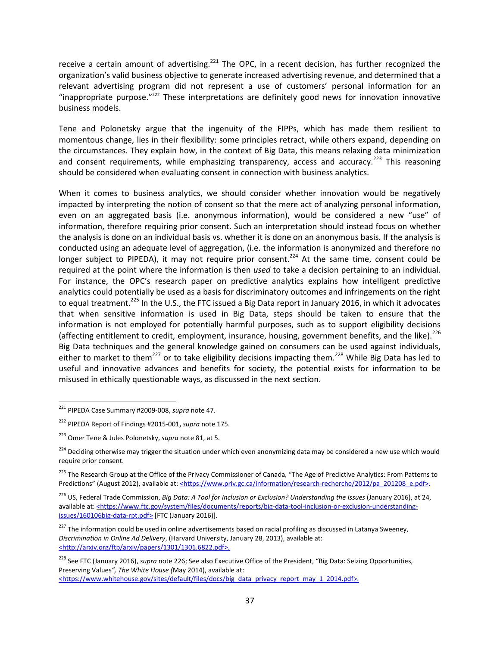receive a certain amount of advertising.<sup>[221](#page-38-0)</sup> The OPC, in a recent decision, has further recognized the organization's valid business objective to generate increased advertising revenue, and determined that a relevant advertising program did not represent a use of customers' personal information for an "inappropriate purpose." $222$  These interpretations are definitely good news for innovation innovative business models.

Tene and Polonetsky argue that the ingenuity of the FIPPs, which has made them resilient to momentous change, lies in their flexibility: some principles retract, while others expand, depending on the circumstances. They explain how, in the context of Big Data, this means relaxing data minimization and consent requirements, while emphasizing transparency, access and accuracy.<sup>[223](#page-38-2)</sup> This reasoning should be considered when evaluating consent in connection with business analytics.

When it comes to business analytics, we should consider whether innovation would be negatively impacted by interpreting the notion of consent so that the mere act of analyzing personal information, even on an aggregated basis (i.e. anonymous information), would be considered a new "use" of information, therefore requiring prior consent. Such an interpretation should instead focus on whether the analysis is done on an individual basis vs. whether it is done on an anonymous basis. If the analysis is conducted using an adequate level of aggregation, (i.e. the information is anonymized and therefore no longer subject to PIPEDA), it may not require prior consent.<sup>[224](#page-38-3)</sup> At the same time, consent could be required at the point where the information is then *used* to take a decision pertaining to an individual. For instance, the OPC's research paper on predictive analytics explains how intelligent predictive analytics could potentially be used as a basis for discriminatory outcomes and infringements on the right to equal treatment.<sup>[225](#page-38-4)</sup> In the U.S., the FTC issued a Big Data report in January 2016, in which it advocates that when sensitive information is used in Big Data, steps should be taken to ensure that the information is not employed for potentially harmful purposes, such as to support eligibility decisions (affecting entitlement to credit, employment, insurance, housing, government benefits, and the like).<sup>[226](#page-38-5)</sup> Big Data techniques and the general knowledge gained on consumers can be used against individuals, either to market to them<sup>[227](#page-38-6)</sup> or to take eligibility decisions impacting them.<sup>[228](#page-38-7)</sup> While Big Data has led to useful and innovative advances and benefits for society, the potential exists for information to be misused in ethically questionable ways, as discussed in the next section.

<span id="page-38-5"></span><sup>226</sup> US, Federal Trade Commission, *Big Data: A Tool for Inclusion or Exclusion? Understanding the Issues* (January 2016), at 24, available at: <https://www.ftc.gov/system/files/documents/reports/big-data-tool-inclusion-or-exclusion-understandingissues/160106big-data-rpt.pdf> [FTC (January 2016)].

<span id="page-38-0"></span><sup>221</sup> PIPEDA Case Summary #2009-008, *supra* note 47.

<span id="page-38-1"></span><sup>222</sup> PIPEDA Report of Findings #2015-001**,** *supra* note 175.

<span id="page-38-2"></span><sup>223</sup> Omer Tene & Jules Polonetsky, *supra* note 81, at 5.

<span id="page-38-3"></span><sup>&</sup>lt;sup>224</sup> Deciding otherwise may trigger the situation under which even anonymizing data may be considered a new use which would require prior consent.

<span id="page-38-4"></span><sup>225</sup> The Research Group at the Office of the Privacy Commissioner of Canada*,* "The Age of Predictive Analytics: From Patterns to Predictions" (August 2012), available at: <https://www.priv.gc.ca/information/research-recherche/2012/pa\_201208\_e.pdf>.

<span id="page-38-6"></span> $227$  The information could be used in online advertisements based on racial profiling as discussed in Latanya Sweeney, *Discrimination in Online Ad Delivery*, (Harvard University, January 28, 2013), available at: <http://arxiv.org/ftp/arxiv/papers/1301/1301.6822.pdf>.

<span id="page-38-7"></span><sup>228</sup> See FTC (January 2016), *supra* note 226; See also Executive Office of the President, "Big Data: Seizing Opportunities, Preserving Values*", The White House (*May 2014), available at: <https://www.whitehouse.gov/sites/default/files/docs/big\_data\_privacy\_report\_may\_1\_2014.pdf>.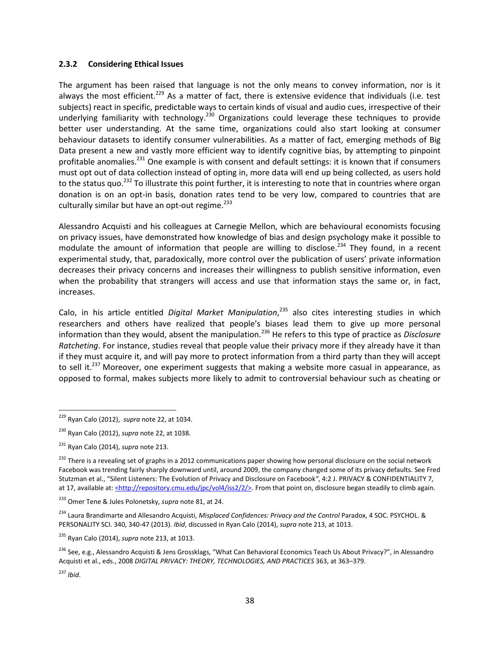#### <span id="page-39-0"></span>**2.3.2 Considering Ethical Issues**

The argument has been raised that language is not the only means to convey information, nor is it always the most efficient.<sup>[229](#page-39-1)</sup> As a matter of fact, there is extensive evidence that individuals (i.e. test subjects) react in specific, predictable ways to certain kinds of visual and audio cues, irrespective of their underlying familiarity with technology.<sup>[230](#page-39-2)</sup> Organizations could leverage these techniques to provide better user understanding. At the same time, organizations could also start looking at consumer behaviour datasets to identify consumer vulnerabilities. As a matter of fact, emerging methods of Big Data present a new and vastly more efficient way to identify cognitive bias, by attempting to pinpoint profitable anomalies.<sup>[231](#page-39-3)</sup> One example is with consent and default settings: it is known that if consumers must opt out of data collection instead of opting in, more data will end up being collected, as users hold to the status quo.<sup>[232](#page-39-4)</sup> To illustrate this point further, it is interesting to note that in countries where organ donation is on an opt-in basis, donation rates tend to be very low, compared to countries that are culturally similar but have an opt-out regime. $^{233}$  $^{233}$  $^{233}$ 

Alessandro Acquisti and his colleagues at Carnegie Mellon, which are behavioural economists focusing on privacy issues, have demonstrated how knowledge of bias and design psychology make it possible to modulate the amount of information that people are willing to disclose.<sup>[234](#page-39-6)</sup> They found, in a recent experimental study, that, paradoxically, more control over the publication of users' private information decreases their privacy concerns and increases their willingness to publish sensitive information, even when the probability that strangers will access and use that information stays the same or, in fact, increases.

Calo, in his article entitled Digital Market Manipulation,<sup>[235](#page-39-7)</sup> also cites interesting studies in which researchers and others have realized that people's biases lead them to give up more personal information than they would, absent the manipulation.[236](#page-39-8) He refers to this type of practice as *Disclosure Ratcheting*. For instance, studies reveal that people value their privacy more if they already have it than if they must acquire it, and will pay more to protect information from a third party than they will accept tosell it.<sup>237</sup> Moreover, one experiment suggests that making a website more casual in appearance, as opposed to formal, makes subjects more likely to admit to controversial behaviour such as cheating or

<span id="page-39-1"></span><sup>229</sup> Ryan Calo (2012), *supra* note 22, at 1034.

<span id="page-39-2"></span><sup>230</sup> Ryan Calo (2012), *supra* note 22, at 1038.

<span id="page-39-3"></span><sup>231</sup> Ryan Calo (2014), *supra* note 213.

<span id="page-39-4"></span><sup>&</sup>lt;sup>232</sup> There is a revealing set of graphs in a 2012 communications paper showing how personal disclosure on the social network Facebook was trending fairly sharply downward until, around 2009, the company changed some of its privacy defaults. See Fred Stutzman et al., "Silent Listeners: The Evolution of Privacy and Disclosure on Facebook*"*, 4:2 J. PRIVACY & CONFIDENTIALITY 7, at 17, available at: <http://repository.cmu.edu/jpc/vol4/iss2/2/>. From that point on, disclosure began steadily to climb again.

<span id="page-39-5"></span><sup>233</sup> Omer Tene & Jules Polonetsky, *supra* note 81, at 24.

<span id="page-39-6"></span><sup>234</sup> Laura Brandimarte and Allesandro Acquisti, *Misplaced Confidences: Privacy and the Control* Paradox, 4 SOC. PSYCHOL. & PERSONALITY SCI. 340, 340-47 (2013). *Ibid*, discussed in Ryan Calo (2014), *supra* note 213, at 1013.

<span id="page-39-7"></span><sup>235</sup> Ryan Calo (2014), *supra* note 213, at 1013.

<span id="page-39-8"></span><sup>&</sup>lt;sup>236</sup> See, e.g., Alessandro Acquisti & Jens Grossklags, "What Can Behavioral Economics Teach Us About Privacy?", in Alessandro Acquisti et al., eds., 2008 *DIGITAL PRIVACY: THEORY, TECHNOLOGIES, AND PRACTICES* 363, at 363–379.

<span id="page-39-9"></span><sup>237</sup> *Ibid*.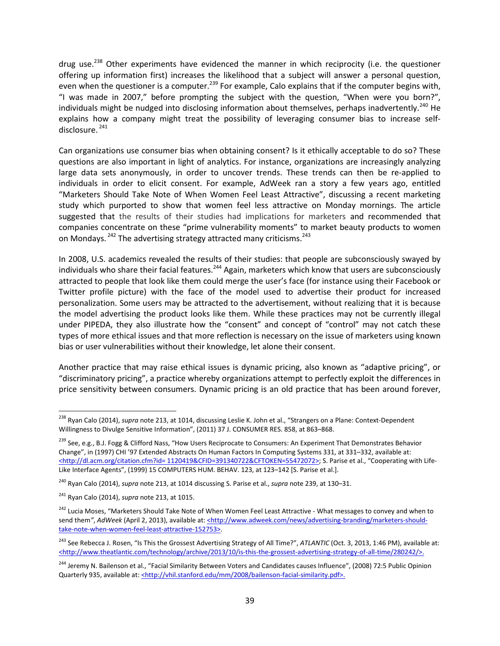drug use.<sup>[238](#page-40-0)</sup> Other experiments have evidenced the manner in which reciprocity (i.e. the questioner offering up information first) increases the likelihood that a subject will answer a personal question, even when the questioner is a computer.<sup>[239](#page-40-1)</sup> For example, Calo explains that if the computer begins with, "I was made in 2007," before prompting the subject with the question, "When were you born?", individuals might be nudged into disclosing information about themselves, perhaps inadvertently.<sup>[240](#page-40-2)</sup> He explains how a company might treat the possibility of leveraging consumer bias to increase self-disclosure.<sup>[241](#page-40-3)</sup>

Can organizations use consumer bias when obtaining consent? Is it ethically acceptable to do so? These questions are also important in light of analytics. For instance, organizations are increasingly analyzing large data sets anonymously, in order to uncover trends. These trends can then be re-applied to individuals in order to elicit consent. For example, AdWeek ran a story a few years ago, entitled "Marketers Should Take Note of When Women Feel Least Attractive", discussing a recent marketing study which purported to show that women feel less attractive on Monday mornings. The article suggested that the results of their studies had implications for marketers and recommended that companies concentrate on these "prime vulnerability moments" to market beauty products to women on Mondays. <sup>[242](#page-40-4)</sup> The advertising strategy attracted many criticisms.<sup>[243](#page-40-5)</sup>

In 2008, U.S. academics revealed the results of their studies: that people are subconsciously swayed by individuals who share their facial features.<sup>[244](#page-40-6)</sup> Again, marketers which know that users are subconsciously attracted to people that look like them could merge the user's face (for instance using their Facebook or Twitter profile picture) with the face of the model used to advertise their product for increased personalization. Some users may be attracted to the advertisement, without realizing that it is because the model advertising the product looks like them. While these practices may not be currently illegal under PIPEDA, they also illustrate how the "consent" and concept of "control" may not catch these types of more ethical issues and that more reflection is necessary on the issue of marketers using known bias or user vulnerabilities without their knowledge, let alone their consent.

Another practice that may raise ethical issues is dynamic pricing, also known as "adaptive pricing", or "discriminatory pricing", a practice whereby organizations attempt to perfectly exploit the differences in price sensitivity between consumers. Dynamic pricing is an old practice that has been around forever,

<span id="page-40-0"></span><sup>238</sup> Ryan Calo (2014), *supra* note 213, at 1014, discussing Leslie K. John et al., "Strangers on a Plane: Context-Dependent Willingness to Divulge Sensitive Information", (2011) 37 J. CONSUMER RES. 858, at 863–868.

<span id="page-40-1"></span><sup>&</sup>lt;sup>239</sup> See, e.g., B.J. Fogg & Clifford Nass, "How Users Reciprocate to Consumers: An Experiment That Demonstrates Behavior Change", in (1997) CHI '97 Extended Abstracts On Human Factors In Computing Systems 331, at 331–332, available at: <http://dl.acm.org/citation.cfm?id= 1120419&CFID=391340722&CFTOKEN=55472072>; S. Parise et al., "Cooperating with Life-Like Interface Agents", (1999) 15 COMPUTERS HUM. BEHAV. 123, at 123–142 [S. Parise et al.].

<span id="page-40-2"></span><sup>240</sup> Ryan Calo (2014), *supra* note 213, at 1014 discussing S. Parise et al., *supra* note 239, at 130–31.

<span id="page-40-3"></span><sup>241</sup> Ryan Calo (2014), *supra* note 213, at 1015.

<span id="page-40-4"></span><sup>&</sup>lt;sup>242</sup> Lucia Moses, "Marketers Should Take Note of When Women Feel Least Attractive - What messages to convey and when to send them", AdWeek (April 2, 2013), available at: <**http://www.adweek.com/news/advertising-branding/marketers-should**take-note-when-women-feel-least-attractive-152753>.

<span id="page-40-5"></span><sup>&</sup>lt;sup>243</sup> See Rebecca J. Rosen, "Is This the Grossest Advertising Strategy of All Time?", *ATLANTIC* (Oct. 3, 2013, 1:46 PM), available at: <http://www.theatlantic.com/technology/archive/2013/10/is-this-the-grossest-advertising-strategy-of-all-time/280242/>.

<span id="page-40-6"></span><sup>&</sup>lt;sup>244</sup> Jeremy N. Bailenson et al., "Facial Similarity Between Voters and Candidates causes Influence", (2008) 72:5 Public Opinion Quarterly 935, available at: <http://vhil.stanford.edu/mm/2008/bailenson-facial-similarity.pdf>.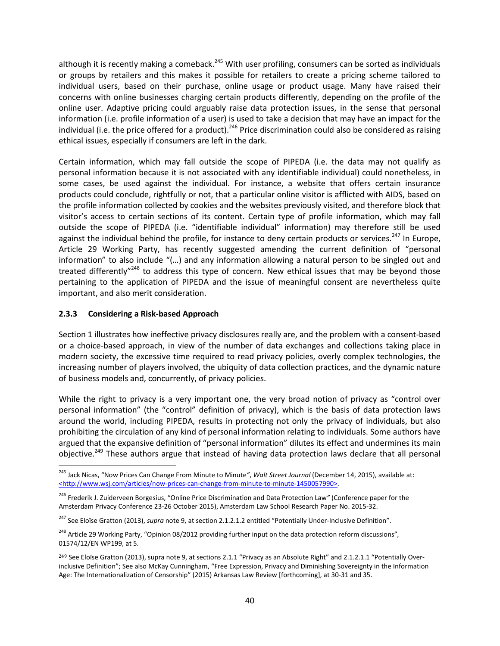although it is recently making a comeback.<sup>[245](#page-41-1)</sup> With user profiling, consumers can be sorted as individuals or groups by retailers and this makes it possible for retailers to create a pricing scheme tailored to individual users, based on their purchase, online usage or product usage. Many have raised their concerns with online businesses charging certain products differently, depending on the profile of the online user. Adaptive pricing could arguably raise data protection issues, in the sense that personal information (i.e. profile information of a user) is used to take a decision that may have an impact for the individual (i.e. the price offered for a product).<sup>[246](#page-41-2)</sup> Price discrimination could also be considered as raising ethical issues, especially if consumers are left in the dark.

Certain information, which may fall outside the scope of PIPEDA (i.e. the data may not qualify as personal information because it is not associated with any identifiable individual) could nonetheless, in some cases, be used against the individual. For instance, a website that offers certain insurance products could conclude, rightfully or not, that a particular online visitor is afflicted with AIDS, based on the profile information collected by cookies and the websites previously visited, and therefore block that visitor's access to certain sections of its content. Certain type of profile information, which may fall outside the scope of PIPEDA (i.e. "identifiable individual" information) may therefore still be used against the individual behind the profile, for instance to deny certain products or services.<sup>[247](#page-41-3)</sup> In Europe, Article 29 Working Party, has recently suggested amending the current definition of "personal information" to also include "(…) and any information allowing a natural person to be singled out and treated differently<sup>"[248](#page-41-4)</sup> to address this type of concern. New ethical issues that may be beyond those pertaining to the application of PIPEDA and the issue of meaningful consent are nevertheless quite important, and also merit consideration.

### <span id="page-41-0"></span>**2.3.3 Considering a Risk-based Approach**

Section [1](#page-5-0) illustrates how ineffective privacy disclosures really are, and the problem with a consent-based or a choice-based approach, in view of the number of data exchanges and collections taking place in modern society, the excessive time required to read privacy policies, overly complex technologies, the increasing number of players involved, the ubiquity of data collection practices, and the dynamic nature of business models and, concurrently, of privacy policies.

While the right to privacy is a very important one, the very broad notion of privacy as "control over personal information" (the "control" definition of privacy), which is the basis of data protection laws around the world, including PIPEDA, results in protecting not only the privacy of individuals, but also prohibiting the circulation of any kind of personal information relating to individuals. Some authors have argued that the expansive definition of "personal information" dilutes its effect and undermines its main objective.<sup>[249](#page-41-5)</sup> These authors argue that instead of having data protection laws declare that all personal

<span id="page-41-1"></span><sup>245</sup> Jack Nicas, "Now Prices Can Change From Minute to Minute*"*, *Walt Street Journal* (December 14, 2015), available at: <http://www.wsj.com/articles/now-prices-can-change-from-minute-to-minute-1450057990>.

<span id="page-41-2"></span><sup>246</sup> Frederik J. Zuiderveen Borgesius, "Online Price Discrimination and Data Protection Law*"* (Conference paper for the Amsterdam Privacy Conference 23-26 October 2015), Amsterdam Law School Research Paper No. 2015-32.

<span id="page-41-3"></span><sup>&</sup>lt;sup>247</sup> See Eloïse Gratton (2013), *supra* note 9, at section 2.1.2.1.2 entitled "Potentially Under-Inclusive Definition".

<span id="page-41-4"></span><sup>248</sup> Article 29 Working Party, "Opinion 08/2012 providing further input on the data protection reform discussions"*,* 01574/12/EN WP199, at 5.

<span id="page-41-5"></span><sup>&</sup>lt;sup>249</sup> See Eloïse Gratton (2013), supra note 9, at sections 2.1.1 "Privacy as an Absolute Right" and 2.1.2.1.1 "Potentially Overinclusive Definition"; See also McKay Cunningham, "Free Expression, Privacy and Diminishing Sovereignty in the Information Age: The Internationalization of Censorship" (2015) Arkansas Law Review [forthcoming], at 30-31 and 35.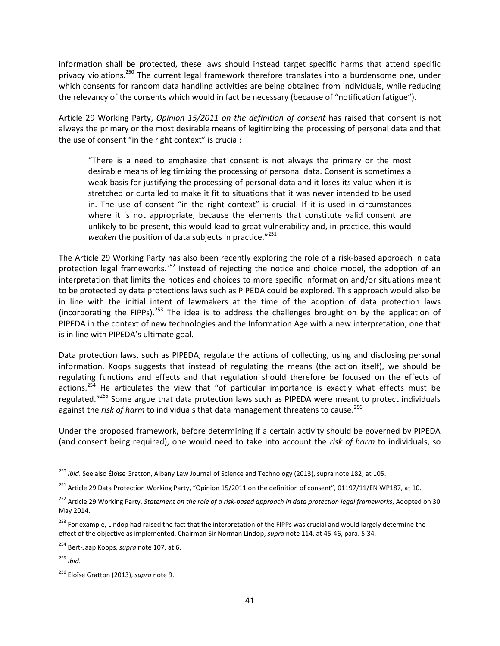information shall be protected, these laws should instead target specific harms that attend specific privacy violations.<sup>[250](#page-42-0)</sup> The current legal framework therefore translates into a burdensome one, under which consents for random data handling activities are being obtained from individuals, while reducing the relevancy of the consents which would in fact be necessary (because of "notification fatigue").

Article 29 Working Party, *Opinion 15/2011 on the definition of consent* has raised that consent is not always the primary or the most desirable means of legitimizing the processing of personal data and that the use of consent "in the right context" is crucial:

"There is a need to emphasize that consent is not always the primary or the most desirable means of legitimizing the processing of personal data. Consent is sometimes a weak basis for justifying the processing of personal data and it loses its value when it is stretched or curtailed to make it fit to situations that it was never intended to be used in. The use of consent "in the right context" is crucial. If it is used in circumstances where it is not appropriate, because the elements that constitute valid consent are unlikely to be present, this would lead to great vulnerability and, in practice, this would *weaken* the position of data subjects in practice."[251](#page-42-1)

The Article 29 Working Party has also been recently exploring the role of a risk-based approach in data protection legal frameworks.<sup>[252](#page-42-2)</sup> Instead of rejecting the notice and choice model, the adoption of an interpretation that limits the notices and choices to more specific information and/or situations meant to be protected by data protections laws such as PIPEDA could be explored. This approach would also be in line with the initial intent of lawmakers at the time of the adoption of data protection laws (incorporating the FIPPs).<sup>[253](#page-42-3)</sup> The idea is to address the challenges brought on by the application of PIPEDA in the context of new technologies and the Information Age with a new interpretation, one that is in line with PIPEDA's ultimate goal.

Data protection laws, such as PIPEDA, regulate the actions of collecting, using and disclosing personal information. Koops suggests that instead of regulating the means (the action itself), we should be regulating functions and effects and that regulation should therefore be focused on the effects of actions.<sup>[254](#page-42-4)</sup> He articulates the view that "of particular importance is exactly what effects must be regulated."[255](#page-42-5) Some argue that data protection laws such as PIPEDA were meant to protect individuals against the *risk of harm* to individuals that data management threatens to cause.<sup>[256](#page-42-6)</sup>

Under the proposed framework, before determining if a certain activity should be governed by PIPEDA (and consent being required), one would need to take into account the *risk of harm* to individuals, so

<span id="page-42-0"></span><sup>250</sup> *Ibid*. See also Éloïse Gratton, Albany Law Journal of Science and Technology (2013), supra note 182, at 105.

<span id="page-42-1"></span><sup>&</sup>lt;sup>251</sup> Article 29 Data Protection Working Party, "Opinion 15/2011 on the definition of consent", 01197/11/EN WP187, at 10.

<span id="page-42-2"></span><sup>252</sup> Article 29 Working Party, *Statement on the role of a risk-based approach in data protection legal frameworks*, Adopted on 30 May 2014.

<span id="page-42-3"></span><sup>&</sup>lt;sup>253</sup> For example, Lindop had raised the fact that the interpretation of the FIPPs was crucial and would largely determine the effect of the objective as implemented. Chairman Sir Norman Lindop, *supra* note 114, at 45-46, para. 5.34.

<span id="page-42-4"></span><sup>254</sup> Bert-Jaap Koops, *supra* note 107, at 6.

<span id="page-42-5"></span><sup>255</sup> *Ibid*.

<span id="page-42-6"></span><sup>256</sup> Eloïse Gratton (2013), *supra* note 9.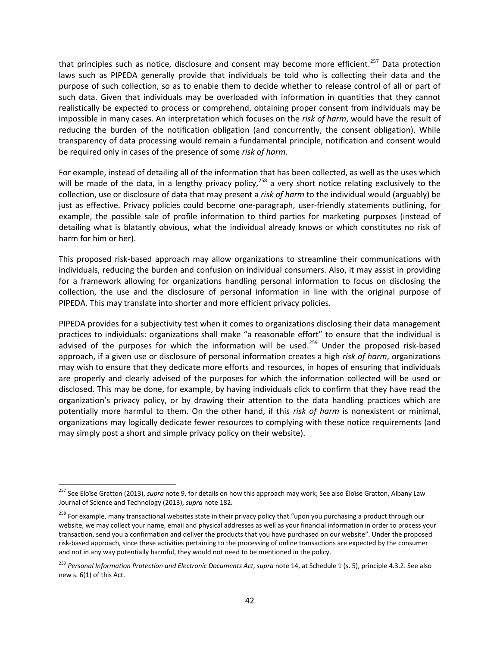that principles such as notice, disclosure and consent may become more efficient.<sup>[257](#page-43-0)</sup> Data protection laws such as PIPEDA generally provide that individuals be told who is collecting their data and the purpose of such collection, so as to enable them to decide whether to release control of all or part of such data. Given that individuals may be overloaded with information in quantities that they cannot realistically be expected to process or comprehend, obtaining proper consent from individuals may be impossible in many cases. An interpretation which focuses on the *risk of harm*, would have the result of reducing the burden of the notification obligation (and concurrently, the consent obligation). While transparency of data processing would remain a fundamental principle, notification and consent would be required only in cases of the presence of some *risk of harm*.

For example, instead of detailing all of the information that has been collected, as well as the uses which will be made of the data, in a lengthy privacy policy,<sup>[258](#page-43-1)</sup> a very short notice relating exclusively to the collection, use or disclosure of data that may present a *risk of harm* to the individual would (arguably) be just as effective. Privacy policies could become one-paragraph, user-friendly statements outlining, for example, the possible sale of profile information to third parties for marketing purposes (instead of detailing what is blatantly obvious, what the individual already knows or which constitutes no risk of harm for him or her).

This proposed risk-based approach may allow organizations to streamline their communications with individuals, reducing the burden and confusion on individual consumers. Also, it may assist in providing for a framework allowing for organizations handling personal information to focus on disclosing the collection, the use and the disclosure of personal information in line with the original purpose of PIPEDA. This may translate into shorter and more efficient privacy policies.

PIPEDA provides for a subjectivity test when it comes to organizations disclosing their data management practices to individuals: organizations shall make "a reasonable effort" to ensure that the individual is advised of the purposes for which the information will be used.<sup>[259](#page-43-2)</sup> Under the proposed risk-based approach, if a given use or disclosure of personal information creates a high *risk of harm*, organizations may wish to ensure that they dedicate more efforts and resources, in hopes of ensuring that individuals are properly and clearly advised of the purposes for which the information collected will be used or disclosed. This may be done, for example, by having individuals click to confirm that they have read the organization's privacy policy, or by drawing their attention to the data handling practices which are potentially more harmful to them. On the other hand, if this *risk of harm* is nonexistent or minimal, organizations may logically dedicate fewer resources to complying with these notice requirements (and may simply post a short and simple privacy policy on their website).

<span id="page-43-0"></span><sup>257</sup> See Eloïse Gratton (2013), *supra* note 9, for details on how this approach may work; See also Éloïse Gratton, Albany Law Journal of Science and Technology (2013), *supra* note 182**.**

<span id="page-43-1"></span><sup>&</sup>lt;sup>258</sup> For example, many transactional websites state in their privacy policy that "upon you purchasing a product through our website, we may collect your name, email and physical addresses as well as your financial information in order to process your transaction, send you a confirmation and deliver the products that you have purchased on our website". Under the proposed risk-based approach, since these activities pertaining to the processing of online transactions are expected by the consumer and not in any way potentially harmful, they would not need to be mentioned in the policy.

<span id="page-43-2"></span><sup>259</sup> *Personal Information Protection and Electronic Documents Act*, *supra* note 14, at Schedule 1 (s. 5), principle 4.3.2. See also new s. 6(1) of this Act.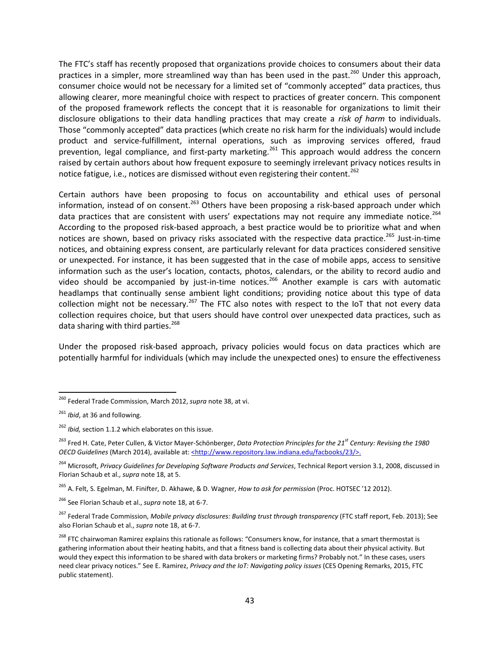The FTC's staff has recently proposed that organizations provide choices to consumers about their data practices in a simpler, more streamlined way than has been used in the past.<sup>[260](#page-44-0)</sup> Under this approach, consumer choice would not be necessary for a limited set of "commonly accepted" data practices, thus allowing clearer, more meaningful choice with respect to practices of greater concern. This component of the proposed framework reflects the concept that it is reasonable for organizations to limit their disclosure obligations to their data handling practices that may create a *risk of harm* to individuals. Those "commonly accepted" data practices (which create no risk harm for the individuals) would include product and service-fulfillment, internal operations, such as improving services offered, fraud prevention, legal compliance, and first-party marketing.<sup>[261](#page-44-1)</sup> This approach would address the concern raised by certain authors about how frequent exposure to seemingly irrelevant privacy notices results in notice fatigue, i.e., notices are dismissed without even registering their content.<sup>[262](#page-44-2)</sup>

Certain authors have been proposing to focus on accountability and ethical uses of personal information, instead of on consent.<sup>[263](#page-44-3)</sup> Others have been proposing a risk-based approach under which data practices that are consistent with users' expectations may not require any immediate notice.<sup>[264](#page-44-4)</sup> According to the proposed risk-based approach, a best practice would be to prioritize what and when notices are shown, based on privacy risks associated with the respective data practice.<sup>[265](#page-44-5)</sup> Just-in-time notices, and obtaining express consent, are particularly relevant for data practices considered sensitive or unexpected. For instance, it has been suggested that in the case of mobile apps, access to sensitive information such as the user's location, contacts, photos, calendars, or the ability to record audio and video should be accompanied by just-in-time notices.<sup>[266](#page-44-6)</sup> Another example is cars with automatic headlamps that continually sense ambient light conditions; providing notice about this type of data collection might not be necessary.<sup>[267](#page-44-7)</sup> The FTC also notes with respect to the IoT that not every data collection requires choice, but that users should have control over unexpected data practices, such as data sharing with third parties.<sup>[268](#page-44-8)</sup>

Under the proposed risk-based approach, privacy policies would focus on data practices which are potentially harmful for individuals (which may include the unexpected ones) to ensure the effectiveness

<span id="page-44-0"></span><sup>260</sup> Federal Trade Commission, March 2012, *supra* note 38, at vi.

<span id="page-44-1"></span><sup>261</sup> *Ibid*, at 36 and following.

<span id="page-44-2"></span><sup>262</sup> *Ibid,* section 1.1.2 which elaborates on this issue.

<span id="page-44-3"></span><sup>263</sup> Fred H. Cate, Peter Cullen, & Victor Mayer-Schönberger, *Data Protection Principles for the 21st Century: Revising the 1980 OECD Guidelines* (March 2014), available at: <thtp://www.repository.law.indiana.edu/facbooks/23/>.

<span id="page-44-4"></span><sup>264</sup> Microsoft, *Privacy Guidelines for Developing Software Products and Services*, Technical Report version 3.1, 2008, discussed in Florian Schaub et al., *supra* note 18, at 5.

<span id="page-44-5"></span><sup>265</sup> A. Felt, S. Egelman, M. Finifter, D. Akhawe, & D. Wagner, *How to ask for permission* (Proc. HOTSEC '12 2012).

<span id="page-44-6"></span><sup>266</sup> See Florian Schaub et al., *supra* note 18, at 6-7.

<span id="page-44-7"></span><sup>267</sup> Federal Trade Commission, *Mobile privacy disclosures: Building trust through transparency* (FTC staff report, Feb. 2013); See also Florian Schaub et al., *supra* note 18, at 6-7.

<span id="page-44-8"></span><sup>&</sup>lt;sup>268</sup> FTC chairwoman Ramirez explains this rationale as follows: "Consumers know, for instance, that a smart thermostat is gathering information about their heating habits, and that a fitness band is collecting data about their physical activity. But would they expect this information to be shared with data brokers or marketing firms? Probably not." In these cases, users need clear privacy notices." See E. Ramirez, *Privacy and the IoT: Navigating policy issues* (CES Opening Remarks, 2015, FTC public statement).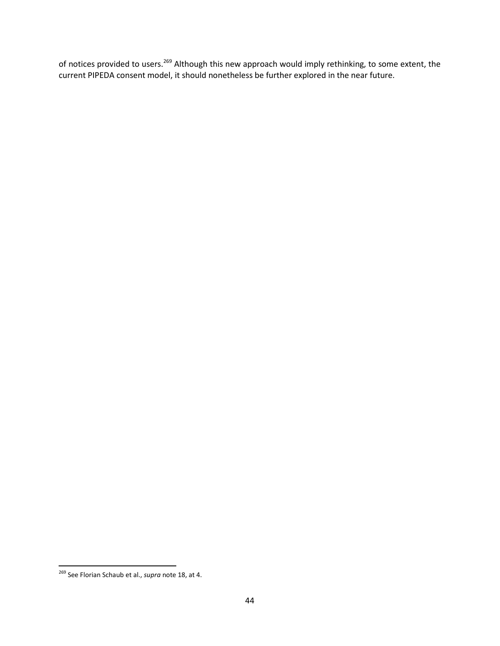of notices provided to users.<sup>[269](#page-45-0)</sup> Although this new approach would imply rethinking, to some extent, the current PIPEDA consent model, it should nonetheless be further explored in the near future.

<span id="page-45-0"></span><sup>269</sup> See Florian Schaub et al., *supra* note 18, at 4.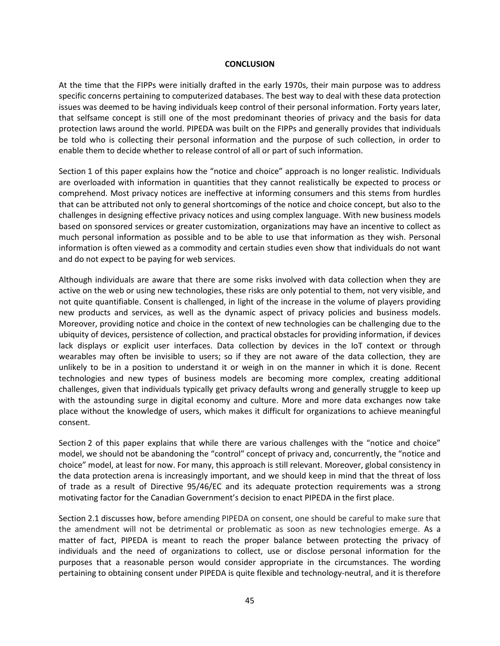#### <span id="page-46-0"></span>**CONCLUSION**

At the time that the FIPPs were initially drafted in the early 1970s, their main purpose was to address specific concerns pertaining to computerized databases. The best way to deal with these data protection issues was deemed to be having individuals keep control of their personal information. Forty years later, that selfsame concept is still one of the most predominant theories of privacy and the basis for data protection laws around the world. PIPEDA was built on the FIPPs and generally provides that individuals be told who is collecting their personal information and the purpose of such collection, in order to enable them to decide whether to release control of all or part of such information.

Section [1](#page-5-0) of this paper explains how the "notice and choice" approach is no longer realistic. Individuals are overloaded with information in quantities that they cannot realistically be expected to process or comprehend. Most privacy notices are ineffective at informing consumers and this stems from hurdles that can be attributed not only to general shortcomings of the notice and choice concept, but also to the challenges in designing effective privacy notices and using complex language. With new business models based on sponsored services or greater customization, organizations may have an incentive to collect as much personal information as possible and to be able to use that information as they wish. Personal information is often viewed as a commodity and certain studies even show that individuals do not want and do not expect to be paying for web services.

Although individuals are aware that there are some risks involved with data collection when they are active on the web or using new technologies, these risks are only potential to them, not very visible, and not quite quantifiable. Consent is challenged, in light of the increase in the volume of players providing new products and services, as well as the dynamic aspect of privacy policies and business models. Moreover, providing notice and choice in the context of new technologies can be challenging due to the ubiquity of devices, persistence of collection, and practical obstacles for providing information, if devices lack displays or explicit user interfaces. Data collection by devices in the IoT context or through wearables may often be invisible to users; so if they are not aware of the data collection, they are unlikely to be in a position to understand it or weigh in on the manner in which it is done. Recent technologies and new types of business models are becoming more complex, creating additional challenges, given that individuals typically get privacy defaults wrong and generally struggle to keep up with the astounding surge in digital economy and culture. More and more data exchanges now take place without the knowledge of users, which makes it difficult for organizations to achieve meaningful consent.

Section [2](#page-17-0) of this paper explains that while there are various challenges with the "notice and choice" model, we should not be abandoning the "control" concept of privacy and, concurrently, the "notice and choice" model, at least for now. For many, this approach is still relevant. Moreover, global consistency in the data protection arena is increasingly important, and we should keep in mind that the threat of loss of trade as a result of Directive 95/46/EC and its adequate protection requirements was a strong motivating factor for the Canadian Government's decision to enact PIPEDA in the first place.

Section [2.1](#page-18-0) discusses how, before amending PIPEDA on consent, one should be careful to make sure that the amendment will not be detrimental or problematic as soon as new technologies emerge. As a matter of fact, PIPEDA is meant to reach the proper balance between protecting the privacy of individuals and the need of organizations to collect, use or disclose personal information for the purposes that a reasonable person would consider appropriate in the circumstances. The wording pertaining to obtaining consent under PIPEDA is quite flexible and technology-neutral, and it is therefore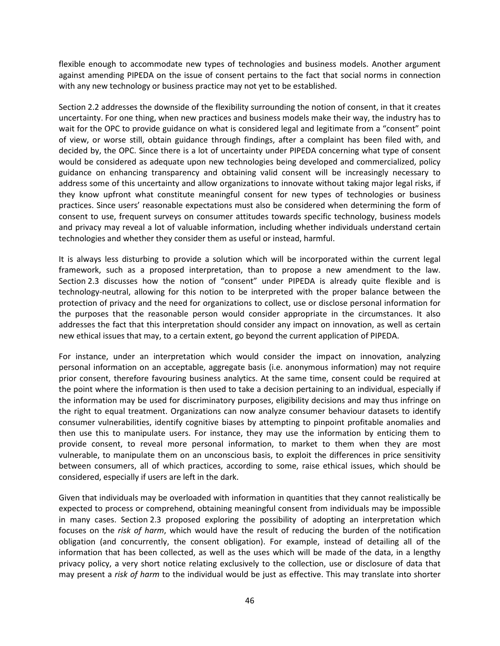flexible enough to accommodate new types of technologies and business models. Another argument against amending PIPEDA on the issue of consent pertains to the fact that social norms in connection with any new technology or business practice may not yet to be established.

Section [2.2](#page-26-0) addresses the downside of the flexibility surrounding the notion of consent, in that it creates uncertainty. For one thing, when new practices and business models make their way, the industry has to wait for the OPC to provide guidance on what is considered legal and legitimate from a "consent" point of view, or worse still, obtain guidance through findings, after a complaint has been filed with, and decided by, the OPC. Since there is a lot of uncertainty under PIPEDA concerning what type of consent would be considered as adequate upon new technologies being developed and commercialized, policy guidance on enhancing transparency and obtaining valid consent will be increasingly necessary to address some of this uncertainty and allow organizations to innovate without taking major legal risks, if they know upfront what constitute meaningful consent for new types of technologies or business practices. Since users' reasonable expectations must also be considered when determining the form of consent to use, frequent surveys on consumer attitudes towards specific technology, business models and privacy may reveal a lot of valuable information, including whether individuals understand certain technologies and whether they consider them as useful or instead, harmful.

It is always less disturbing to provide a solution which will be incorporated within the current legal framework, such as a proposed interpretation, than to propose a new amendment to the law. Section [2.3](#page-34-0) discusses how the notion of "consent" under PIPEDA is already quite flexible and is technology-neutral, allowing for this notion to be interpreted with the proper balance between the protection of privacy and the need for organizations to collect, use or disclose personal information for the purposes that the reasonable person would consider appropriate in the circumstances. It also addresses the fact that this interpretation should consider any impact on innovation, as well as certain new ethical issues that may, to a certain extent, go beyond the current application of PIPEDA.

For instance, under an interpretation which would consider the impact on innovation, analyzing personal information on an acceptable, aggregate basis (i.e. anonymous information) may not require prior consent, therefore favouring business analytics. At the same time, consent could be required at the point where the information is then used to take a decision pertaining to an individual, especially if the information may be used for discriminatory purposes, eligibility decisions and may thus infringe on the right to equal treatment. Organizations can now analyze consumer behaviour datasets to identify consumer vulnerabilities, identify cognitive biases by attempting to pinpoint profitable anomalies and then use this to manipulate users. For instance, they may use the information by enticing them to provide consent, to reveal more personal information, to market to them when they are most vulnerable, to manipulate them on an unconscious basis, to exploit the differences in price sensitivity between consumers, all of which practices, according to some, raise ethical issues, which should be considered, especially if users are left in the dark.

Given that individuals may be overloaded with information in quantities that they cannot realistically be expected to process or comprehend, obtaining meaningful consent from individuals may be impossible in many cases. Section [2.3](#page-34-0) proposed exploring the possibility of adopting an interpretation which focuses on the *risk of harm*, which would have the result of reducing the burden of the notification obligation (and concurrently, the consent obligation). For example, instead of detailing all of the information that has been collected, as well as the uses which will be made of the data, in a lengthy privacy policy, a very short notice relating exclusively to the collection, use or disclosure of data that may present a *risk of harm* to the individual would be just as effective. This may translate into shorter